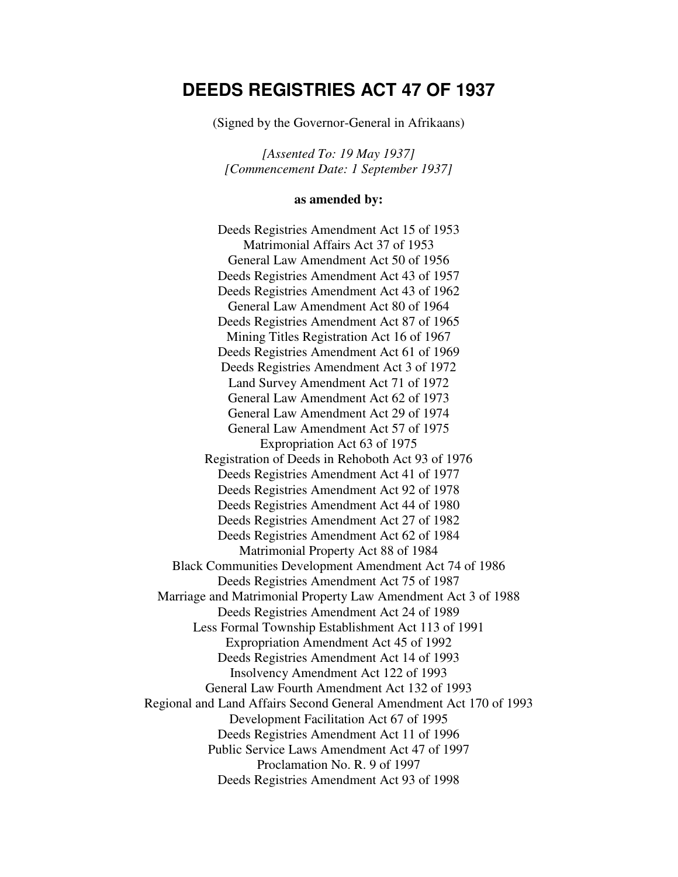# **DEEDS REGISTRIES ACT 47 OF 1937**

(Signed by the Governor-General in Afrikaans)

*[Assented To: 19 May 1937] [Commencement Date: 1 September 1937]* 

#### **as amended by:**

Deeds Registries Amendment Act 15 of 1953 Matrimonial Affairs Act 37 of 1953 General Law Amendment Act 50 of 1956 Deeds Registries Amendment Act 43 of 1957 Deeds Registries Amendment Act 43 of 1962 General Law Amendment Act 80 of 1964 Deeds Registries Amendment Act 87 of 1965 Mining Titles Registration Act 16 of 1967 Deeds Registries Amendment Act 61 of 1969 Deeds Registries Amendment Act 3 of 1972 Land Survey Amendment Act 71 of 1972 General Law Amendment Act 62 of 1973 General Law Amendment Act 29 of 1974 General Law Amendment Act 57 of 1975 Expropriation Act 63 of 1975 Registration of Deeds in Rehoboth Act 93 of 1976 Deeds Registries Amendment Act 41 of 1977 Deeds Registries Amendment Act 92 of 1978 Deeds Registries Amendment Act 44 of 1980 Deeds Registries Amendment Act 27 of 1982 Deeds Registries Amendment Act 62 of 1984 Matrimonial Property Act 88 of 1984 Black Communities Development Amendment Act 74 of 1986 Deeds Registries Amendment Act 75 of 1987 Marriage and Matrimonial Property Law Amendment Act 3 of 1988 Deeds Registries Amendment Act 24 of 1989 Less Formal Township Establishment Act 113 of 1991 Expropriation Amendment Act 45 of 1992 Deeds Registries Amendment Act 14 of 1993 Insolvency Amendment Act 122 of 1993 General Law Fourth Amendment Act 132 of 1993 Regional and Land Affairs Second General Amendment Act 170 of 1993 Development Facilitation Act 67 of 1995 Deeds Registries Amendment Act 11 of 1996 Public Service Laws Amendment Act 47 of 1997 Proclamation No. R. 9 of 1997 Deeds Registries Amendment Act 93 of 1998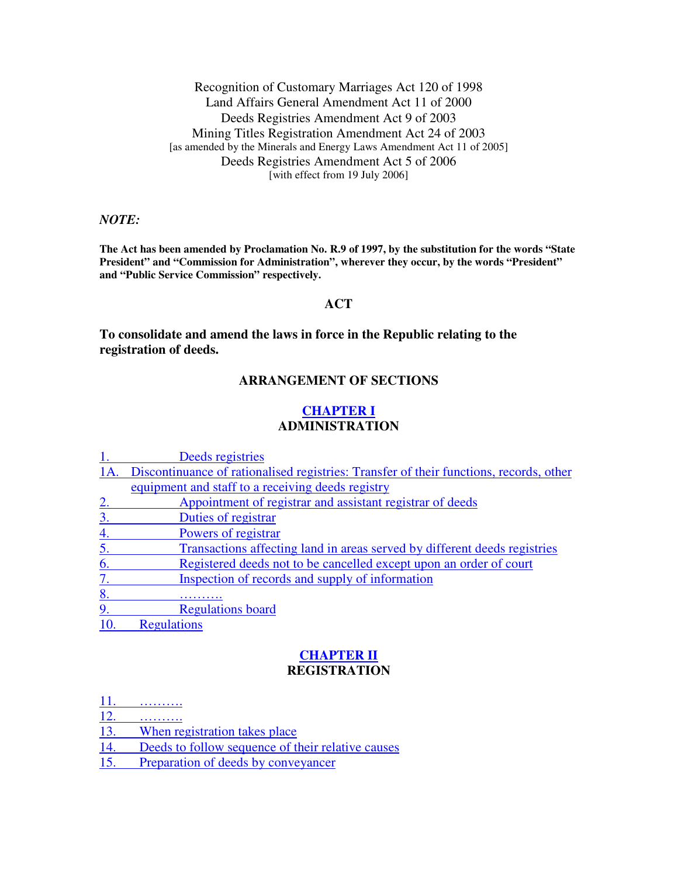Recognition of Customary Marriages Act 120 of 1998 Land Affairs General Amendment Act 11 of 2000 Deeds Registries Amendment Act 9 of 2003 Mining Titles Registration Amendment Act 24 of 2003 [as amended by the Minerals and Energy Laws Amendment Act 11 of 2005] Deeds Registries Amendment Act 5 of 2006 [with effect from 19 July 2006]

*NOTE:* 

**The Act has been amended by Proclamation No. R.9 of 1997, by the substitution for the words "State President" and "Commission for Administration", wherever they occur, by the words "President" and "Public Service Commission" respectively.** 

#### **ACT**

**To consolidate and amend the laws in force in the Republic relating to the registration of deeds.** 

# **ARRANGEMENT OF SECTIONS**

## **CHAPTER I ADMINISTRATION**

|           | Deeds registries                                                                       |
|-----------|----------------------------------------------------------------------------------------|
| 1A.       | Discontinuance of rationalised registries: Transfer of their functions, records, other |
|           | equipment and staff to a receiving deeds registry                                      |
| 2.        | Appointment of registrar and assistant registrar of deeds                              |
| 3.        | Duties of registrar                                                                    |
| <u>4.</u> | Powers of registrar                                                                    |
| 5.        | Transactions affecting land in areas served by different deeds registries              |
| 6.        | Registered deeds not to be cancelled except upon an order of court                     |
| 7.        | Inspection of records and supply of information                                        |
| 8.        | .                                                                                      |
| 9.        | <b>Regulations board</b>                                                               |
|           | <b>Regulations</b>                                                                     |

#### **CHAPTER II REGISTRATION**

11. ……….

12. ……….

13. When registration takes place

- 14. Deeds to follow sequence of their relative causes
- 15. Preparation of deeds by conveyancer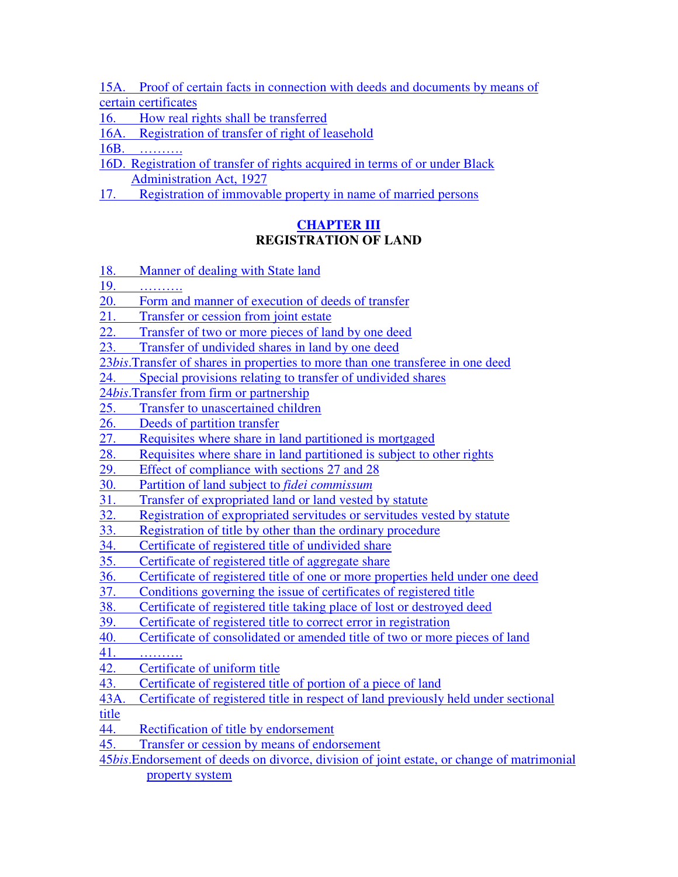15A. Proof of certain facts in connection with deeds and documents by means of certain certificates

- 16. How real rights shall be transferred
- 16A. Registration of transfer of right of leasehold

16B. ……….

- 16D. Registration of transfer of rights acquired in terms of or under Black Administration Act, 1927
- 17. Registration of immovable property in name of married persons

# **CHAPTER III REGISTRATION OF LAND**

- 18. Manner of dealing with State land
- 19. ……….
- 20. Form and manner of execution of deeds of transfer
- 21. Transfer or cession from joint estate
- 22. Transfer of two or more pieces of land by one deed
- 23. Transfer of undivided shares in land by one deed
- 23*bis*.Transfer of shares in properties to more than one transferee in one deed
- 24. Special provisions relating to transfer of undivided shares
- 24*bis*.Transfer from firm or partnership
- 25. Transfer to unascertained children
- 26. Deeds of partition transfer
- 27. Requisites where share in land partitioned is mortgaged
- 28. Requisites where share in land partitioned is subject to other rights
- 29. Effect of compliance with sections 27 and 28
- 30. Partition of land subject to *fidei commissum*
- 31. Transfer of expropriated land or land vested by statute
- 32. Registration of expropriated servitudes or servitudes vested by statute
- 33. Registration of title by other than the ordinary procedure
- 34. Certificate of registered title of undivided share
- 35. Certificate of registered title of aggregate share
- 36. Certificate of registered title of one or more properties held under one deed
- 37. Conditions governing the issue of certificates of registered title
- 38. Certificate of registered title taking place of lost or destroyed deed
- 39. Certificate of registered title to correct error in registration
- 40. Certificate of consolidated or amended title of two or more pieces of land
- 41. ……….
- 42. Certificate of uniform title
- 43. Certificate of registered title of portion of a piece of land
- 43A. Certificate of registered title in respect of land previously held under sectional title
- 44. Rectification of title by endorsement
- 45. Transfer or cession by means of endorsement
- 45*bis*.Endorsement of deeds on divorce, division of joint estate, or change of matrimonial property system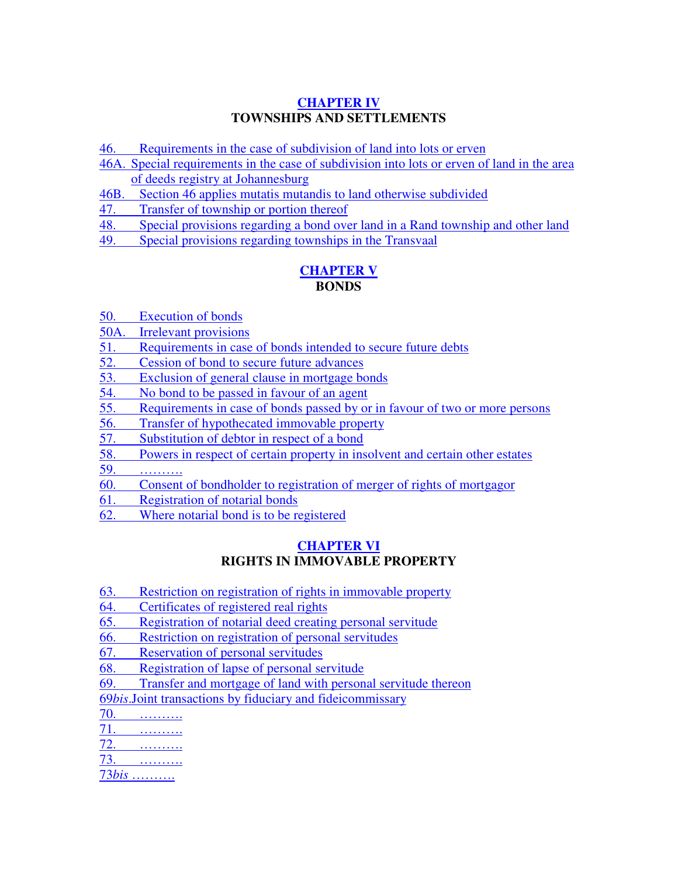# **CHAPTER IV TOWNSHIPS AND SETTLEMENTS**

- 46. Requirements in the case of subdivision of land into lots or erven
- 46A. Special requirements in the case of subdivision into lots or erven of land in the area of deeds registry at Johannesburg
- 46B. Section 46 applies mutatis mutandis to land otherwise subdivided
- 47. Transfer of township or portion thereof
- 48. Special provisions regarding a bond over land in a Rand township and other land
- 49. Special provisions regarding townships in the Transvaal

# **CHAPTER V BONDS**

- 50. Execution of bonds
- 50A. Irrelevant provisions
- 51. Requirements in case of bonds intended to secure future debts
- 52. Cession of bond to secure future advances
- 53. Exclusion of general clause in mortgage bonds
- 54. No bond to be passed in favour of an agent
- 55. Requirements in case of bonds passed by or in favour of two or more persons
- 56. Transfer of hypothecated immovable property
- 57. Substitution of debtor in respect of a bond
- 58. Powers in respect of certain property in insolvent and certain other estates
- 59. ……….
- 60. Consent of bondholder to registration of merger of rights of mortgagor
- 61. Registration of notarial bonds
- 62. Where notarial bond is to be registered

# **CHAPTER VI RIGHTS IN IMMOVABLE PROPERTY**

- 63. Restriction on registration of rights in immovable property
- 64. Certificates of registered real rights
- 65. Registration of notarial deed creating personal servitude
- 66. Restriction on registration of personal servitudes
- 67. Reservation of personal servitudes
- 68. Registration of lapse of personal servitude
- 69. Transfer and mortgage of land with personal servitude thereon
- 69*bis*.Joint transactions by fiduciary and fideicommissary
- 70. ……….
- 71. …………
- 72. ……….
- 73. ……….
- 73*bis* ……….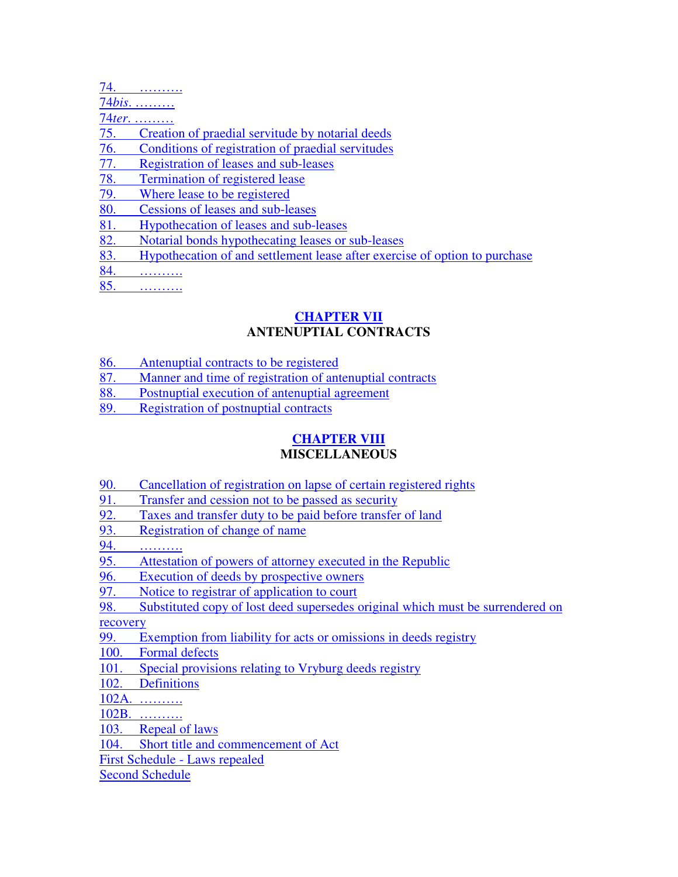| 74.      |                                                                                                                                     |
|----------|-------------------------------------------------------------------------------------------------------------------------------------|
|          | $74bis$ .                                                                                                                           |
|          | 74 ter.                                                                                                                             |
| 75.      | Creation of praedial servitude by notarial deeds                                                                                    |
| 76.      | Conditions of registration of praedial servitudes                                                                                   |
| 77.      | Registration of leases and sub-leases                                                                                               |
| 78.      | <b>Termination of registered lease</b>                                                                                              |
| 79.      | Where lease to be registered                                                                                                        |
| 80.      | Cessions of leases and sub-leases                                                                                                   |
| 81.      | Hypothecation of leases and sub-leases                                                                                              |
| 82.      | Notarial bonds hypothecating leases or sub-leases                                                                                   |
| $\Omega$ | $\mathbf{H}$ and $\mathbf{H}$ and $\mathbf{H}$ and $\mathbf{H}$ and $\mathbf{H}$ and $\mathbf{H}$ and $\mathbf{H}$ and $\mathbf{H}$ |

83. Hypothecation of and settlement lease after exercise of option to purchase

84. ……….

85. ……….

# **CHAPTER VII ANTENUPTIAL CONTRACTS**

- 86. Antenuptial contracts to be registered
- 87. Manner and time of registration of antenuptial contracts
- 88. Postnuptial execution of antenuptial agreement
- 89. Registration of postnuptial contracts

# **CHAPTER VIII MISCELLANEOUS**

- 90. Cancellation of registration on lapse of certain registered rights
- 91. Transfer and cession not to be passed as security
- 92. Taxes and transfer duty to be paid before transfer of land
- 93. Registration of change of name

94. ……….

- 95. Attestation of powers of attorney executed in the Republic
- 96. Execution of deeds by prospective owners
- 97. Notice to registrar of application to court
- 98. Substituted copy of lost deed supersedes original which must be surrendered on recovery

- 99. Exemption from liability for acts or omissions in deeds registry
- 100. Formal defects
- 101. Special provisions relating to Vryburg deeds registry
- 102. Definitions

102A. ……….

- 102B. ………
- 103. Repeal of laws

104. Short title and commencement of Act

First Schedule - Laws repealed

Second Schedule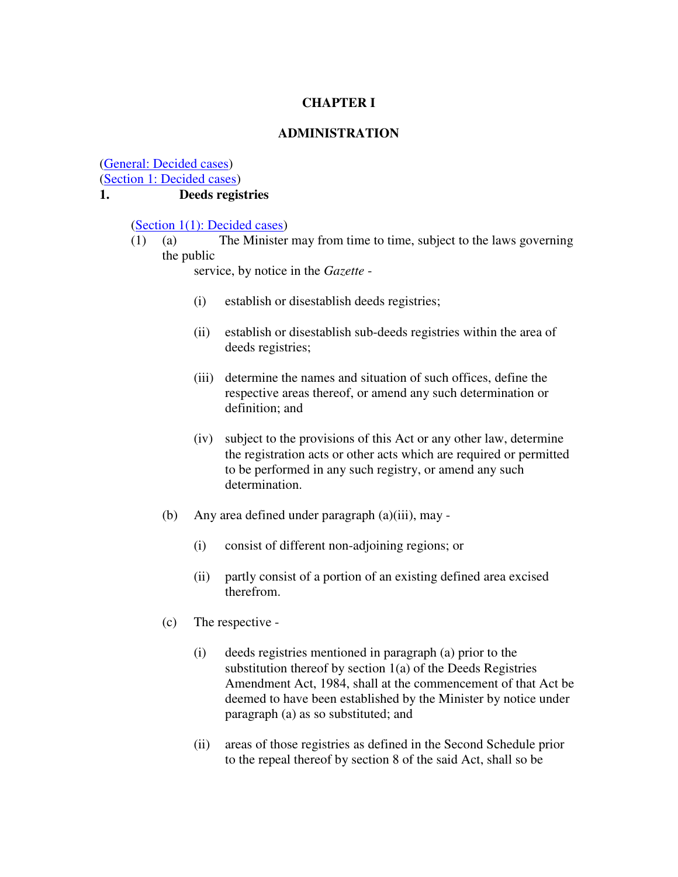## **CHAPTER I**

#### **ADMINISTRATION**

(General: Decided cases)

(Section 1: Decided cases)

#### **1. Deeds registries**

(Section 1(1): Decided cases)

(1) (a) The Minister may from time to time, subject to the laws governing the public

service, by notice in the *Gazette* -

- (i) establish or disestablish deeds registries;
- (ii) establish or disestablish sub-deeds registries within the area of deeds registries;
- (iii) determine the names and situation of such offices, define the respective areas thereof, or amend any such determination or definition; and
- (iv) subject to the provisions of this Act or any other law, determine the registration acts or other acts which are required or permitted to be performed in any such registry, or amend any such determination.
- (b) Any area defined under paragraph (a)(iii), may
	- (i) consist of different non-adjoining regions; or
	- (ii) partly consist of a portion of an existing defined area excised therefrom.
- (c) The respective
	- (i) deeds registries mentioned in paragraph (a) prior to the substitution thereof by section 1(a) of the Deeds Registries Amendment Act, 1984, shall at the commencement of that Act be deemed to have been established by the Minister by notice under paragraph (a) as so substituted; and
	- (ii) areas of those registries as defined in the Second Schedule prior to the repeal thereof by section 8 of the said Act, shall so be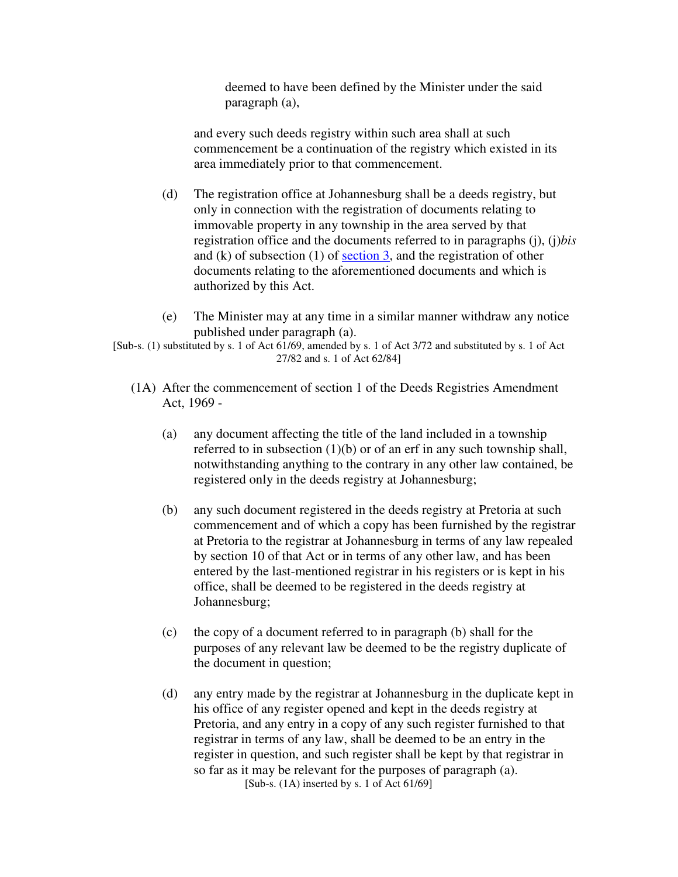deemed to have been defined by the Minister under the said paragraph (a),

and every such deeds registry within such area shall at such commencement be a continuation of the registry which existed in its area immediately prior to that commencement.

- (d) The registration office at Johannesburg shall be a deeds registry, but only in connection with the registration of documents relating to immovable property in any township in the area served by that registration office and the documents referred to in paragraphs (j), (j)*bis* and (k) of subsection (1) of section  $\overline{3}$ , and the registration of other documents relating to the aforementioned documents and which is authorized by this Act.
- (e) The Minister may at any time in a similar manner withdraw any notice published under paragraph (a).

[Sub-s. (1) substituted by s. 1 of Act 61/69, amended by s. 1 of Act 3/72 and substituted by s. 1 of Act 27/82 and s. 1 of Act 62/84]

- (1A) After the commencement of section 1 of the Deeds Registries Amendment Act, 1969 -
	- (a) any document affecting the title of the land included in a township referred to in subsection  $(1)(b)$  or of an erf in any such township shall, notwithstanding anything to the contrary in any other law contained, be registered only in the deeds registry at Johannesburg;
	- (b) any such document registered in the deeds registry at Pretoria at such commencement and of which a copy has been furnished by the registrar at Pretoria to the registrar at Johannesburg in terms of any law repealed by section 10 of that Act or in terms of any other law, and has been entered by the last-mentioned registrar in his registers or is kept in his office, shall be deemed to be registered in the deeds registry at Johannesburg;
	- (c) the copy of a document referred to in paragraph (b) shall for the purposes of any relevant law be deemed to be the registry duplicate of the document in question;
	- (d) any entry made by the registrar at Johannesburg in the duplicate kept in his office of any register opened and kept in the deeds registry at Pretoria, and any entry in a copy of any such register furnished to that registrar in terms of any law, shall be deemed to be an entry in the register in question, and such register shall be kept by that registrar in so far as it may be relevant for the purposes of paragraph (a). [Sub-s. (1A) inserted by s. 1 of Act 61/69]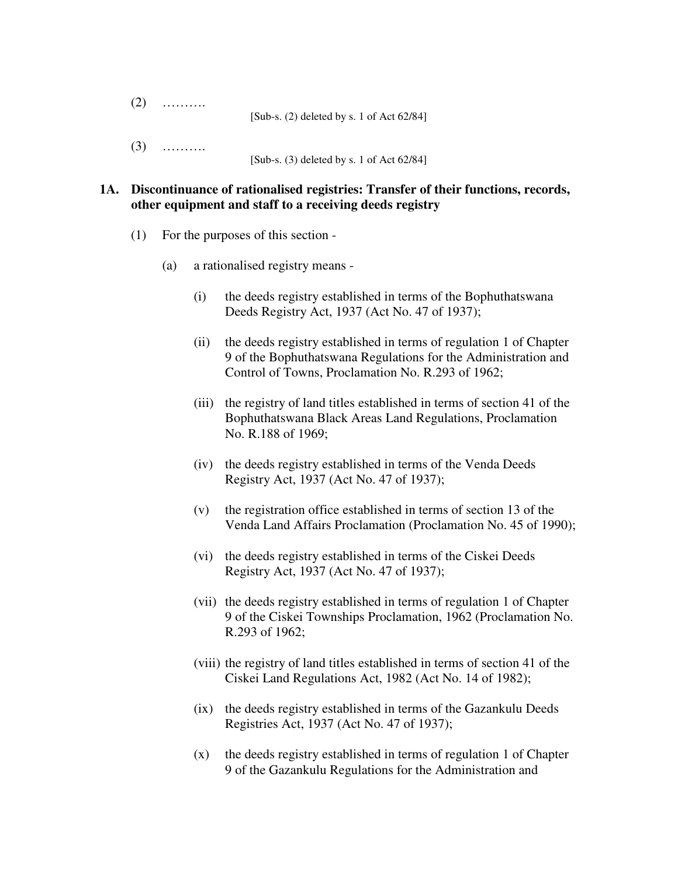| (2) | . | [Sub-s. $(2)$ deleted by s. 1 of Act $62/84$ ] |
|-----|---|------------------------------------------------|
| (3) | . | [Sub-s. $(3)$ deleted by s. 1 of Act 62/84]    |

### **1A. Discontinuance of rationalised registries: Transfer of their functions, records, other equipment and staff to a receiving deeds registry**

- (1) For the purposes of this section
	- (a) a rationalised registry means
		- (i) the deeds registry established in terms of the Bophuthatswana Deeds Registry Act, 1937 (Act No. 47 of 1937);
		- (ii) the deeds registry established in terms of regulation 1 of Chapter 9 of the Bophuthatswana Regulations for the Administration and Control of Towns, Proclamation No. R.293 of 1962;
		- (iii) the registry of land titles established in terms of section 41 of the Bophuthatswana Black Areas Land Regulations, Proclamation No. R.188 of 1969;
		- (iv) the deeds registry established in terms of the Venda Deeds Registry Act, 1937 (Act No. 47 of 1937);
		- (v) the registration office established in terms of section 13 of the Venda Land Affairs Proclamation (Proclamation No. 45 of 1990);
		- (vi) the deeds registry established in terms of the Ciskei Deeds Registry Act, 1937 (Act No. 47 of 1937);
		- (vii) the deeds registry established in terms of regulation 1 of Chapter 9 of the Ciskei Townships Proclamation, 1962 (Proclamation No. R.293 of 1962;
		- (viii) the registry of land titles established in terms of section 41 of the Ciskei Land Regulations Act, 1982 (Act No. 14 of 1982);
		- (ix) the deeds registry established in terms of the Gazankulu Deeds Registries Act, 1937 (Act No. 47 of 1937);
		- (x) the deeds registry established in terms of regulation 1 of Chapter 9 of the Gazankulu Regulations for the Administration and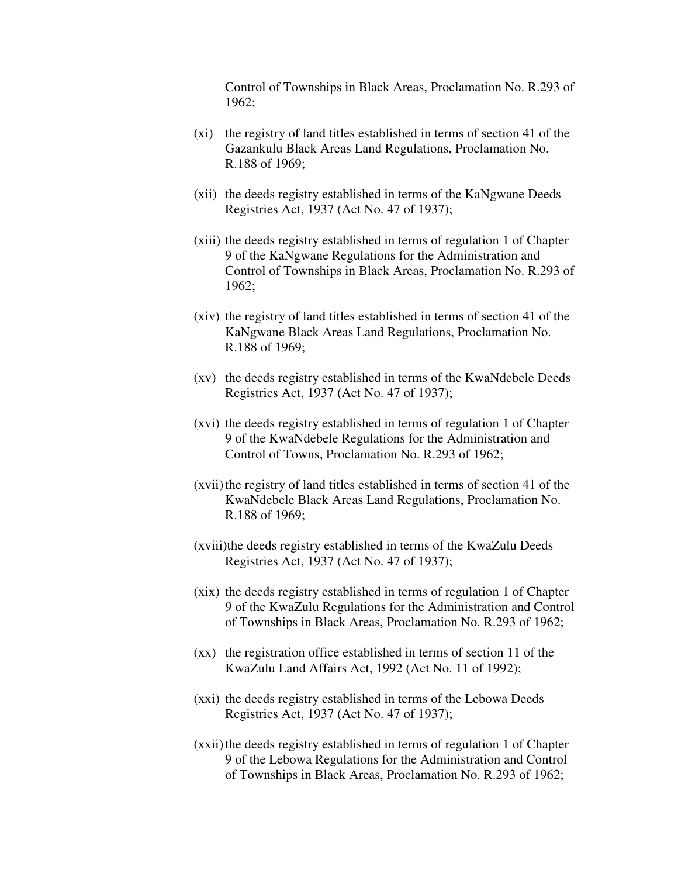Control of Townships in Black Areas, Proclamation No. R.293 of 1962;

- (xi) the registry of land titles established in terms of section 41 of the Gazankulu Black Areas Land Regulations, Proclamation No. R.188 of 1969;
- (xii) the deeds registry established in terms of the KaNgwane Deeds Registries Act, 1937 (Act No. 47 of 1937);
- (xiii) the deeds registry established in terms of regulation 1 of Chapter 9 of the KaNgwane Regulations for the Administration and Control of Townships in Black Areas, Proclamation No. R.293 of 1962;
- (xiv) the registry of land titles established in terms of section 41 of the KaNgwane Black Areas Land Regulations, Proclamation No. R.188 of 1969;
- (xv) the deeds registry established in terms of the KwaNdebele Deeds Registries Act, 1937 (Act No. 47 of 1937);
- (xvi) the deeds registry established in terms of regulation 1 of Chapter 9 of the KwaNdebele Regulations for the Administration and Control of Towns, Proclamation No. R.293 of 1962;
- (xvii) the registry of land titles established in terms of section 41 of the KwaNdebele Black Areas Land Regulations, Proclamation No. R.188 of 1969;
- (xviii)the deeds registry established in terms of the KwaZulu Deeds Registries Act, 1937 (Act No. 47 of 1937);
- (xix) the deeds registry established in terms of regulation 1 of Chapter 9 of the KwaZulu Regulations for the Administration and Control of Townships in Black Areas, Proclamation No. R.293 of 1962;
- (xx) the registration office established in terms of section 11 of the KwaZulu Land Affairs Act, 1992 (Act No. 11 of 1992);
- (xxi) the deeds registry established in terms of the Lebowa Deeds Registries Act, 1937 (Act No. 47 of 1937);
- (xxii) the deeds registry established in terms of regulation 1 of Chapter 9 of the Lebowa Regulations for the Administration and Control of Townships in Black Areas, Proclamation No. R.293 of 1962;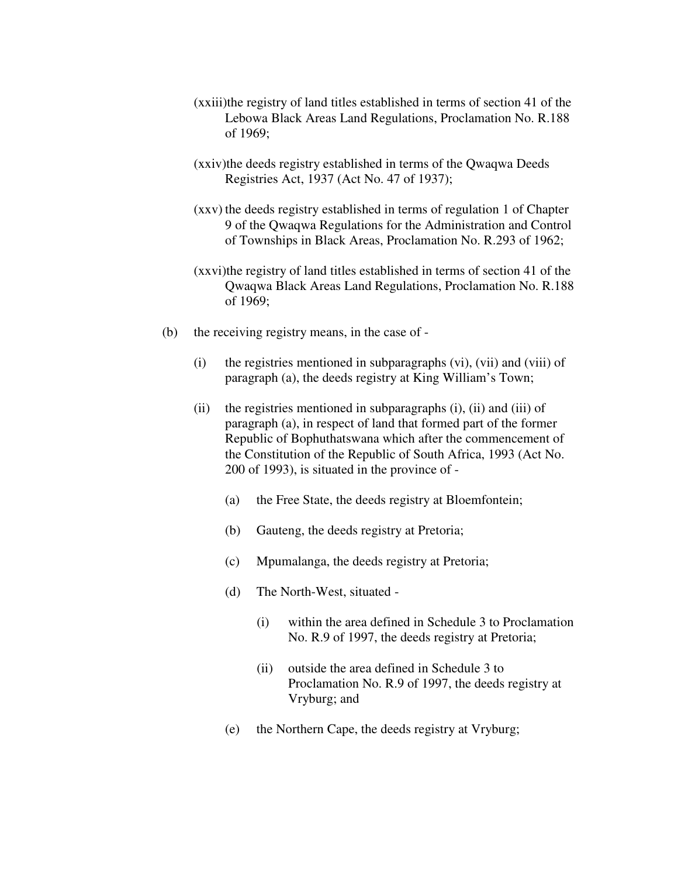- (xxiii)the registry of land titles established in terms of section 41 of the Lebowa Black Areas Land Regulations, Proclamation No. R.188 of 1969;
- (xxiv)the deeds registry established in terms of the Qwaqwa Deeds Registries Act, 1937 (Act No. 47 of 1937);
- (xxv) the deeds registry established in terms of regulation 1 of Chapter 9 of the Qwaqwa Regulations for the Administration and Control of Townships in Black Areas, Proclamation No. R.293 of 1962;
- (xxvi)the registry of land titles established in terms of section 41 of the Qwaqwa Black Areas Land Regulations, Proclamation No. R.188 of 1969;
- (b) the receiving registry means, in the case of
	- (i) the registries mentioned in subparagraphs (vi), (vii) and (viii) of paragraph (a), the deeds registry at King William's Town;
	- (ii) the registries mentioned in subparagraphs (i), (ii) and (iii) of paragraph (a), in respect of land that formed part of the former Republic of Bophuthatswana which after the commencement of the Constitution of the Republic of South Africa, 1993 (Act No. 200 of 1993), is situated in the province of -
		- (a) the Free State, the deeds registry at Bloemfontein;
		- (b) Gauteng, the deeds registry at Pretoria;
		- (c) Mpumalanga, the deeds registry at Pretoria;
		- (d) The North-West, situated
			- (i) within the area defined in Schedule 3 to Proclamation No. R.9 of 1997, the deeds registry at Pretoria;
			- (ii) outside the area defined in Schedule 3 to Proclamation No. R.9 of 1997, the deeds registry at Vryburg; and
		- (e) the Northern Cape, the deeds registry at Vryburg;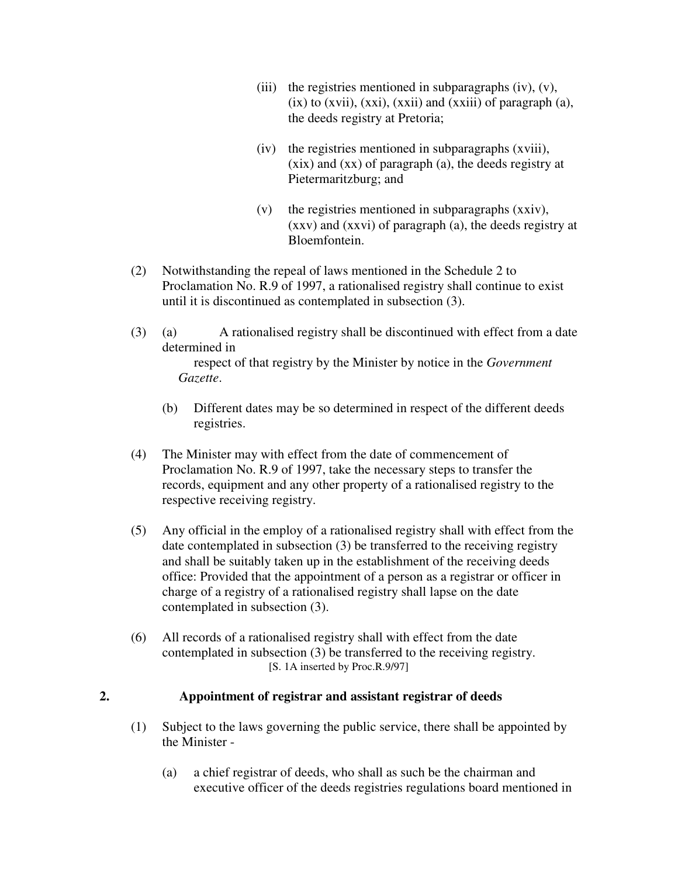- (iii) the registries mentioned in subparagraphs (iv),  $(v)$ ,  $(ix)$  to  $(xvii)$ ,  $(xxi)$ ,  $(xxii)$  and  $(xxiii)$  of paragraph  $(a)$ , the deeds registry at Pretoria;
- (iv) the registries mentioned in subparagraphs (xviii), (xix) and (xx) of paragraph (a), the deeds registry at Pietermaritzburg; and
- (v) the registries mentioned in subparagraphs (xxiv), (xxv) and (xxvi) of paragraph (a), the deeds registry at Bloemfontein.
- (2) Notwithstanding the repeal of laws mentioned in the Schedule 2 to Proclamation No. R.9 of 1997, a rationalised registry shall continue to exist until it is discontinued as contemplated in subsection (3).
- (3) (a) A rationalised registry shall be discontinued with effect from a date determined in respect of that registry by the Minister by notice in the *Government Gazette*.
	- (b) Different dates may be so determined in respect of the different deeds registries.
- (4) The Minister may with effect from the date of commencement of Proclamation No. R.9 of 1997, take the necessary steps to transfer the records, equipment and any other property of a rationalised registry to the respective receiving registry.
- (5) Any official in the employ of a rationalised registry shall with effect from the date contemplated in subsection (3) be transferred to the receiving registry and shall be suitably taken up in the establishment of the receiving deeds office: Provided that the appointment of a person as a registrar or officer in charge of a registry of a rationalised registry shall lapse on the date contemplated in subsection (3).
- (6) All records of a rationalised registry shall with effect from the date contemplated in subsection (3) be transferred to the receiving registry. [S. 1A inserted by Proc.R.9/97]

### **2. Appointment of registrar and assistant registrar of deeds**

- (1) Subject to the laws governing the public service, there shall be appointed by the Minister -
	- (a) a chief registrar of deeds, who shall as such be the chairman and executive officer of the deeds registries regulations board mentioned in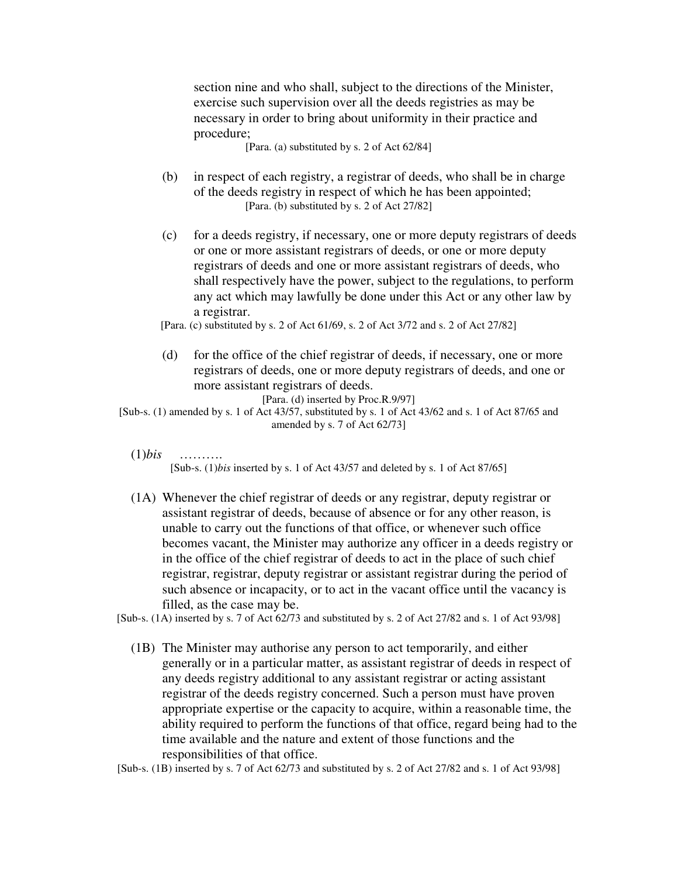section nine and who shall, subject to the directions of the Minister, exercise such supervision over all the deeds registries as may be necessary in order to bring about uniformity in their practice and procedure;

[Para. (a) substituted by s. 2 of Act 62/84]

- (b) in respect of each registry, a registrar of deeds, who shall be in charge of the deeds registry in respect of which he has been appointed; [Para. (b) substituted by s. 2 of Act 27/82]
- (c) for a deeds registry, if necessary, one or more deputy registrars of deeds or one or more assistant registrars of deeds, or one or more deputy registrars of deeds and one or more assistant registrars of deeds, who shall respectively have the power, subject to the regulations, to perform any act which may lawfully be done under this Act or any other law by a registrar.

[Para. (c) substituted by s. 2 of Act 61/69, s. 2 of Act 3/72 and s. 2 of Act 27/82]

(d) for the office of the chief registrar of deeds, if necessary, one or more registrars of deeds, one or more deputy registrars of deeds, and one or more assistant registrars of deeds.

[Para. (d) inserted by Proc.R.9/97]

[Sub-s. (1) amended by s. 1 of Act 43/57, substituted by s. 1 of Act 43/62 and s. 1 of Act 87/65 and amended by s. 7 of Act 62/73]

(1)*bis* ……….

[Sub-s. (1)*bis* inserted by s. 1 of Act 43/57 and deleted by s. 1 of Act 87/65]

(1A) Whenever the chief registrar of deeds or any registrar, deputy registrar or assistant registrar of deeds, because of absence or for any other reason, is unable to carry out the functions of that office, or whenever such office becomes vacant, the Minister may authorize any officer in a deeds registry or in the office of the chief registrar of deeds to act in the place of such chief registrar, registrar, deputy registrar or assistant registrar during the period of such absence or incapacity, or to act in the vacant office until the vacancy is filled, as the case may be.

[Sub-s. (1A) inserted by s. 7 of Act 62/73 and substituted by s. 2 of Act 27/82 and s. 1 of Act 93/98]

(1B) The Minister may authorise any person to act temporarily, and either generally or in a particular matter, as assistant registrar of deeds in respect of any deeds registry additional to any assistant registrar or acting assistant registrar of the deeds registry concerned. Such a person must have proven appropriate expertise or the capacity to acquire, within a reasonable time, the ability required to perform the functions of that office, regard being had to the time available and the nature and extent of those functions and the responsibilities of that office.

[Sub-s. (1B) inserted by s. 7 of Act 62/73 and substituted by s. 2 of Act 27/82 and s. 1 of Act 93/98]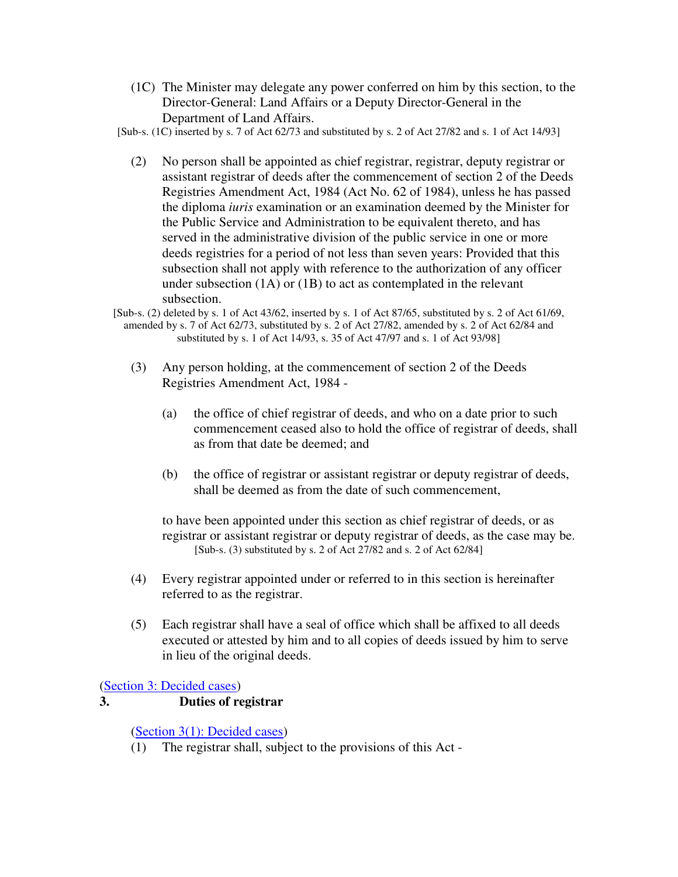(1C) The Minister may delegate any power conferred on him by this section, to the Director-General: Land Affairs or a Deputy Director-General in the Department of Land Affairs.

[Sub-s. (1C) inserted by s. 7 of Act 62/73 and substituted by s. 2 of Act 27/82 and s. 1 of Act 14/93]

- (2) No person shall be appointed as chief registrar, registrar, deputy registrar or assistant registrar of deeds after the commencement of section 2 of the Deeds Registries Amendment Act, 1984 (Act No. 62 of 1984), unless he has passed the diploma *iuris* examination or an examination deemed by the Minister for the Public Service and Administration to be equivalent thereto, and has served in the administrative division of the public service in one or more deeds registries for a period of not less than seven years: Provided that this subsection shall not apply with reference to the authorization of any officer under subsection (1A) or (1B) to act as contemplated in the relevant subsection.
- [Sub-s. (2) deleted by s. 1 of Act 43/62, inserted by s. 1 of Act 87/65, substituted by s. 2 of Act 61/69, amended by s. 7 of Act 62/73, substituted by s. 2 of Act 27/82, amended by s. 2 of Act 62/84 and substituted by s. 1 of Act 14/93, s. 35 of Act 47/97 and s. 1 of Act 93/98]
	- (3) Any person holding, at the commencement of section 2 of the Deeds Registries Amendment Act, 1984 -
		- (a) the office of chief registrar of deeds, and who on a date prior to such commencement ceased also to hold the office of registrar of deeds, shall as from that date be deemed; and
		- (b) the office of registrar or assistant registrar or deputy registrar of deeds, shall be deemed as from the date of such commencement,

to have been appointed under this section as chief registrar of deeds, or as registrar or assistant registrar or deputy registrar of deeds, as the case may be. [Sub-s.  $(3)$  substituted by s. 2 of Act 27/82 and s. 2 of Act 62/84]

- (4) Every registrar appointed under or referred to in this section is hereinafter referred to as the registrar.
- (5) Each registrar shall have a seal of office which shall be affixed to all deeds executed or attested by him and to all copies of deeds issued by him to serve in lieu of the original deeds.

(Section 3: Decided cases)

# **3. Duties of registrar**

(Section 3(1): Decided cases)

(1) The registrar shall, subject to the provisions of this Act -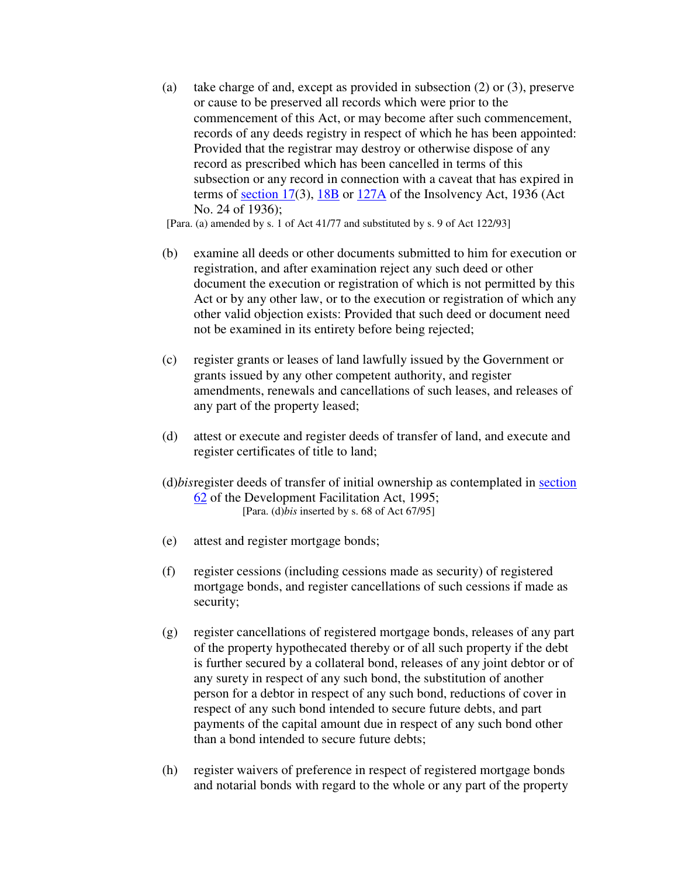(a) take charge of and, except as provided in subsection (2) or (3), preserve or cause to be preserved all records which were prior to the commencement of this Act, or may become after such commencement, records of any deeds registry in respect of which he has been appointed: Provided that the registrar may destroy or otherwise dispose of any record as prescribed which has been cancelled in terms of this subsection or any record in connection with a caveat that has expired in terms of section 17(3), 18B or 127A of the Insolvency Act, 1936 (Act No. 24 of 1936);

[Para. (a) amended by s. 1 of Act 41/77 and substituted by s. 9 of Act 122/93]

- (b) examine all deeds or other documents submitted to him for execution or registration, and after examination reject any such deed or other document the execution or registration of which is not permitted by this Act or by any other law, or to the execution or registration of which any other valid objection exists: Provided that such deed or document need not be examined in its entirety before being rejected;
- (c) register grants or leases of land lawfully issued by the Government or grants issued by any other competent authority, and register amendments, renewals and cancellations of such leases, and releases of any part of the property leased;
- (d) attest or execute and register deeds of transfer of land, and execute and register certificates of title to land;
- (d)*bis* register deeds of transfer of initial ownership as contemplated in section 62 of the Development Facilitation Act, 1995; [Para. (d)*bis* inserted by s. 68 of Act 67/95]
- (e) attest and register mortgage bonds;
- (f) register cessions (including cessions made as security) of registered mortgage bonds, and register cancellations of such cessions if made as security;
- (g) register cancellations of registered mortgage bonds, releases of any part of the property hypothecated thereby or of all such property if the debt is further secured by a collateral bond, releases of any joint debtor or of any surety in respect of any such bond, the substitution of another person for a debtor in respect of any such bond, reductions of cover in respect of any such bond intended to secure future debts, and part payments of the capital amount due in respect of any such bond other than a bond intended to secure future debts;
- (h) register waivers of preference in respect of registered mortgage bonds and notarial bonds with regard to the whole or any part of the property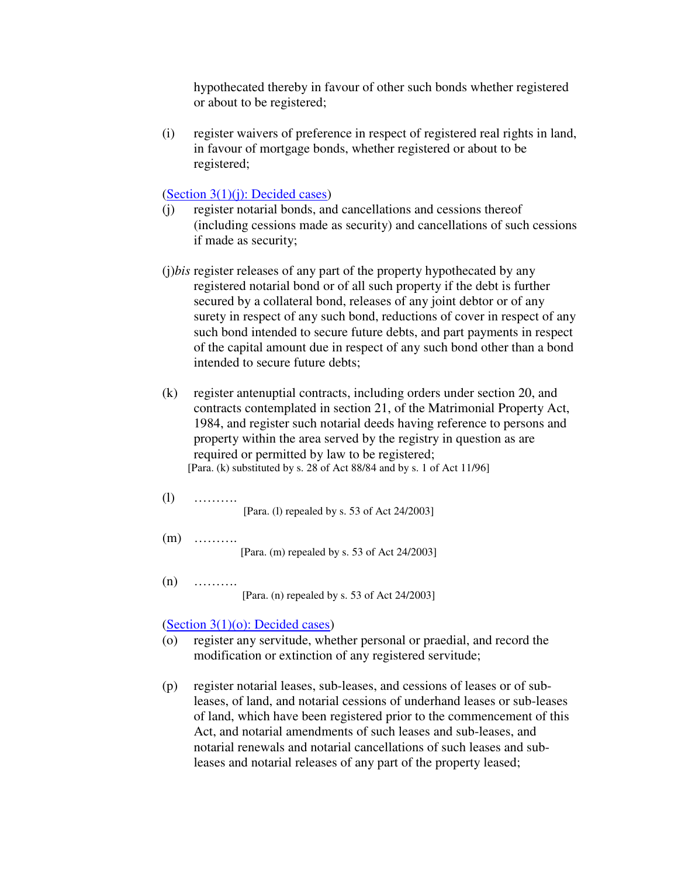hypothecated thereby in favour of other such bonds whether registered or about to be registered;

(i) register waivers of preference in respect of registered real rights in land, in favour of mortgage bonds, whether registered or about to be registered;

(Section 3(1)(j): Decided cases)

- (j) register notarial bonds, and cancellations and cessions thereof (including cessions made as security) and cancellations of such cessions if made as security;
- (j)*bis* register releases of any part of the property hypothecated by any registered notarial bond or of all such property if the debt is further secured by a collateral bond, releases of any joint debtor or of any surety in respect of any such bond, reductions of cover in respect of any such bond intended to secure future debts, and part payments in respect of the capital amount due in respect of any such bond other than a bond intended to secure future debts;
- (k) register antenuptial contracts, including orders under section 20, and contracts contemplated in section 21, of the Matrimonial Property Act, 1984, and register such notarial deeds having reference to persons and property within the area served by the registry in question as are required or permitted by law to be registered; [Para. (k) substituted by s. 28 of Act 88/84 and by s. 1 of Act 11/96]
- (l) ………. [Para. (l) repealed by s. 53 of Act 24/2003]
- (m) ……….

[Para. (m) repealed by s. 53 of Act 24/2003]

(n) ………. [Para. (n) repealed by s. 53 of Act 24/2003]

(Section 3(1)(o): Decided cases)

- (o) register any servitude, whether personal or praedial, and record the modification or extinction of any registered servitude;
- (p) register notarial leases, sub-leases, and cessions of leases or of subleases, of land, and notarial cessions of underhand leases or sub-leases of land, which have been registered prior to the commencement of this Act, and notarial amendments of such leases and sub-leases, and notarial renewals and notarial cancellations of such leases and subleases and notarial releases of any part of the property leased;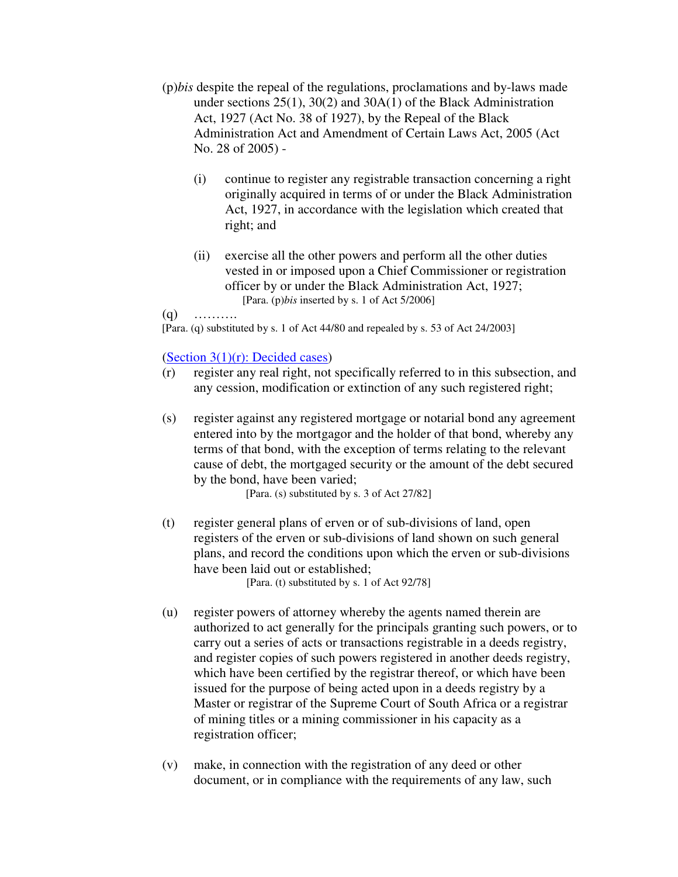- (p)*bis* despite the repeal of the regulations, proclamations and by-laws made under sections 25(1), 30(2) and 30A(1) of the Black Administration Act, 1927 (Act No. 38 of 1927), by the Repeal of the Black Administration Act and Amendment of Certain Laws Act, 2005 (Act No. 28 of 2005) -
	- (i) continue to register any registrable transaction concerning a right originally acquired in terms of or under the Black Administration Act, 1927, in accordance with the legislation which created that right; and
	- (ii) exercise all the other powers and perform all the other duties vested in or imposed upon a Chief Commissioner or registration officer by or under the Black Administration Act, 1927; [Para. (p)*bis* inserted by s. 1 of Act 5/2006]
- $(q)$  ………

(Section 3(1)(r): Decided cases)

- (r) register any real right, not specifically referred to in this subsection, and any cession, modification or extinction of any such registered right;
- (s) register against any registered mortgage or notarial bond any agreement entered into by the mortgagor and the holder of that bond, whereby any terms of that bond, with the exception of terms relating to the relevant cause of debt, the mortgaged security or the amount of the debt secured by the bond, have been varied;

[Para. (s) substituted by s. 3 of Act 27/82]

(t) register general plans of erven or of sub-divisions of land, open registers of the erven or sub-divisions of land shown on such general plans, and record the conditions upon which the erven or sub-divisions have been laid out or established;

[Para. (t) substituted by s. 1 of Act 92/78]

- (u) register powers of attorney whereby the agents named therein are authorized to act generally for the principals granting such powers, or to carry out a series of acts or transactions registrable in a deeds registry, and register copies of such powers registered in another deeds registry, which have been certified by the registrar thereof, or which have been issued for the purpose of being acted upon in a deeds registry by a Master or registrar of the Supreme Court of South Africa or a registrar of mining titles or a mining commissioner in his capacity as a registration officer;
- (v) make, in connection with the registration of any deed or other document, or in compliance with the requirements of any law, such

<sup>[</sup>Para. (q) substituted by s. 1 of Act 44/80 and repealed by s. 53 of Act 24/2003]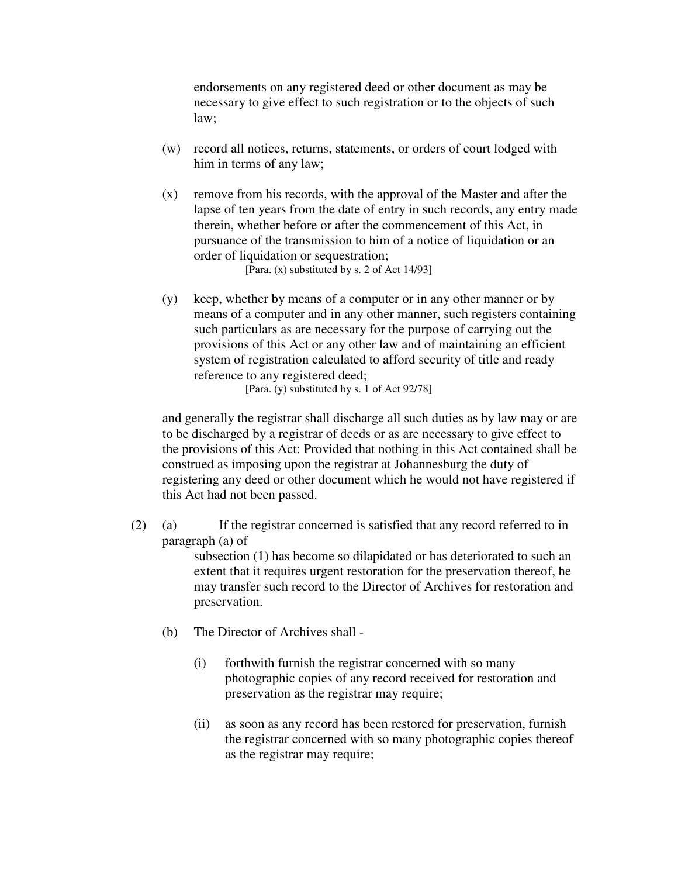endorsements on any registered deed or other document as may be necessary to give effect to such registration or to the objects of such law;

- (w) record all notices, returns, statements, or orders of court lodged with him in terms of any law;
- (x) remove from his records, with the approval of the Master and after the lapse of ten years from the date of entry in such records, any entry made therein, whether before or after the commencement of this Act, in pursuance of the transmission to him of a notice of liquidation or an order of liquidation or sequestration;

[Para. (x) substituted by s. 2 of Act 14/93]

(y) keep, whether by means of a computer or in any other manner or by means of a computer and in any other manner, such registers containing such particulars as are necessary for the purpose of carrying out the provisions of this Act or any other law and of maintaining an efficient system of registration calculated to afford security of title and ready reference to any registered deed;

[Para. (y) substituted by s. 1 of Act 92/78]

and generally the registrar shall discharge all such duties as by law may or are to be discharged by a registrar of deeds or as are necessary to give effect to the provisions of this Act: Provided that nothing in this Act contained shall be construed as imposing upon the registrar at Johannesburg the duty of registering any deed or other document which he would not have registered if this Act had not been passed.

- (2) (a) If the registrar concerned is satisfied that any record referred to in paragraph (a) of subsection (1) has become so dilapidated or has deteriorated to such an extent that it requires urgent restoration for the preservation thereof, he may transfer such record to the Director of Archives for restoration and
	- (b) The Director of Archives shall -

preservation.

- (i) forthwith furnish the registrar concerned with so many photographic copies of any record received for restoration and preservation as the registrar may require;
- (ii) as soon as any record has been restored for preservation, furnish the registrar concerned with so many photographic copies thereof as the registrar may require;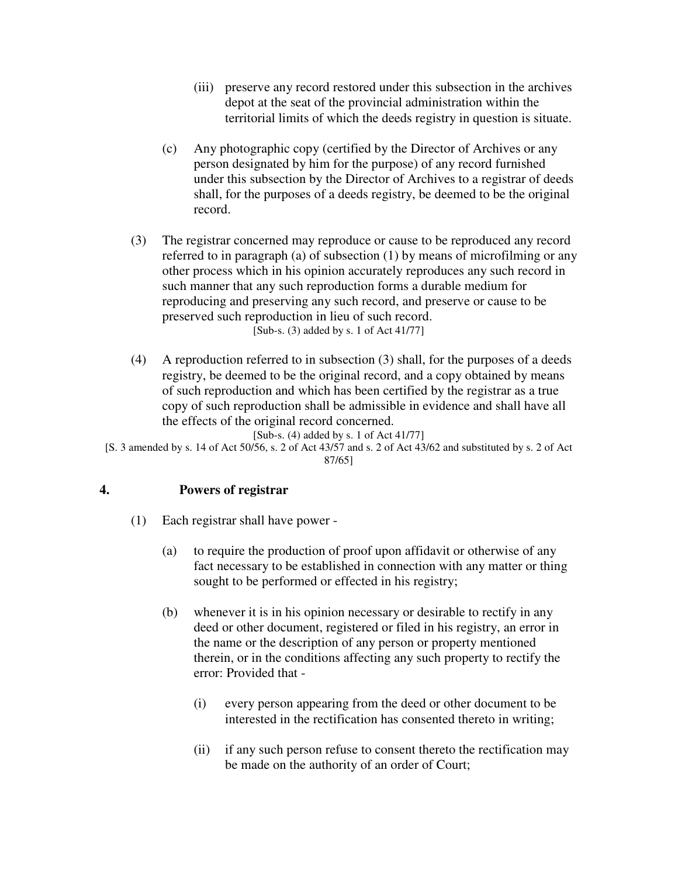- (iii) preserve any record restored under this subsection in the archives depot at the seat of the provincial administration within the territorial limits of which the deeds registry in question is situate.
- (c) Any photographic copy (certified by the Director of Archives or any person designated by him for the purpose) of any record furnished under this subsection by the Director of Archives to a registrar of deeds shall, for the purposes of a deeds registry, be deemed to be the original record.
- (3) The registrar concerned may reproduce or cause to be reproduced any record referred to in paragraph (a) of subsection (1) by means of microfilming or any other process which in his opinion accurately reproduces any such record in such manner that any such reproduction forms a durable medium for reproducing and preserving any such record, and preserve or cause to be preserved such reproduction in lieu of such record. [Sub-s. (3) added by s. 1 of Act 41/77]
- (4) A reproduction referred to in subsection (3) shall, for the purposes of a deeds registry, be deemed to be the original record, and a copy obtained by means of such reproduction and which has been certified by the registrar as a true copy of such reproduction shall be admissible in evidence and shall have all the effects of the original record concerned.

[Sub-s. (4) added by s. 1 of Act 41/77] [S. 3 amended by s. 14 of Act 50/56, s. 2 of Act 43/57 and s. 2 of Act 43/62 and substituted by s. 2 of Act 87/65]

# **4. Powers of registrar**

- (1) Each registrar shall have power
	- (a) to require the production of proof upon affidavit or otherwise of any fact necessary to be established in connection with any matter or thing sought to be performed or effected in his registry;
	- (b) whenever it is in his opinion necessary or desirable to rectify in any deed or other document, registered or filed in his registry, an error in the name or the description of any person or property mentioned therein, or in the conditions affecting any such property to rectify the error: Provided that -
		- (i) every person appearing from the deed or other document to be interested in the rectification has consented thereto in writing;
		- (ii) if any such person refuse to consent thereto the rectification may be made on the authority of an order of Court;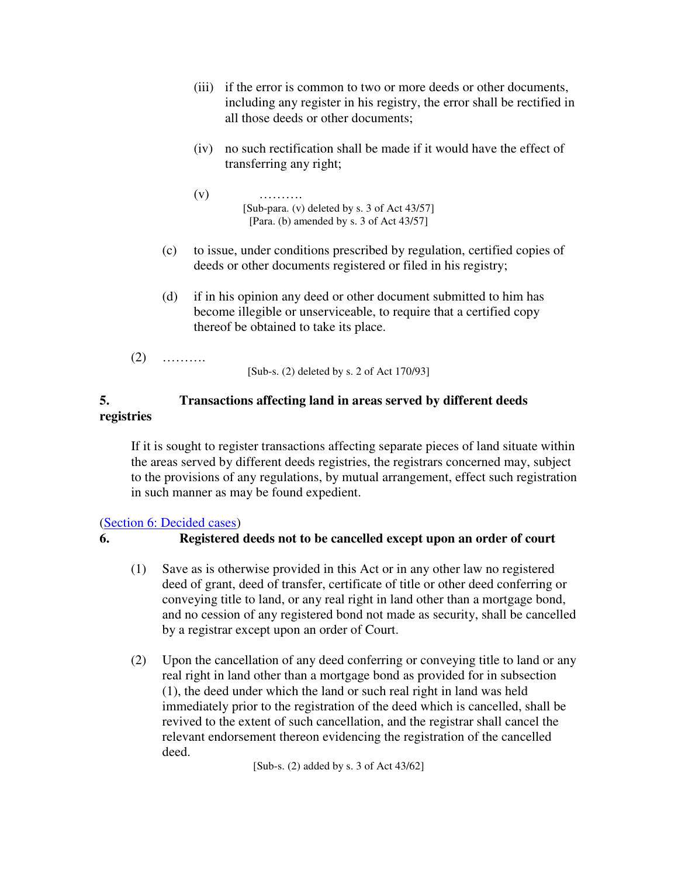- (iii) if the error is common to two or more deeds or other documents, including any register in his registry, the error shall be rectified in all those deeds or other documents;
- (iv) no such rectification shall be made if it would have the effect of transferring any right;
- $(v)$ [Sub-para. (v) deleted by s. 3 of Act 43/57] [Para. (b) amended by s. 3 of Act 43/57]
- (c) to issue, under conditions prescribed by regulation, certified copies of deeds or other documents registered or filed in his registry;
- (d) if in his opinion any deed or other document submitted to him has become illegible or unserviceable, to require that a certified copy thereof be obtained to take its place.
- (2) ……….

[Sub-s. (2) deleted by s. 2 of Act 170/93]

# **5. Transactions affecting land in areas served by different deeds registries**

If it is sought to register transactions affecting separate pieces of land situate within the areas served by different deeds registries, the registrars concerned may, subject to the provisions of any regulations, by mutual arrangement, effect such registration in such manner as may be found expedient.

# (Section 6: Decided cases)

# **6. Registered deeds not to be cancelled except upon an order of court**

- (1) Save as is otherwise provided in this Act or in any other law no registered deed of grant, deed of transfer, certificate of title or other deed conferring or conveying title to land, or any real right in land other than a mortgage bond, and no cession of any registered bond not made as security, shall be cancelled by a registrar except upon an order of Court.
- (2) Upon the cancellation of any deed conferring or conveying title to land or any real right in land other than a mortgage bond as provided for in subsection (1), the deed under which the land or such real right in land was held immediately prior to the registration of the deed which is cancelled, shall be revived to the extent of such cancellation, and the registrar shall cancel the relevant endorsement thereon evidencing the registration of the cancelled deed.

[Sub-s. (2) added by s. 3 of Act 43/62]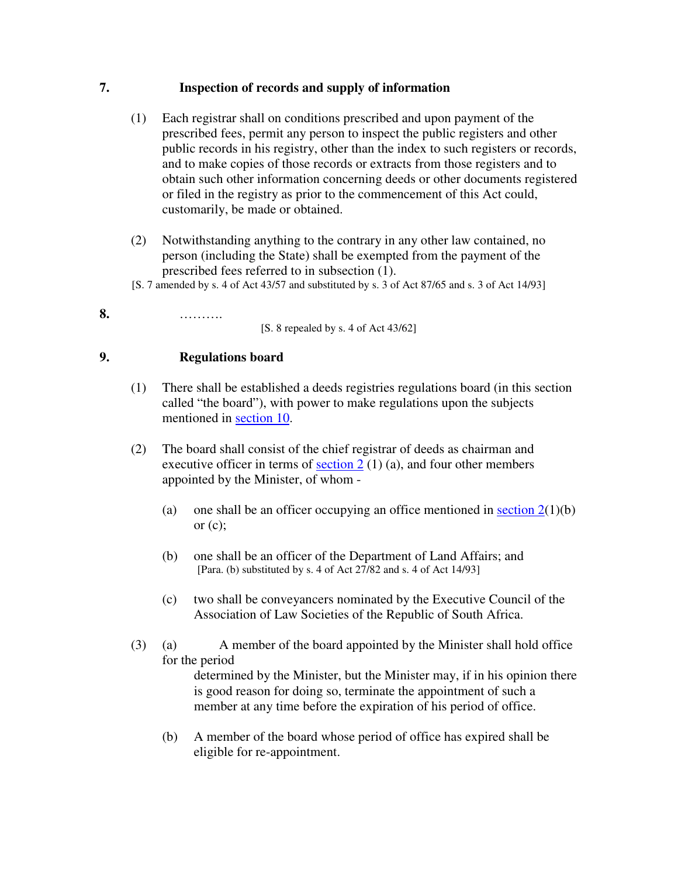# **7. Inspection of records and supply of information**

- (1) Each registrar shall on conditions prescribed and upon payment of the prescribed fees, permit any person to inspect the public registers and other public records in his registry, other than the index to such registers or records, and to make copies of those records or extracts from those registers and to obtain such other information concerning deeds or other documents registered or filed in the registry as prior to the commencement of this Act could, customarily, be made or obtained.
- (2) Notwithstanding anything to the contrary in any other law contained, no person (including the State) shall be exempted from the payment of the prescribed fees referred to in subsection (1).
- [S. 7 amended by s. 4 of Act 43/57 and substituted by s. 3 of Act 87/65 and s. 3 of Act 14/93]

#### **8.** ………. [S. 8 repealed by s. 4 of Act 43/62]

# **9. Regulations board**

- (1) There shall be established a deeds registries regulations board (in this section called "the board"), with power to make regulations upon the subjects mentioned in section 10.
- (2) The board shall consist of the chief registrar of deeds as chairman and executive officer in terms of section  $2(1)(a)$ , and four other members appointed by the Minister, of whom -
	- (a) one shall be an officer occupying an office mentioned in section  $2(1)(b)$ or  $(c)$ :
	- (b) one shall be an officer of the Department of Land Affairs; and [Para. (b) substituted by s. 4 of Act 27/82 and s. 4 of Act 14/93]
	- (c) two shall be conveyancers nominated by the Executive Council of the Association of Law Societies of the Republic of South Africa.
- (3) (a) A member of the board appointed by the Minister shall hold office for the period determined by the Minister, but the Minister may, if in his opinion there is good reason for doing so, terminate the appointment of such a member at any time before the expiration of his period of office.
	- (b) A member of the board whose period of office has expired shall be eligible for re-appointment.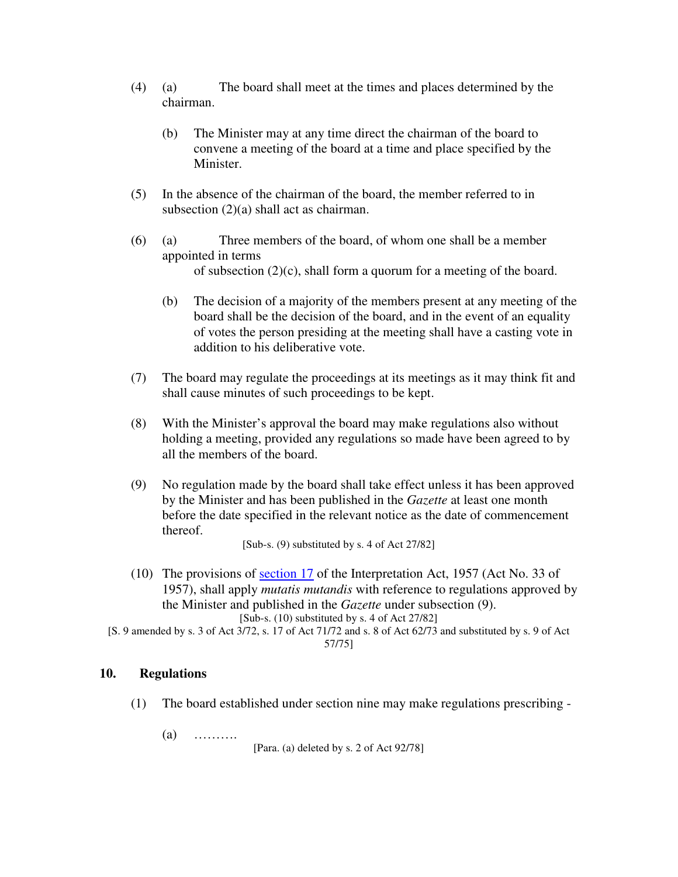- (4) (a) The board shall meet at the times and places determined by the chairman.
	- (b) The Minister may at any time direct the chairman of the board to convene a meeting of the board at a time and place specified by the Minister.
- (5) In the absence of the chairman of the board, the member referred to in subsection  $(2)(a)$  shall act as chairman.
- (6) (a) Three members of the board, of whom one shall be a member appointed in terms of subsection (2)(c), shall form a quorum for a meeting of the board.
	- (b) The decision of a majority of the members present at any meeting of the board shall be the decision of the board, and in the event of an equality of votes the person presiding at the meeting shall have a casting vote in addition to his deliberative vote.
- (7) The board may regulate the proceedings at its meetings as it may think fit and shall cause minutes of such proceedings to be kept.
- (8) With the Minister's approval the board may make regulations also without holding a meeting, provided any regulations so made have been agreed to by all the members of the board.
- (9) No regulation made by the board shall take effect unless it has been approved by the Minister and has been published in the *Gazette* at least one month before the date specified in the relevant notice as the date of commencement thereof.

[Sub-s. (9) substituted by s. 4 of Act 27/82]

- (10) The provisions of section 17 of the Interpretation Act, 1957 (Act No. 33 of 1957), shall apply *mutatis mutandis* with reference to regulations approved by the Minister and published in the *Gazette* under subsection (9). [Sub-s. (10) substituted by s. 4 of Act 27/82]
- [S. 9 amended by s. 3 of Act 3/72, s. 17 of Act 71/72 and s. 8 of Act 62/73 and substituted by s. 9 of Act 57/75]

### **10. Regulations**

- (1) The board established under section nine may make regulations prescribing
	- $(a)$  ………

[Para. (a) deleted by s. 2 of Act 92/78]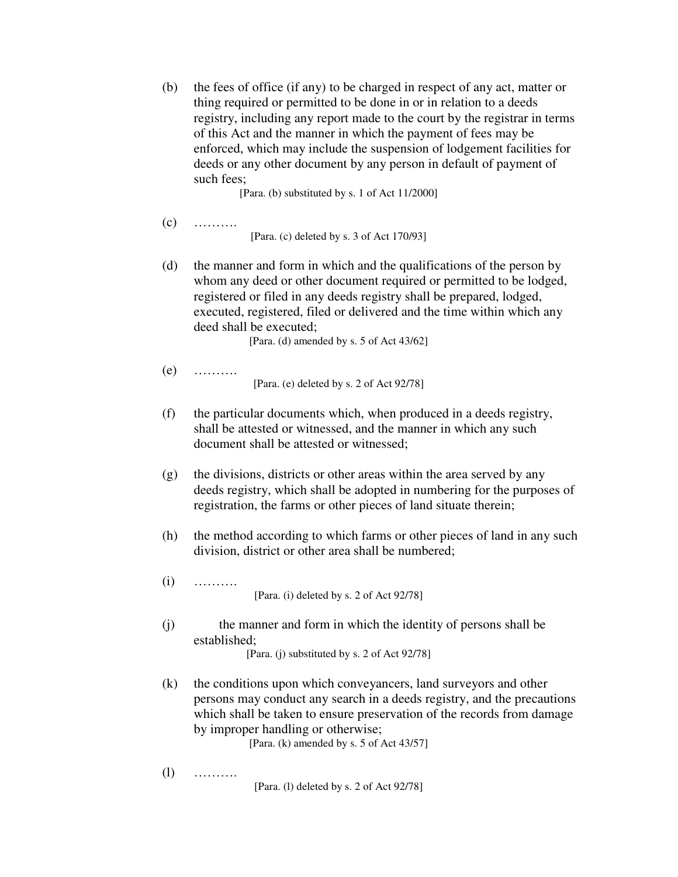(b) the fees of office (if any) to be charged in respect of any act, matter or thing required or permitted to be done in or in relation to a deeds registry, including any report made to the court by the registrar in terms of this Act and the manner in which the payment of fees may be enforced, which may include the suspension of lodgement facilities for deeds or any other document by any person in default of payment of such fees;

[Para. (b) substituted by s. 1 of Act 11/2000]

 $(c)$  ………

[Para. (c) deleted by s. 3 of Act 170/93]

(d) the manner and form in which and the qualifications of the person by whom any deed or other document required or permitted to be lodged, registered or filed in any deeds registry shall be prepared, lodged, executed, registered, filed or delivered and the time within which any deed shall be executed;

[Para. (d) amended by s. 5 of Act 43/62]

(e) ……….

[Para. (e) deleted by s. 2 of Act 92/78]

- (f) the particular documents which, when produced in a deeds registry, shall be attested or witnessed, and the manner in which any such document shall be attested or witnessed;
- (g) the divisions, districts or other areas within the area served by any deeds registry, which shall be adopted in numbering for the purposes of registration, the farms or other pieces of land situate therein;
- (h) the method according to which farms or other pieces of land in any such division, district or other area shall be numbered;
- $(i)$  ……… [Para. (i) deleted by s. 2 of Act 92/78]
- (j) the manner and form in which the identity of persons shall be established;
	- [Para. (j) substituted by s. 2 of Act 92/78]
- (k) the conditions upon which conveyancers, land surveyors and other persons may conduct any search in a deeds registry, and the precautions which shall be taken to ensure preservation of the records from damage by improper handling or otherwise;

[Para. (k) amended by s. 5 of Act 43/57]

(l) ……….

[Para. (l) deleted by s. 2 of Act 92/78]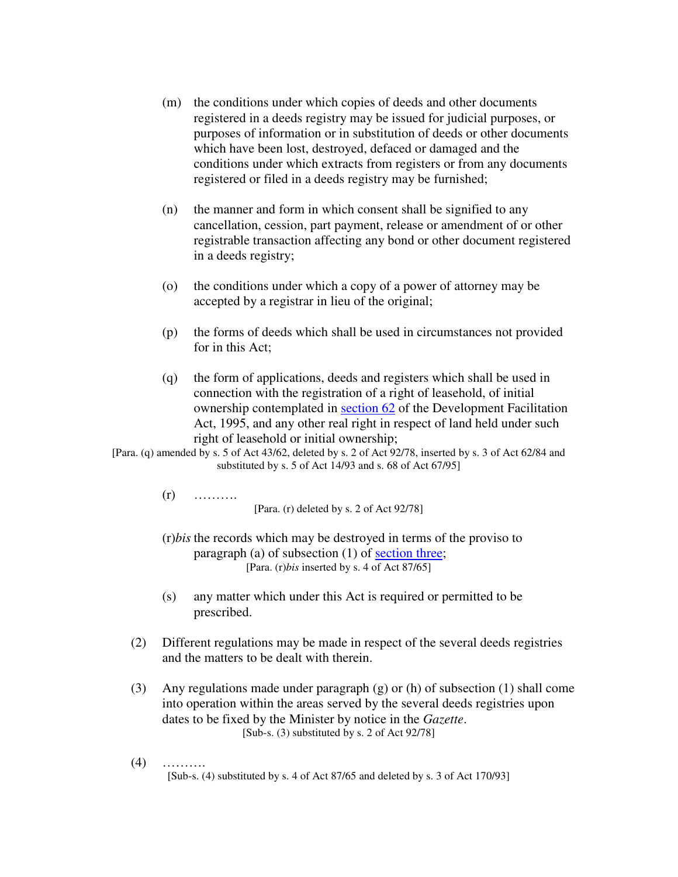- (m) the conditions under which copies of deeds and other documents registered in a deeds registry may be issued for judicial purposes, or purposes of information or in substitution of deeds or other documents which have been lost, destroyed, defaced or damaged and the conditions under which extracts from registers or from any documents registered or filed in a deeds registry may be furnished;
- (n) the manner and form in which consent shall be signified to any cancellation, cession, part payment, release or amendment of or other registrable transaction affecting any bond or other document registered in a deeds registry;
- (o) the conditions under which a copy of a power of attorney may be accepted by a registrar in lieu of the original;
- (p) the forms of deeds which shall be used in circumstances not provided for in this Act;
- (q) the form of applications, deeds and registers which shall be used in connection with the registration of a right of leasehold, of initial ownership contemplated in section 62 of the Development Facilitation Act, 1995, and any other real right in respect of land held under such right of leasehold or initial ownership;
- [Para. (q) amended by s. 5 of Act 43/62, deleted by s. 2 of Act 92/78, inserted by s. 3 of Act 62/84 and substituted by s. 5 of Act 14/93 and s. 68 of Act 67/95]
	- $(r)$  ………
		- [Para. (r) deleted by s. 2 of Act 92/78]
	- (r)*bis* the records which may be destroyed in terms of the proviso to paragraph (a) of subsection (1) of section three; [Para. (r)*bis* inserted by s. 4 of Act 87/65]
	- (s) any matter which under this Act is required or permitted to be prescribed.
	- (2) Different regulations may be made in respect of the several deeds registries and the matters to be dealt with therein.
	- (3) Any regulations made under paragraph (g) or (h) of subsection (1) shall come into operation within the areas served by the several deeds registries upon dates to be fixed by the Minister by notice in the *Gazette*. [Sub-s. (3) substituted by s. 2 of Act 92/78]
	- (4) ………. [Sub-s. (4) substituted by s. 4 of Act 87/65 and deleted by s. 3 of Act 170/93]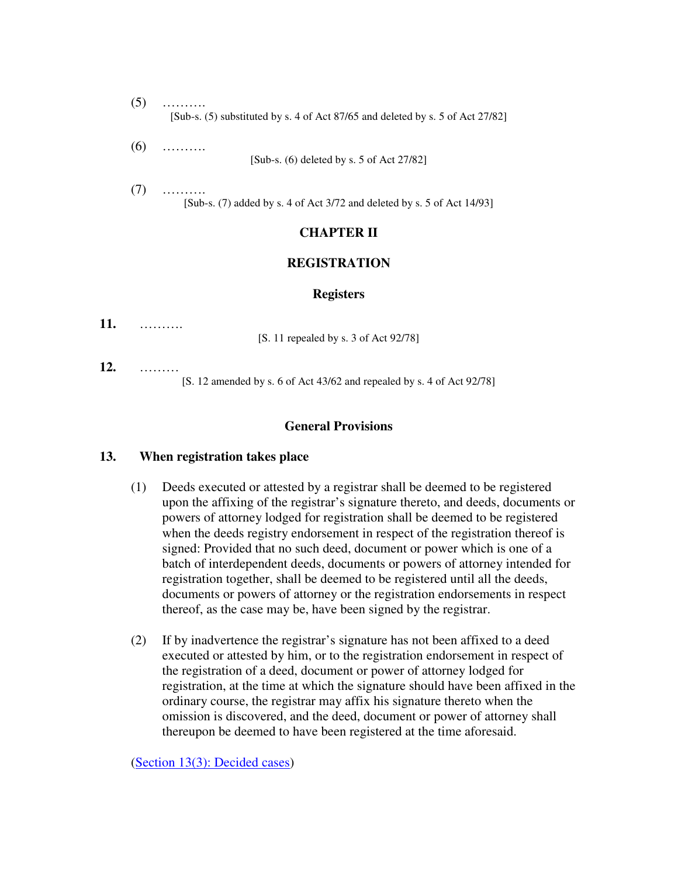- (5) ………. [Sub-s. (5) substituted by s. 4 of Act 87/65 and deleted by s. 5 of Act 27/82]
- (6) ………. [Sub-s. (6) deleted by s. 5 of Act 27/82]
- (7) ………. [Sub-s. (7) added by s. 4 of Act 3/72 and deleted by s. 5 of Act 14/93]

# **CHAPTER II**

### **REGISTRATION**

#### **Registers**

**11.** ………. [S. 11 repealed by s. 3 of Act 92/78] **12.** ………

[S. 12 amended by s. 6 of Act 43/62 and repealed by s. 4 of Act 92/78]

#### **General Provisions**

#### **13. When registration takes place**

- (1) Deeds executed or attested by a registrar shall be deemed to be registered upon the affixing of the registrar's signature thereto, and deeds, documents or powers of attorney lodged for registration shall be deemed to be registered when the deeds registry endorsement in respect of the registration thereof is signed: Provided that no such deed, document or power which is one of a batch of interdependent deeds, documents or powers of attorney intended for registration together, shall be deemed to be registered until all the deeds, documents or powers of attorney or the registration endorsements in respect thereof, as the case may be, have been signed by the registrar.
- (2) If by inadvertence the registrar's signature has not been affixed to a deed executed or attested by him, or to the registration endorsement in respect of the registration of a deed, document or power of attorney lodged for registration, at the time at which the signature should have been affixed in the ordinary course, the registrar may affix his signature thereto when the omission is discovered, and the deed, document or power of attorney shall thereupon be deemed to have been registered at the time aforesaid.

(Section 13(3): Decided cases)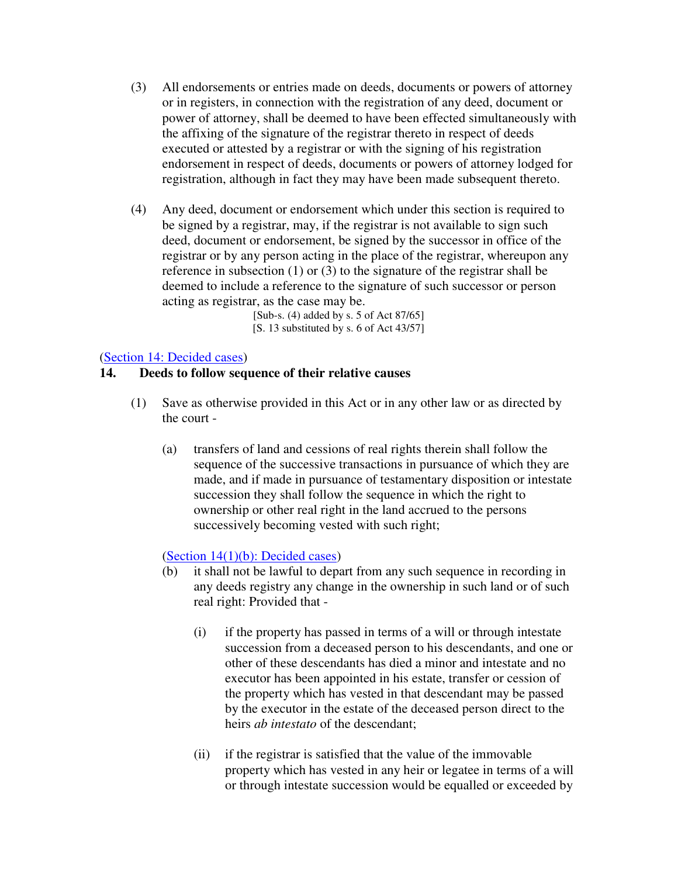- (3) All endorsements or entries made on deeds, documents or powers of attorney or in registers, in connection with the registration of any deed, document or power of attorney, shall be deemed to have been effected simultaneously with the affixing of the signature of the registrar thereto in respect of deeds executed or attested by a registrar or with the signing of his registration endorsement in respect of deeds, documents or powers of attorney lodged for registration, although in fact they may have been made subsequent thereto.
- (4) Any deed, document or endorsement which under this section is required to be signed by a registrar, may, if the registrar is not available to sign such deed, document or endorsement, be signed by the successor in office of the registrar or by any person acting in the place of the registrar, whereupon any reference in subsection (1) or (3) to the signature of the registrar shall be deemed to include a reference to the signature of such successor or person acting as registrar, as the case may be.

[Sub-s. (4) added by s. 5 of Act 87/65] [S. 13 substituted by s. 6 of Act 43/57]

# (Section 14: Decided cases)

### **14. Deeds to follow sequence of their relative causes**

- (1) Save as otherwise provided in this Act or in any other law or as directed by the court -
	- (a) transfers of land and cessions of real rights therein shall follow the sequence of the successive transactions in pursuance of which they are made, and if made in pursuance of testamentary disposition or intestate succession they shall follow the sequence in which the right to ownership or other real right in the land accrued to the persons successively becoming vested with such right;

### (Section 14(1)(b): Decided cases)

- (b) it shall not be lawful to depart from any such sequence in recording in any deeds registry any change in the ownership in such land or of such real right: Provided that -
	- (i) if the property has passed in terms of a will or through intestate succession from a deceased person to his descendants, and one or other of these descendants has died a minor and intestate and no executor has been appointed in his estate, transfer or cession of the property which has vested in that descendant may be passed by the executor in the estate of the deceased person direct to the heirs *ab intestato* of the descendant;
	- (ii) if the registrar is satisfied that the value of the immovable property which has vested in any heir or legatee in terms of a will or through intestate succession would be equalled or exceeded by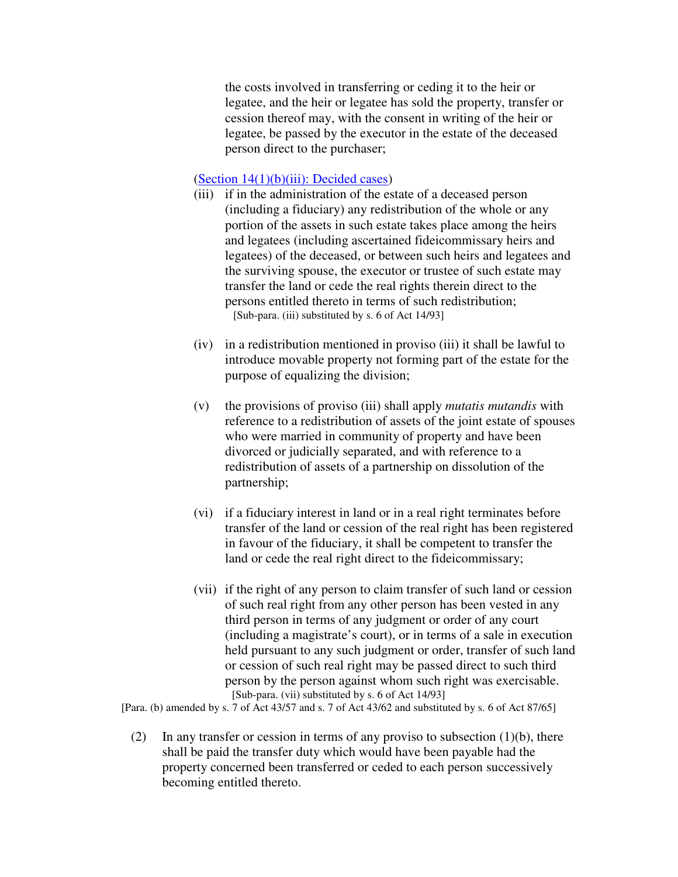the costs involved in transferring or ceding it to the heir or legatee, and the heir or legatee has sold the property, transfer or cession thereof may, with the consent in writing of the heir or legatee, be passed by the executor in the estate of the deceased person direct to the purchaser;

## (Section  $14(1)(b)(iii)$ : Decided cases)

- (iii) if in the administration of the estate of a deceased person (including a fiduciary) any redistribution of the whole or any portion of the assets in such estate takes place among the heirs and legatees (including ascertained fideicommissary heirs and legatees) of the deceased, or between such heirs and legatees and the surviving spouse, the executor or trustee of such estate may transfer the land or cede the real rights therein direct to the persons entitled thereto in terms of such redistribution; [Sub-para. (iii) substituted by s. 6 of Act 14/93]
- (iv) in a redistribution mentioned in proviso (iii) it shall be lawful to introduce movable property not forming part of the estate for the purpose of equalizing the division;
- (v) the provisions of proviso (iii) shall apply *mutatis mutandis* with reference to a redistribution of assets of the joint estate of spouses who were married in community of property and have been divorced or judicially separated, and with reference to a redistribution of assets of a partnership on dissolution of the partnership;
- (vi) if a fiduciary interest in land or in a real right terminates before transfer of the land or cession of the real right has been registered in favour of the fiduciary, it shall be competent to transfer the land or cede the real right direct to the fideicommissary;
- (vii) if the right of any person to claim transfer of such land or cession of such real right from any other person has been vested in any third person in terms of any judgment or order of any court (including a magistrate's court), or in terms of a sale in execution held pursuant to any such judgment or order, transfer of such land or cession of such real right may be passed direct to such third person by the person against whom such right was exercisable. [Sub-para. (vii) substituted by s. 6 of Act 14/93]

[Para. (b) amended by s. 7 of Act 43/57 and s. 7 of Act 43/62 and substituted by s. 6 of Act 87/65]

(2) In any transfer or cession in terms of any proviso to subsection (1)(b), there shall be paid the transfer duty which would have been payable had the property concerned been transferred or ceded to each person successively becoming entitled thereto.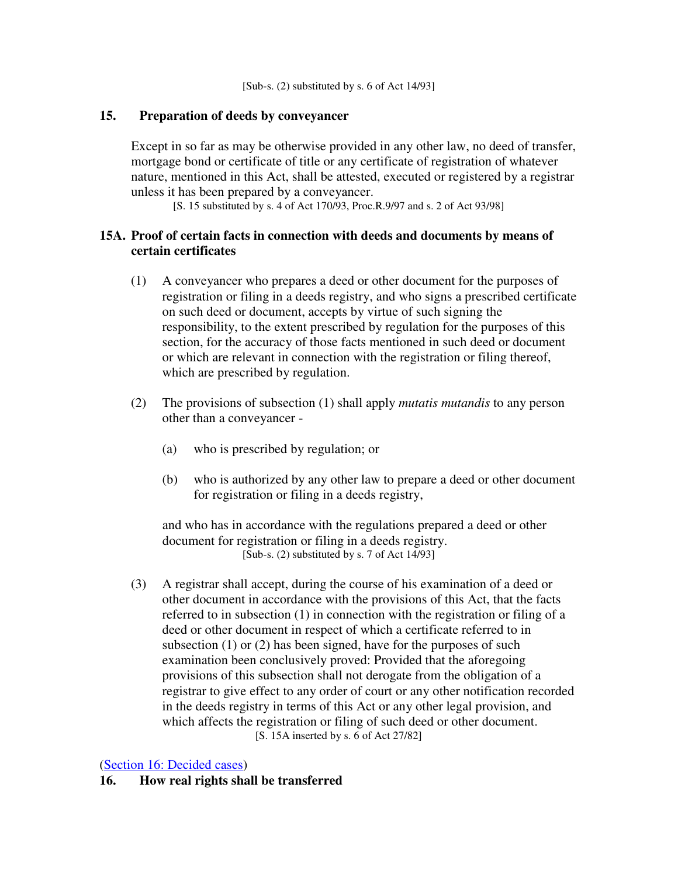[Sub-s. (2) substituted by s. 6 of Act 14/93]

#### **15. Preparation of deeds by conveyancer**

Except in so far as may be otherwise provided in any other law, no deed of transfer, mortgage bond or certificate of title or any certificate of registration of whatever nature, mentioned in this Act, shall be attested, executed or registered by a registrar unless it has been prepared by a conveyancer.

[S. 15 substituted by s. 4 of Act 170/93, Proc.R.9/97 and s. 2 of Act 93/98]

# **15A. Proof of certain facts in connection with deeds and documents by means of certain certificates**

- (1) A conveyancer who prepares a deed or other document for the purposes of registration or filing in a deeds registry, and who signs a prescribed certificate on such deed or document, accepts by virtue of such signing the responsibility, to the extent prescribed by regulation for the purposes of this section, for the accuracy of those facts mentioned in such deed or document or which are relevant in connection with the registration or filing thereof, which are prescribed by regulation.
- (2) The provisions of subsection (1) shall apply *mutatis mutandis* to any person other than a conveyancer -
	- (a) who is prescribed by regulation; or
	- (b) who is authorized by any other law to prepare a deed or other document for registration or filing in a deeds registry,

and who has in accordance with the regulations prepared a deed or other document for registration or filing in a deeds registry. [Sub-s. (2) substituted by s. 7 of Act 14/93]

(3) A registrar shall accept, during the course of his examination of a deed or other document in accordance with the provisions of this Act, that the facts referred to in subsection (1) in connection with the registration or filing of a deed or other document in respect of which a certificate referred to in subsection (1) or (2) has been signed, have for the purposes of such examination been conclusively proved: Provided that the aforegoing provisions of this subsection shall not derogate from the obligation of a registrar to give effect to any order of court or any other notification recorded in the deeds registry in terms of this Act or any other legal provision, and which affects the registration or filing of such deed or other document. [S. 15A inserted by s. 6 of Act 27/82]

(Section 16: Decided cases)

**16. How real rights shall be transferred**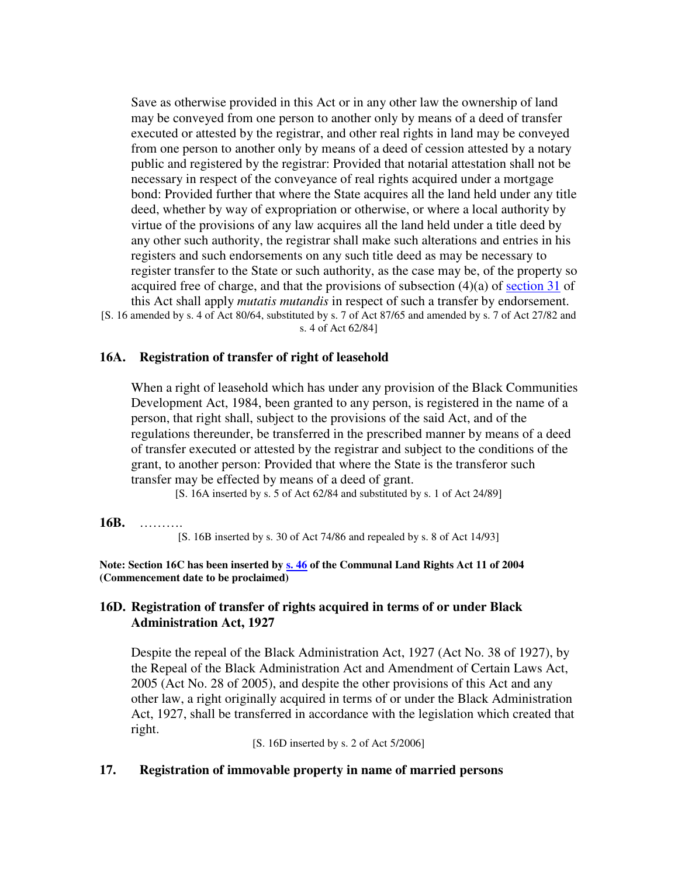Save as otherwise provided in this Act or in any other law the ownership of land may be conveyed from one person to another only by means of a deed of transfer executed or attested by the registrar, and other real rights in land may be conveyed from one person to another only by means of a deed of cession attested by a notary public and registered by the registrar: Provided that notarial attestation shall not be necessary in respect of the conveyance of real rights acquired under a mortgage bond: Provided further that where the State acquires all the land held under any title deed, whether by way of expropriation or otherwise, or where a local authority by virtue of the provisions of any law acquires all the land held under a title deed by any other such authority, the registrar shall make such alterations and entries in his registers and such endorsements on any such title deed as may be necessary to register transfer to the State or such authority, as the case may be, of the property so acquired free of charge, and that the provisions of subsection  $(4)(a)$  of section 31 of this Act shall apply *mutatis mutandis* in respect of such a transfer by endorsement. [S. 16 amended by s. 4 of Act 80/64, substituted by s. 7 of Act 87/65 and amended by s. 7 of Act 27/82 and

s. 4 of Act 62/84]

### **16A. Registration of transfer of right of leasehold**

When a right of leasehold which has under any provision of the Black Communities Development Act, 1984, been granted to any person, is registered in the name of a person, that right shall, subject to the provisions of the said Act, and of the regulations thereunder, be transferred in the prescribed manner by means of a deed of transfer executed or attested by the registrar and subject to the conditions of the grant, to another person: Provided that where the State is the transferor such transfer may be effected by means of a deed of grant.

[S. 16A inserted by s. 5 of Act 62/84 and substituted by s. 1 of Act 24/89]

#### **16B.** ……….

[S. 16B inserted by s. 30 of Act 74/86 and repealed by s. 8 of Act 14/93]

**Note: Section 16C has been inserted by s. 46 of the Communal Land Rights Act 11 of 2004 (Commencement date to be proclaimed)** 

### **16D. Registration of transfer of rights acquired in terms of or under Black Administration Act, 1927**

Despite the repeal of the Black Administration Act, 1927 (Act No. 38 of 1927), by the Repeal of the Black Administration Act and Amendment of Certain Laws Act, 2005 (Act No. 28 of 2005), and despite the other provisions of this Act and any other law, a right originally acquired in terms of or under the Black Administration Act, 1927, shall be transferred in accordance with the legislation which created that right.

[S. 16D inserted by s. 2 of Act 5/2006]

### **17. Registration of immovable property in name of married persons**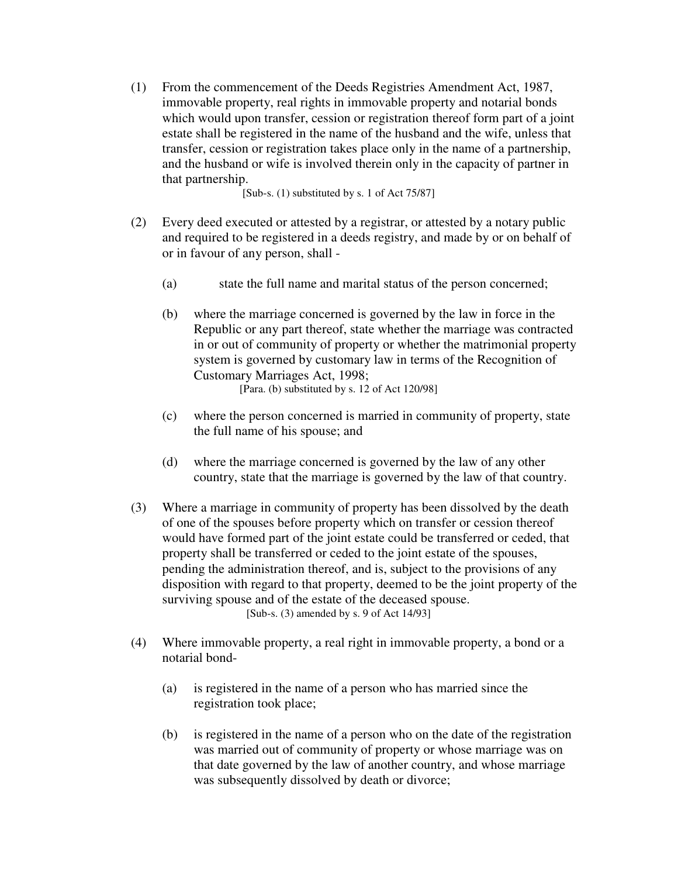(1) From the commencement of the Deeds Registries Amendment Act, 1987, immovable property, real rights in immovable property and notarial bonds which would upon transfer, cession or registration thereof form part of a joint estate shall be registered in the name of the husband and the wife, unless that transfer, cession or registration takes place only in the name of a partnership, and the husband or wife is involved therein only in the capacity of partner in that partnership.

[Sub-s. (1) substituted by s. 1 of Act 75/87]

- (2) Every deed executed or attested by a registrar, or attested by a notary public and required to be registered in a deeds registry, and made by or on behalf of or in favour of any person, shall -
	- (a) state the full name and marital status of the person concerned;
	- (b) where the marriage concerned is governed by the law in force in the Republic or any part thereof, state whether the marriage was contracted in or out of community of property or whether the matrimonial property system is governed by customary law in terms of the Recognition of Customary Marriages Act, 1998; [Para. (b) substituted by s. 12 of Act 120/98]
	- (c) where the person concerned is married in community of property, state the full name of his spouse; and
	- (d) where the marriage concerned is governed by the law of any other country, state that the marriage is governed by the law of that country.
- (3) Where a marriage in community of property has been dissolved by the death of one of the spouses before property which on transfer or cession thereof would have formed part of the joint estate could be transferred or ceded, that property shall be transferred or ceded to the joint estate of the spouses, pending the administration thereof, and is, subject to the provisions of any disposition with regard to that property, deemed to be the joint property of the surviving spouse and of the estate of the deceased spouse. [Sub-s. (3) amended by s. 9 of Act 14/93]
- (4) Where immovable property, a real right in immovable property, a bond or a notarial bond-
	- (a) is registered in the name of a person who has married since the registration took place;
	- (b) is registered in the name of a person who on the date of the registration was married out of community of property or whose marriage was on that date governed by the law of another country, and whose marriage was subsequently dissolved by death or divorce;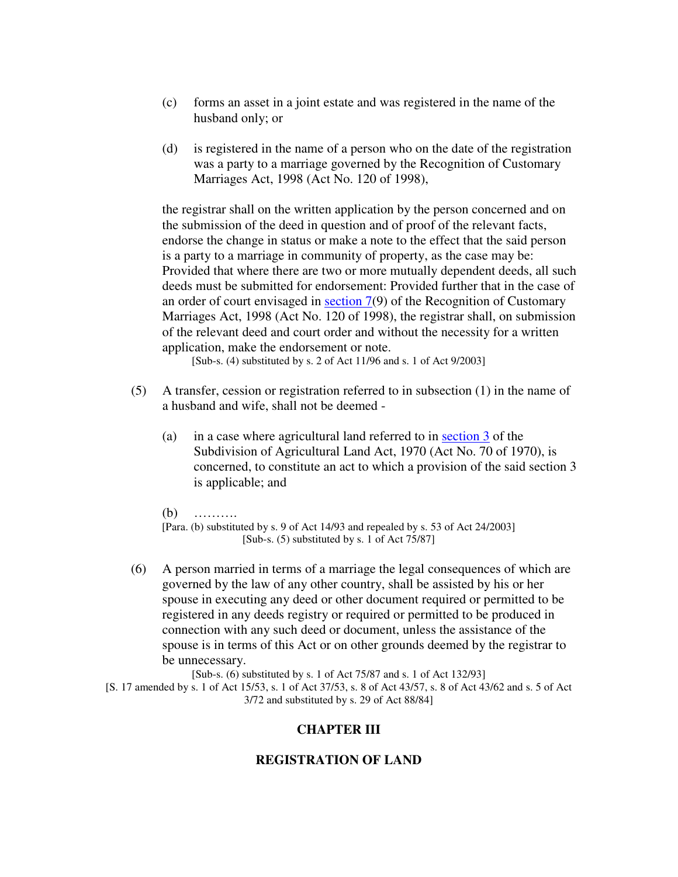- (c) forms an asset in a joint estate and was registered in the name of the husband only; or
- (d) is registered in the name of a person who on the date of the registration was a party to a marriage governed by the Recognition of Customary Marriages Act, 1998 (Act No. 120 of 1998),

the registrar shall on the written application by the person concerned and on the submission of the deed in question and of proof of the relevant facts, endorse the change in status or make a note to the effect that the said person is a party to a marriage in community of property, as the case may be: Provided that where there are two or more mutually dependent deeds, all such deeds must be submitted for endorsement: Provided further that in the case of an order of court envisaged in section 7(9) of the Recognition of Customary Marriages Act, 1998 (Act No. 120 of 1998), the registrar shall, on submission of the relevant deed and court order and without the necessity for a written application, make the endorsement or note.

[Sub-s. (4) substituted by s. 2 of Act 11/96 and s. 1 of Act 9/2003]

- (5) A transfer, cession or registration referred to in subsection (1) in the name of a husband and wife, shall not be deemed -
	- (a) in a case where agricultural land referred to in section 3 of the Subdivision of Agricultural Land Act, 1970 (Act No. 70 of 1970), is concerned, to constitute an act to which a provision of the said section 3 is applicable; and
	- (b) ………. [Para. (b) substituted by s. 9 of Act 14/93 and repealed by s. 53 of Act 24/2003] [Sub-s. (5) substituted by s. 1 of Act 75/87]
- (6) A person married in terms of a marriage the legal consequences of which are governed by the law of any other country, shall be assisted by his or her spouse in executing any deed or other document required or permitted to be registered in any deeds registry or required or permitted to be produced in connection with any such deed or document, unless the assistance of the spouse is in terms of this Act or on other grounds deemed by the registrar to be unnecessary.

[Sub-s. (6) substituted by s. 1 of Act 75/87 and s. 1 of Act 132/93]

[S. 17 amended by s. 1 of Act 15/53, s. 1 of Act 37/53, s. 8 of Act 43/57, s. 8 of Act 43/62 and s. 5 of Act 3/72 and substituted by s. 29 of Act 88/84]

#### **CHAPTER III**

#### **REGISTRATION OF LAND**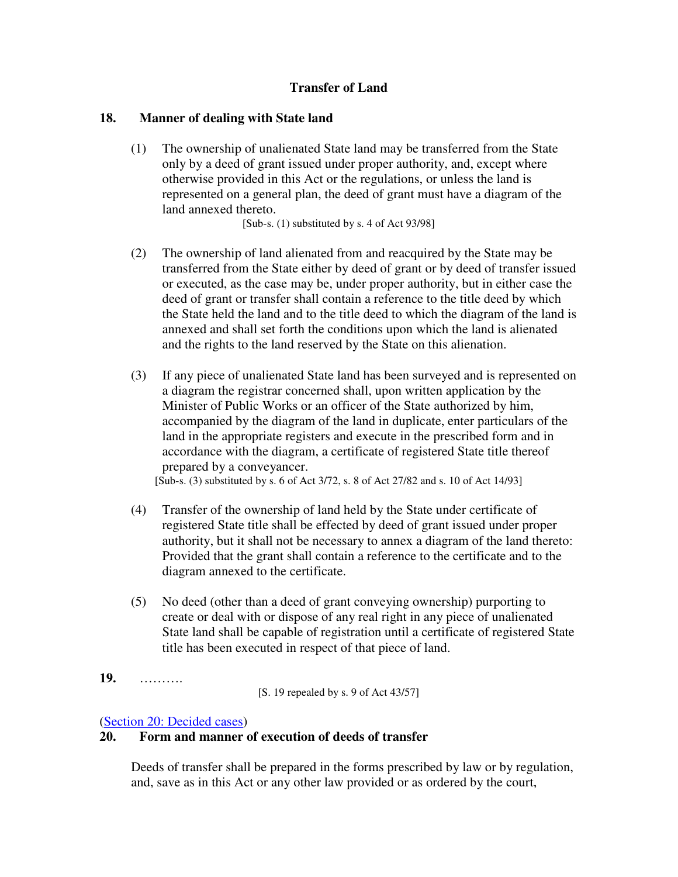# **Transfer of Land**

# **18. Manner of dealing with State land**

(1) The ownership of unalienated State land may be transferred from the State only by a deed of grant issued under proper authority, and, except where otherwise provided in this Act or the regulations, or unless the land is represented on a general plan, the deed of grant must have a diagram of the land annexed thereto.

[Sub-s. (1) substituted by s. 4 of Act 93/98]

- (2) The ownership of land alienated from and reacquired by the State may be transferred from the State either by deed of grant or by deed of transfer issued or executed, as the case may be, under proper authority, but in either case the deed of grant or transfer shall contain a reference to the title deed by which the State held the land and to the title deed to which the diagram of the land is annexed and shall set forth the conditions upon which the land is alienated and the rights to the land reserved by the State on this alienation.
- (3) If any piece of unalienated State land has been surveyed and is represented on a diagram the registrar concerned shall, upon written application by the Minister of Public Works or an officer of the State authorized by him, accompanied by the diagram of the land in duplicate, enter particulars of the land in the appropriate registers and execute in the prescribed form and in accordance with the diagram, a certificate of registered State title thereof prepared by a conveyancer.

[Sub-s. (3) substituted by s. 6 of Act 3/72, s. 8 of Act 27/82 and s. 10 of Act 14/93]

- (4) Transfer of the ownership of land held by the State under certificate of registered State title shall be effected by deed of grant issued under proper authority, but it shall not be necessary to annex a diagram of the land thereto: Provided that the grant shall contain a reference to the certificate and to the diagram annexed to the certificate.
- (5) No deed (other than a deed of grant conveying ownership) purporting to create or deal with or dispose of any real right in any piece of unalienated State land shall be capable of registration until a certificate of registered State title has been executed in respect of that piece of land.
- **19.** ……….

[S. 19 repealed by s. 9 of Act 43/57]

# (Section 20: Decided cases)

# **20. Form and manner of execution of deeds of transfer**

Deeds of transfer shall be prepared in the forms prescribed by law or by regulation, and, save as in this Act or any other law provided or as ordered by the court,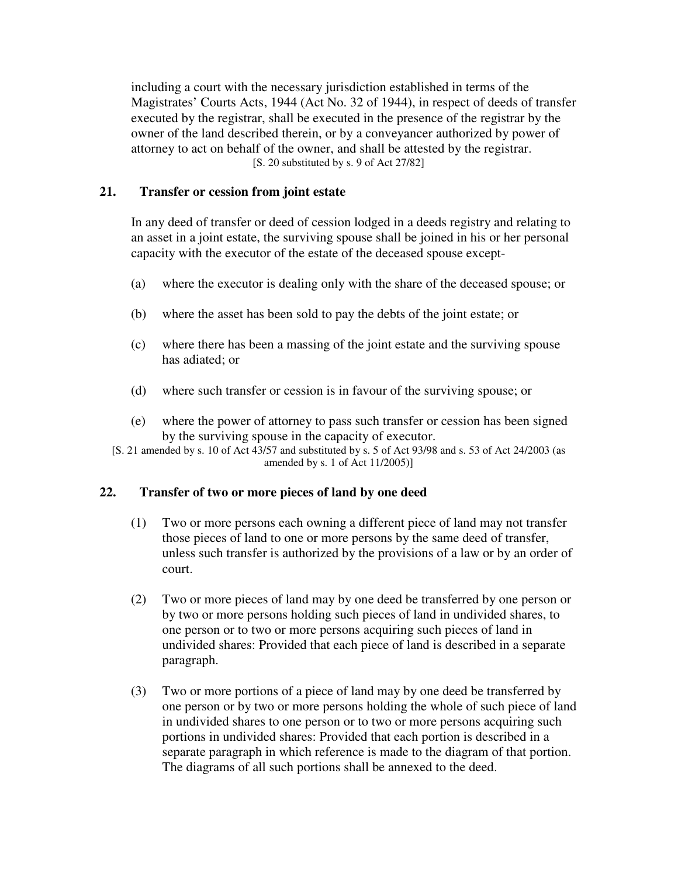including a court with the necessary jurisdiction established in terms of the Magistrates' Courts Acts, 1944 (Act No. 32 of 1944), in respect of deeds of transfer executed by the registrar, shall be executed in the presence of the registrar by the owner of the land described therein, or by a conveyancer authorized by power of attorney to act on behalf of the owner, and shall be attested by the registrar. [S. 20 substituted by s. 9 of Act 27/82]

# **21. Transfer or cession from joint estate**

In any deed of transfer or deed of cession lodged in a deeds registry and relating to an asset in a joint estate, the surviving spouse shall be joined in his or her personal capacity with the executor of the estate of the deceased spouse except-

- (a) where the executor is dealing only with the share of the deceased spouse; or
- (b) where the asset has been sold to pay the debts of the joint estate; or
- (c) where there has been a massing of the joint estate and the surviving spouse has adiated; or
- (d) where such transfer or cession is in favour of the surviving spouse; or
- (e) where the power of attorney to pass such transfer or cession has been signed by the surviving spouse in the capacity of executor.
- [S. 21 amended by s. 10 of Act 43/57 and substituted by s. 5 of Act 93/98 and s. 53 of Act 24/2003 (as amended by s. 1 of Act 11/2005)]

### **22. Transfer of two or more pieces of land by one deed**

- (1) Two or more persons each owning a different piece of land may not transfer those pieces of land to one or more persons by the same deed of transfer, unless such transfer is authorized by the provisions of a law or by an order of court.
- (2) Two or more pieces of land may by one deed be transferred by one person or by two or more persons holding such pieces of land in undivided shares, to one person or to two or more persons acquiring such pieces of land in undivided shares: Provided that each piece of land is described in a separate paragraph.
- (3) Two or more portions of a piece of land may by one deed be transferred by one person or by two or more persons holding the whole of such piece of land in undivided shares to one person or to two or more persons acquiring such portions in undivided shares: Provided that each portion is described in a separate paragraph in which reference is made to the diagram of that portion. The diagrams of all such portions shall be annexed to the deed.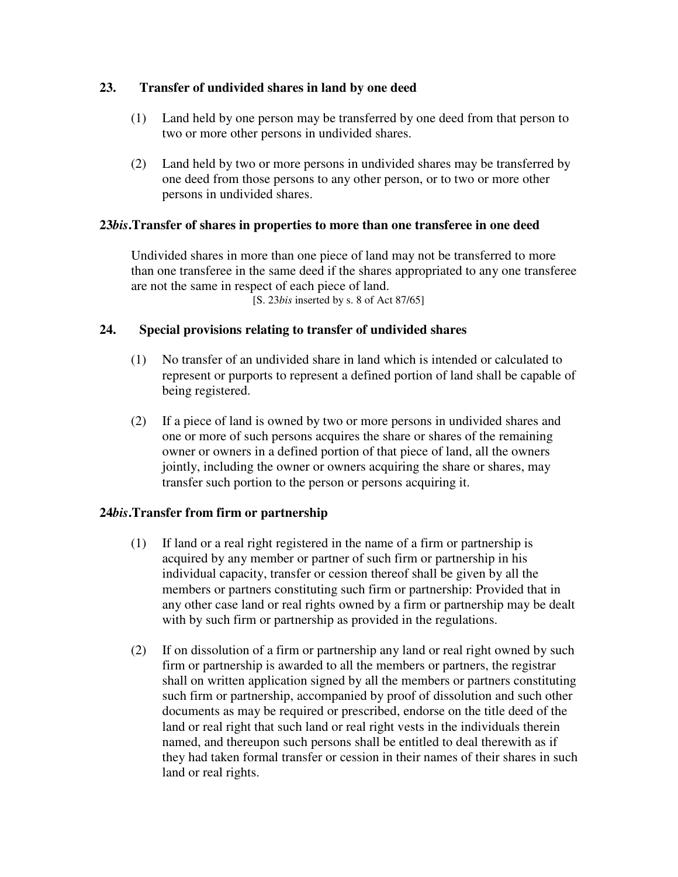# **23. Transfer of undivided shares in land by one deed**

- (1) Land held by one person may be transferred by one deed from that person to two or more other persons in undivided shares.
- (2) Land held by two or more persons in undivided shares may be transferred by one deed from those persons to any other person, or to two or more other persons in undivided shares.

# **23***bis***.Transfer of shares in properties to more than one transferee in one deed**

Undivided shares in more than one piece of land may not be transferred to more than one transferee in the same deed if the shares appropriated to any one transferee are not the same in respect of each piece of land. [S. 23*bis* inserted by s. 8 of Act 87/65]

# **24. Special provisions relating to transfer of undivided shares**

- (1) No transfer of an undivided share in land which is intended or calculated to represent or purports to represent a defined portion of land shall be capable of being registered.
- (2) If a piece of land is owned by two or more persons in undivided shares and one or more of such persons acquires the share or shares of the remaining owner or owners in a defined portion of that piece of land, all the owners jointly, including the owner or owners acquiring the share or shares, may transfer such portion to the person or persons acquiring it.

### **24***bis***.Transfer from firm or partnership**

- (1) If land or a real right registered in the name of a firm or partnership is acquired by any member or partner of such firm or partnership in his individual capacity, transfer or cession thereof shall be given by all the members or partners constituting such firm or partnership: Provided that in any other case land or real rights owned by a firm or partnership may be dealt with by such firm or partnership as provided in the regulations.
- (2) If on dissolution of a firm or partnership any land or real right owned by such firm or partnership is awarded to all the members or partners, the registrar shall on written application signed by all the members or partners constituting such firm or partnership, accompanied by proof of dissolution and such other documents as may be required or prescribed, endorse on the title deed of the land or real right that such land or real right vests in the individuals therein named, and thereupon such persons shall be entitled to deal therewith as if they had taken formal transfer or cession in their names of their shares in such land or real rights.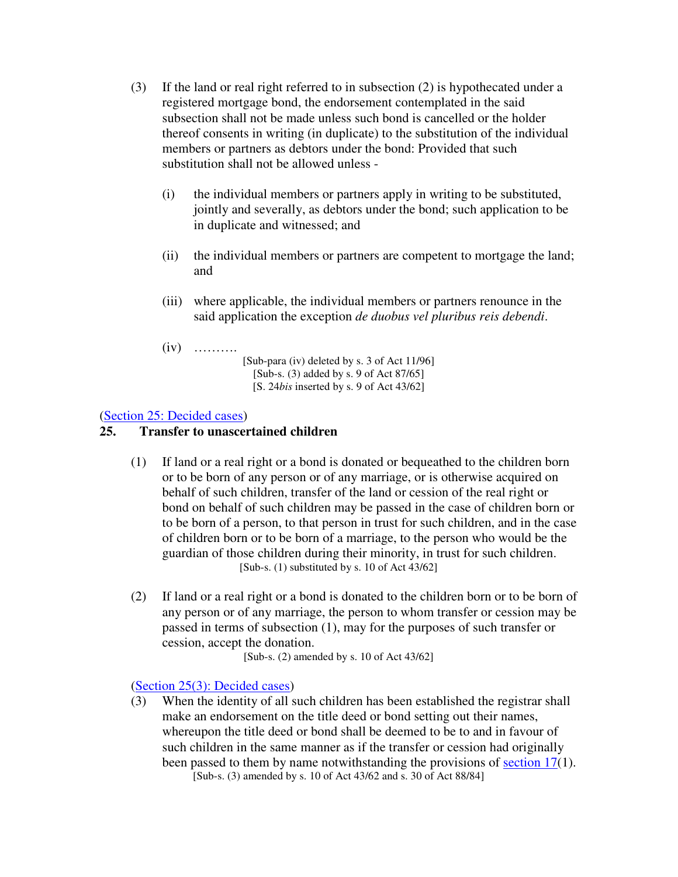- (3) If the land or real right referred to in subsection (2) is hypothecated under a registered mortgage bond, the endorsement contemplated in the said subsection shall not be made unless such bond is cancelled or the holder thereof consents in writing (in duplicate) to the substitution of the individual members or partners as debtors under the bond: Provided that such substitution shall not be allowed unless -
	- (i) the individual members or partners apply in writing to be substituted, jointly and severally, as debtors under the bond; such application to be in duplicate and witnessed; and
	- (ii) the individual members or partners are competent to mortgage the land; and
	- (iii) where applicable, the individual members or partners renounce in the said application the exception *de duobus vel pluribus reis debendi*.
	- $(iv)$  ………
		- [Sub-para (iv) deleted by s. 3 of Act 11/96] [Sub-s. (3) added by s. 9 of Act 87/65] [S. 24*bis* inserted by s. 9 of Act 43/62]

(Section 25: Decided cases)

# **25. Transfer to unascertained children**

- (1) If land or a real right or a bond is donated or bequeathed to the children born or to be born of any person or of any marriage, or is otherwise acquired on behalf of such children, transfer of the land or cession of the real right or bond on behalf of such children may be passed in the case of children born or to be born of a person, to that person in trust for such children, and in the case of children born or to be born of a marriage, to the person who would be the guardian of those children during their minority, in trust for such children. [Sub-s. (1) substituted by s. 10 of Act 43/62]
- (2) If land or a real right or a bond is donated to the children born or to be born of any person or of any marriage, the person to whom transfer or cession may be passed in terms of subsection (1), may for the purposes of such transfer or cession, accept the donation.

[Sub-s. (2) amended by s. 10 of Act 43/62]

(Section 25(3): Decided cases)

(3) When the identity of all such children has been established the registrar shall make an endorsement on the title deed or bond setting out their names, whereupon the title deed or bond shall be deemed to be to and in favour of such children in the same manner as if the transfer or cession had originally been passed to them by name notwithstanding the provisions of section 17(1). [Sub-s. (3) amended by s. 10 of Act 43/62 and s. 30 of Act 88/84]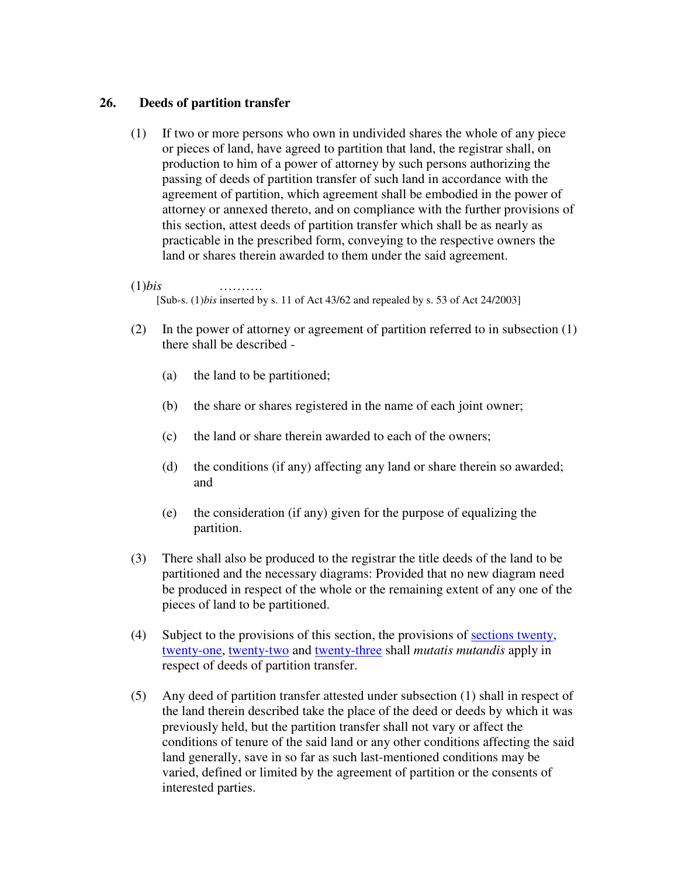## **26. Deeds of partition transfer**

(1) If two or more persons who own in undivided shares the whole of any piece or pieces of land, have agreed to partition that land, the registrar shall, on production to him of a power of attorney by such persons authorizing the passing of deeds of partition transfer of such land in accordance with the agreement of partition, which agreement shall be embodied in the power of attorney or annexed thereto, and on compliance with the further provisions of this section, attest deeds of partition transfer which shall be as nearly as practicable in the prescribed form, conveying to the respective owners the land or shares therein awarded to them under the said agreement.

### (1)*bis* ……….

[Sub-s. (1)*bis* inserted by s. 11 of Act 43/62 and repealed by s. 53 of Act 24/2003]

- (2) In the power of attorney or agreement of partition referred to in subsection (1) there shall be described -
	- (a) the land to be partitioned;
	- (b) the share or shares registered in the name of each joint owner;
	- (c) the land or share therein awarded to each of the owners;
	- (d) the conditions (if any) affecting any land or share therein so awarded; and
	- (e) the consideration (if any) given for the purpose of equalizing the partition.
- (3) There shall also be produced to the registrar the title deeds of the land to be partitioned and the necessary diagrams: Provided that no new diagram need be produced in respect of the whole or the remaining extent of any one of the pieces of land to be partitioned.
- (4) Subject to the provisions of this section, the provisions of sections twenty, twenty-one, twenty-two and twenty-three shall *mutatis mutandis* apply in respect of deeds of partition transfer.
- (5) Any deed of partition transfer attested under subsection (1) shall in respect of the land therein described take the place of the deed or deeds by which it was previously held, but the partition transfer shall not vary or affect the conditions of tenure of the said land or any other conditions affecting the said land generally, save in so far as such last-mentioned conditions may be varied, defined or limited by the agreement of partition or the consents of interested parties.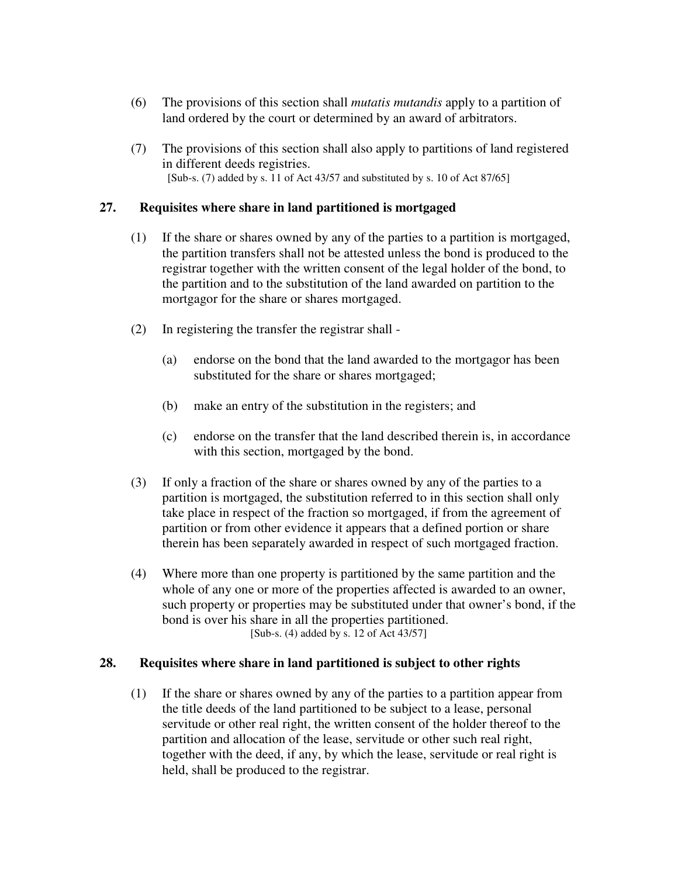- (6) The provisions of this section shall *mutatis mutandis* apply to a partition of land ordered by the court or determined by an award of arbitrators.
- (7) The provisions of this section shall also apply to partitions of land registered in different deeds registries. [Sub-s. (7) added by s. 11 of Act 43/57 and substituted by s. 10 of Act 87/65]

# **27. Requisites where share in land partitioned is mortgaged**

- (1) If the share or shares owned by any of the parties to a partition is mortgaged, the partition transfers shall not be attested unless the bond is produced to the registrar together with the written consent of the legal holder of the bond, to the partition and to the substitution of the land awarded on partition to the mortgagor for the share or shares mortgaged.
- (2) In registering the transfer the registrar shall
	- (a) endorse on the bond that the land awarded to the mortgagor has been substituted for the share or shares mortgaged;
	- (b) make an entry of the substitution in the registers; and
	- (c) endorse on the transfer that the land described therein is, in accordance with this section, mortgaged by the bond.
- (3) If only a fraction of the share or shares owned by any of the parties to a partition is mortgaged, the substitution referred to in this section shall only take place in respect of the fraction so mortgaged, if from the agreement of partition or from other evidence it appears that a defined portion or share therein has been separately awarded in respect of such mortgaged fraction.
- (4) Where more than one property is partitioned by the same partition and the whole of any one or more of the properties affected is awarded to an owner, such property or properties may be substituted under that owner's bond, if the bond is over his share in all the properties partitioned. [Sub-s. (4) added by s. 12 of Act 43/57]

### **28. Requisites where share in land partitioned is subject to other rights**

(1) If the share or shares owned by any of the parties to a partition appear from the title deeds of the land partitioned to be subject to a lease, personal servitude or other real right, the written consent of the holder thereof to the partition and allocation of the lease, servitude or other such real right, together with the deed, if any, by which the lease, servitude or real right is held, shall be produced to the registrar.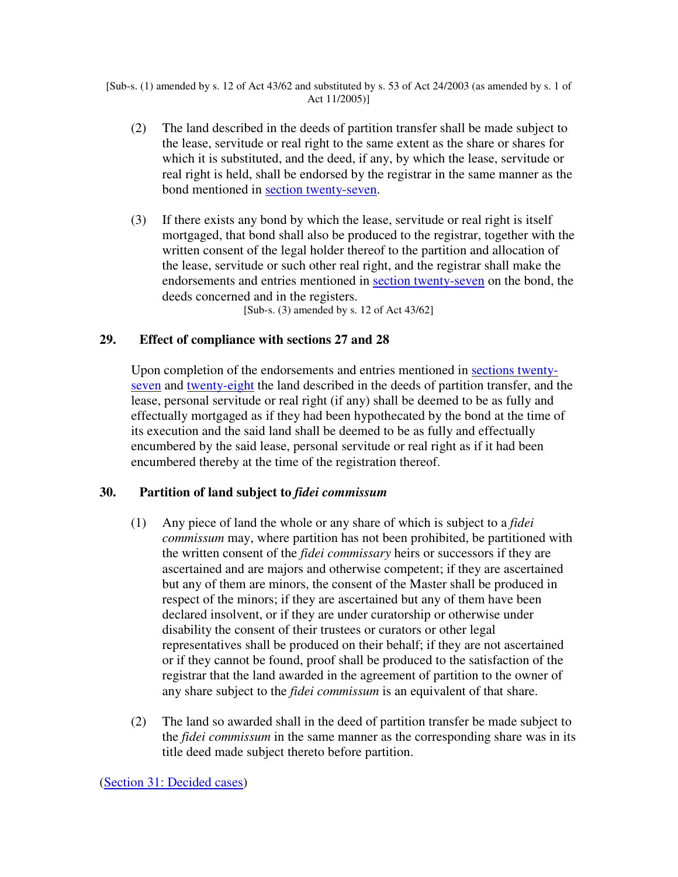[Sub-s. (1) amended by s. 12 of Act 43/62 and substituted by s. 53 of Act 24/2003 (as amended by s. 1 of Act 11/2005)]

- (2) The land described in the deeds of partition transfer shall be made subject to the lease, servitude or real right to the same extent as the share or shares for which it is substituted, and the deed, if any, by which the lease, servitude or real right is held, shall be endorsed by the registrar in the same manner as the bond mentioned in section twenty-seven.
- (3) If there exists any bond by which the lease, servitude or real right is itself mortgaged, that bond shall also be produced to the registrar, together with the written consent of the legal holder thereof to the partition and allocation of the lease, servitude or such other real right, and the registrar shall make the endorsements and entries mentioned in section twenty-seven on the bond, the deeds concerned and in the registers.

[Sub-s. (3) amended by s. 12 of Act 43/62]

### **29. Effect of compliance with sections 27 and 28**

Upon completion of the endorsements and entries mentioned in sections twentyseven and twenty-eight the land described in the deeds of partition transfer, and the lease, personal servitude or real right (if any) shall be deemed to be as fully and effectually mortgaged as if they had been hypothecated by the bond at the time of its execution and the said land shall be deemed to be as fully and effectually encumbered by the said lease, personal servitude or real right as if it had been encumbered thereby at the time of the registration thereof.

### **30. Partition of land subject to** *fidei commissum*

- (1) Any piece of land the whole or any share of which is subject to a *fidei commissum* may, where partition has not been prohibited, be partitioned with the written consent of the *fidei commissary* heirs or successors if they are ascertained and are majors and otherwise competent; if they are ascertained but any of them are minors, the consent of the Master shall be produced in respect of the minors; if they are ascertained but any of them have been declared insolvent, or if they are under curatorship or otherwise under disability the consent of their trustees or curators or other legal representatives shall be produced on their behalf; if they are not ascertained or if they cannot be found, proof shall be produced to the satisfaction of the registrar that the land awarded in the agreement of partition to the owner of any share subject to the *fidei commissum* is an equivalent of that share.
- (2) The land so awarded shall in the deed of partition transfer be made subject to the *fidei commissum* in the same manner as the corresponding share was in its title deed made subject thereto before partition.

(Section 31: Decided cases)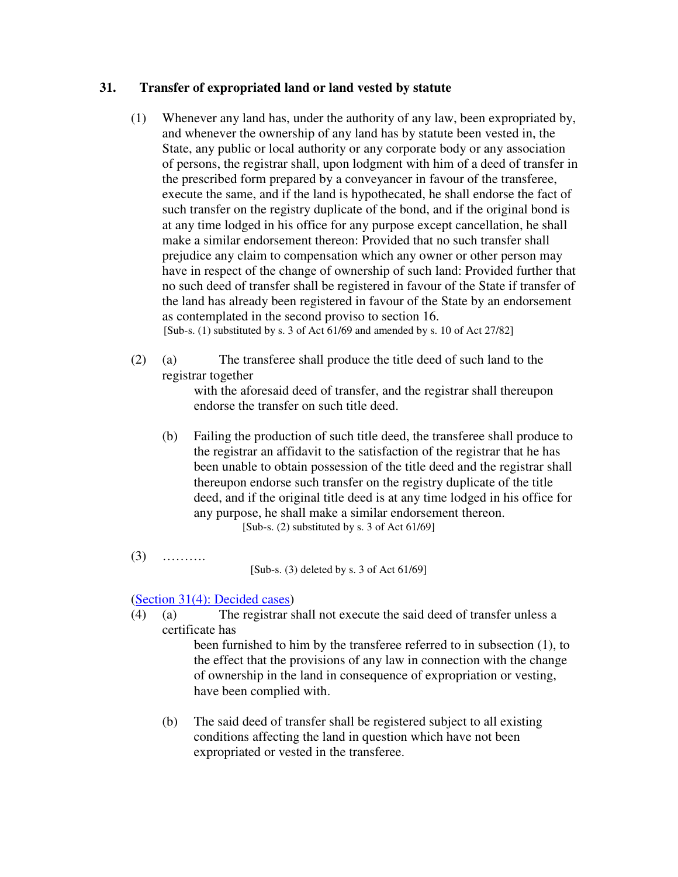# **31. Transfer of expropriated land or land vested by statute**

- (1) Whenever any land has, under the authority of any law, been expropriated by, and whenever the ownership of any land has by statute been vested in, the State, any public or local authority or any corporate body or any association of persons, the registrar shall, upon lodgment with him of a deed of transfer in the prescribed form prepared by a conveyancer in favour of the transferee, execute the same, and if the land is hypothecated, he shall endorse the fact of such transfer on the registry duplicate of the bond, and if the original bond is at any time lodged in his office for any purpose except cancellation, he shall make a similar endorsement thereon: Provided that no such transfer shall prejudice any claim to compensation which any owner or other person may have in respect of the change of ownership of such land: Provided further that no such deed of transfer shall be registered in favour of the State if transfer of the land has already been registered in favour of the State by an endorsement as contemplated in the second proviso to section 16. [Sub-s. (1) substituted by s. 3 of Act 61/69 and amended by s. 10 of Act 27/82]
- (2) (a) The transferee shall produce the title deed of such land to the registrar together with the aforesaid deed of transfer, and the registrar shall thereupon

endorse the transfer on such title deed.

- (b) Failing the production of such title deed, the transferee shall produce to the registrar an affidavit to the satisfaction of the registrar that he has been unable to obtain possession of the title deed and the registrar shall thereupon endorse such transfer on the registry duplicate of the title deed, and if the original title deed is at any time lodged in his office for any purpose, he shall make a similar endorsement thereon. [Sub-s. (2) substituted by s. 3 of Act 61/69]
- (3) ……….

[Sub-s. (3) deleted by s. 3 of Act 61/69]

# (Section 31(4): Decided cases)

(4) (a) The registrar shall not execute the said deed of transfer unless a certificate has

been furnished to him by the transferee referred to in subsection (1), to the effect that the provisions of any law in connection with the change of ownership in the land in consequence of expropriation or vesting, have been complied with.

(b) The said deed of transfer shall be registered subject to all existing conditions affecting the land in question which have not been expropriated or vested in the transferee.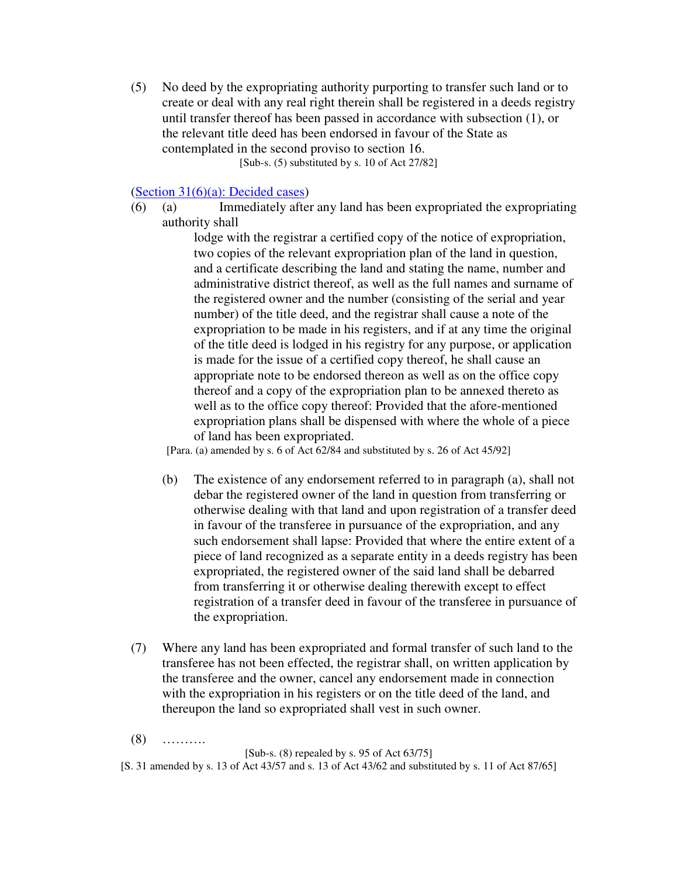(5) No deed by the expropriating authority purporting to transfer such land or to create or deal with any real right therein shall be registered in a deeds registry until transfer thereof has been passed in accordance with subsection (1), or the relevant title deed has been endorsed in favour of the State as contemplated in the second proviso to section 16. [Sub-s. (5) substituted by s. 10 of Act 27/82]

(Section 31(6)(a): Decided cases)

(6) (a) Immediately after any land has been expropriated the expropriating authority shall

> lodge with the registrar a certified copy of the notice of expropriation, two copies of the relevant expropriation plan of the land in question, and a certificate describing the land and stating the name, number and administrative district thereof, as well as the full names and surname of the registered owner and the number (consisting of the serial and year number) of the title deed, and the registrar shall cause a note of the expropriation to be made in his registers, and if at any time the original of the title deed is lodged in his registry for any purpose, or application is made for the issue of a certified copy thereof, he shall cause an appropriate note to be endorsed thereon as well as on the office copy thereof and a copy of the expropriation plan to be annexed thereto as well as to the office copy thereof: Provided that the afore-mentioned expropriation plans shall be dispensed with where the whole of a piece of land has been expropriated.

[Para. (a) amended by s. 6 of Act 62/84 and substituted by s. 26 of Act 45/92]

- (b) The existence of any endorsement referred to in paragraph (a), shall not debar the registered owner of the land in question from transferring or otherwise dealing with that land and upon registration of a transfer deed in favour of the transferee in pursuance of the expropriation, and any such endorsement shall lapse: Provided that where the entire extent of a piece of land recognized as a separate entity in a deeds registry has been expropriated, the registered owner of the said land shall be debarred from transferring it or otherwise dealing therewith except to effect registration of a transfer deed in favour of the transferee in pursuance of the expropriation.
- (7) Where any land has been expropriated and formal transfer of such land to the transferee has not been effected, the registrar shall, on written application by the transferee and the owner, cancel any endorsement made in connection with the expropriation in his registers or on the title deed of the land, and thereupon the land so expropriated shall vest in such owner.

[Sub-s. (8) repealed by s. 95 of Act 63/75]

[S. 31 amended by s. 13 of Act 43/57 and s. 13 of Act 43/62 and substituted by s. 11 of Act 87/65]

<sup>(8) ……….</sup>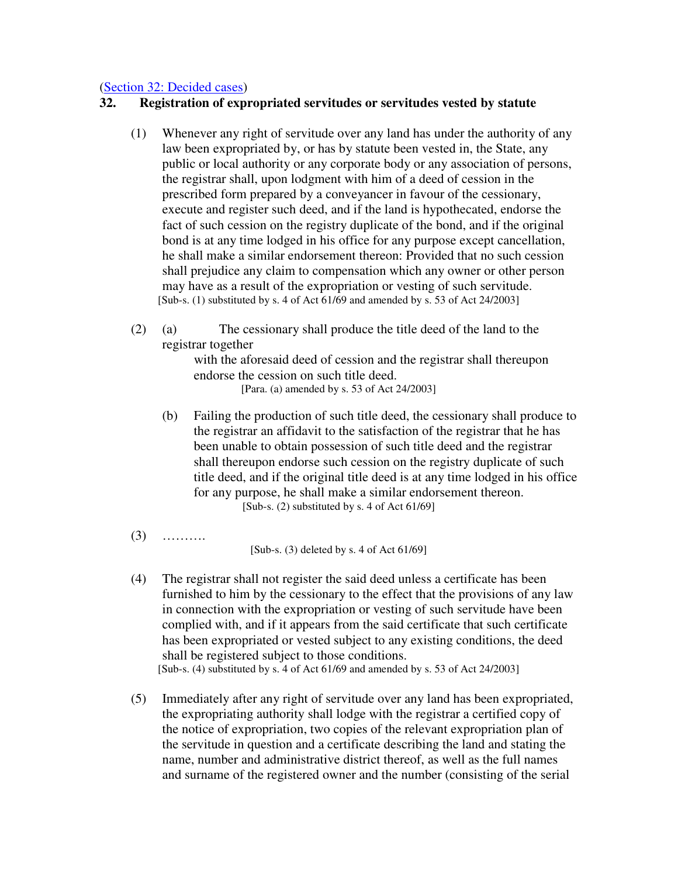#### (Section 32: Decided cases)

### **32. Registration of expropriated servitudes or servitudes vested by statute**

- (1) Whenever any right of servitude over any land has under the authority of any law been expropriated by, or has by statute been vested in, the State, any public or local authority or any corporate body or any association of persons, the registrar shall, upon lodgment with him of a deed of cession in the prescribed form prepared by a conveyancer in favour of the cessionary, execute and register such deed, and if the land is hypothecated, endorse the fact of such cession on the registry duplicate of the bond, and if the original bond is at any time lodged in his office for any purpose except cancellation, he shall make a similar endorsement thereon: Provided that no such cession shall prejudice any claim to compensation which any owner or other person may have as a result of the expropriation or vesting of such servitude. [Sub-s. (1) substituted by s. 4 of Act 61/69 and amended by s. 53 of Act 24/2003]
- (2) (a) The cessionary shall produce the title deed of the land to the registrar together

with the aforesaid deed of cession and the registrar shall thereupon endorse the cession on such title deed. [Para. (a) amended by s. 53 of Act 24/2003]

- (b) Failing the production of such title deed, the cessionary shall produce to the registrar an affidavit to the satisfaction of the registrar that he has been unable to obtain possession of such title deed and the registrar shall thereupon endorse such cession on the registry duplicate of such title deed, and if the original title deed is at any time lodged in his office for any purpose, he shall make a similar endorsement thereon. [Sub-s.  $(2)$  substituted by s. 4 of Act 61/69]
- (3) ……….

[Sub-s.  $(3)$  deleted by s. 4 of Act  $61/69$ ]

- (4) The registrar shall not register the said deed unless a certificate has been furnished to him by the cessionary to the effect that the provisions of any law in connection with the expropriation or vesting of such servitude have been complied with, and if it appears from the said certificate that such certificate has been expropriated or vested subject to any existing conditions, the deed shall be registered subject to those conditions. [Sub-s. (4) substituted by s. 4 of Act 61/69 and amended by s. 53 of Act 24/2003]
- (5) Immediately after any right of servitude over any land has been expropriated, the expropriating authority shall lodge with the registrar a certified copy of the notice of expropriation, two copies of the relevant expropriation plan of the servitude in question and a certificate describing the land and stating the name, number and administrative district thereof, as well as the full names and surname of the registered owner and the number (consisting of the serial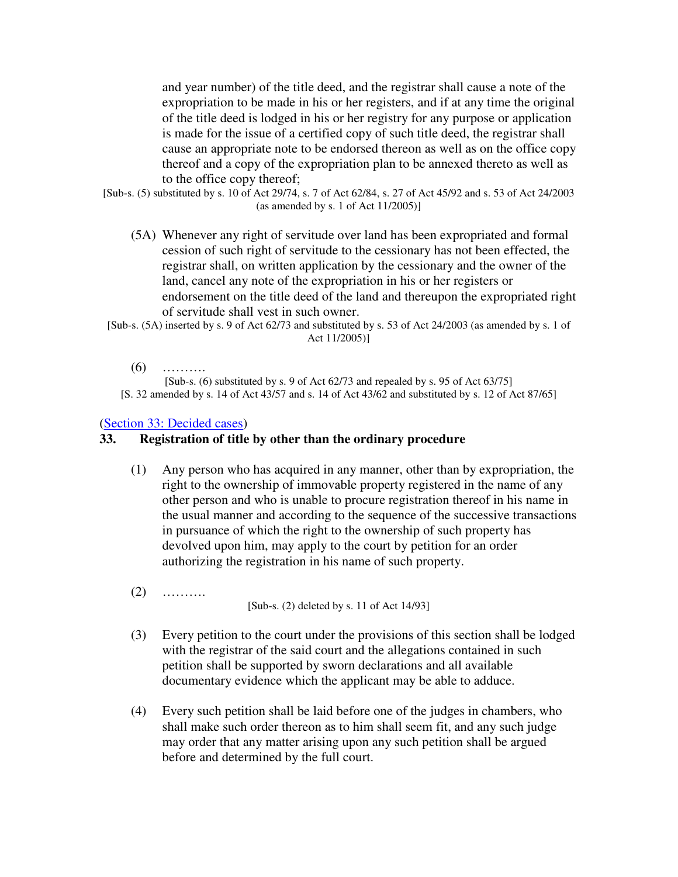and year number) of the title deed, and the registrar shall cause a note of the expropriation to be made in his or her registers, and if at any time the original of the title deed is lodged in his or her registry for any purpose or application is made for the issue of a certified copy of such title deed, the registrar shall cause an appropriate note to be endorsed thereon as well as on the office copy thereof and a copy of the expropriation plan to be annexed thereto as well as to the office copy thereof;

- [Sub-s. (5) substituted by s. 10 of Act 29/74, s. 7 of Act 62/84, s. 27 of Act 45/92 and s. 53 of Act 24/2003 (as amended by s. 1 of Act 11/2005)]
	- (5A) Whenever any right of servitude over land has been expropriated and formal cession of such right of servitude to the cessionary has not been effected, the registrar shall, on written application by the cessionary and the owner of the land, cancel any note of the expropriation in his or her registers or endorsement on the title deed of the land and thereupon the expropriated right of servitude shall vest in such owner.
- [Sub-s. (5A) inserted by s. 9 of Act 62/73 and substituted by s. 53 of Act 24/2003 (as amended by s. 1 of Act 11/2005)]
	- (6) ……….

[Sub-s. (6) substituted by s. 9 of Act 62/73 and repealed by s. 95 of Act 63/75] [S. 32 amended by s. 14 of Act 43/57 and s. 14 of Act 43/62 and substituted by s. 12 of Act 87/65]

#### (Section 33: Decided cases)

#### **33. Registration of title by other than the ordinary procedure**

- (1) Any person who has acquired in any manner, other than by expropriation, the right to the ownership of immovable property registered in the name of any other person and who is unable to procure registration thereof in his name in the usual manner and according to the sequence of the successive transactions in pursuance of which the right to the ownership of such property has devolved upon him, may apply to the court by petition for an order authorizing the registration in his name of such property.
- (2) ……….

[Sub-s. (2) deleted by s. 11 of Act 14/93]

- (3) Every petition to the court under the provisions of this section shall be lodged with the registrar of the said court and the allegations contained in such petition shall be supported by sworn declarations and all available documentary evidence which the applicant may be able to adduce.
- (4) Every such petition shall be laid before one of the judges in chambers, who shall make such order thereon as to him shall seem fit, and any such judge may order that any matter arising upon any such petition shall be argued before and determined by the full court.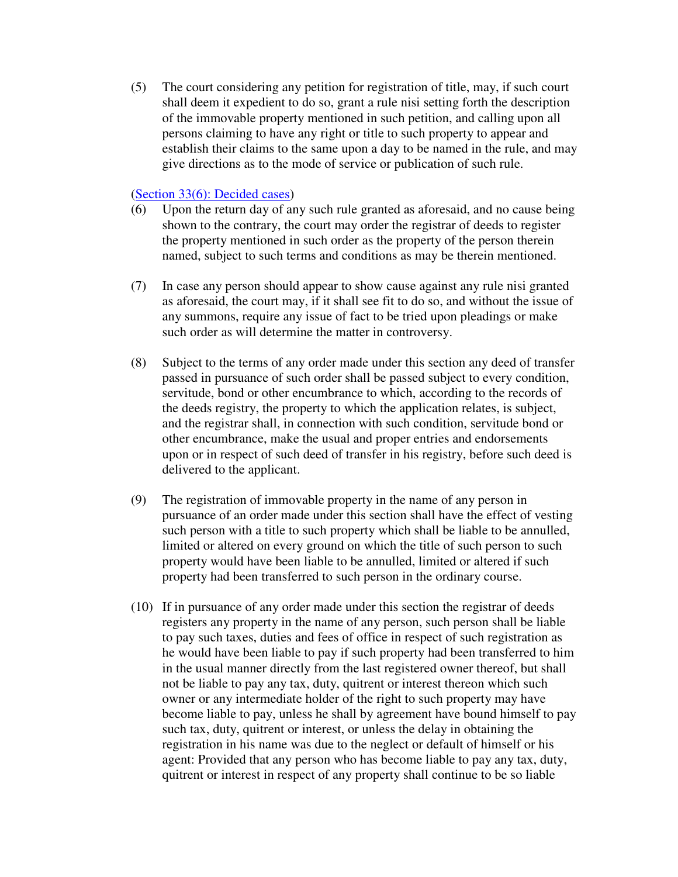(5) The court considering any petition for registration of title, may, if such court shall deem it expedient to do so, grant a rule nisi setting forth the description of the immovable property mentioned in such petition, and calling upon all persons claiming to have any right or title to such property to appear and establish their claims to the same upon a day to be named in the rule, and may give directions as to the mode of service or publication of such rule.

## (Section 33(6): Decided cases)

- (6) Upon the return day of any such rule granted as aforesaid, and no cause being shown to the contrary, the court may order the registrar of deeds to register the property mentioned in such order as the property of the person therein named, subject to such terms and conditions as may be therein mentioned.
- (7) In case any person should appear to show cause against any rule nisi granted as aforesaid, the court may, if it shall see fit to do so, and without the issue of any summons, require any issue of fact to be tried upon pleadings or make such order as will determine the matter in controversy.
- (8) Subject to the terms of any order made under this section any deed of transfer passed in pursuance of such order shall be passed subject to every condition, servitude, bond or other encumbrance to which, according to the records of the deeds registry, the property to which the application relates, is subject, and the registrar shall, in connection with such condition, servitude bond or other encumbrance, make the usual and proper entries and endorsements upon or in respect of such deed of transfer in his registry, before such deed is delivered to the applicant.
- (9) The registration of immovable property in the name of any person in pursuance of an order made under this section shall have the effect of vesting such person with a title to such property which shall be liable to be annulled, limited or altered on every ground on which the title of such person to such property would have been liable to be annulled, limited or altered if such property had been transferred to such person in the ordinary course.
- (10) If in pursuance of any order made under this section the registrar of deeds registers any property in the name of any person, such person shall be liable to pay such taxes, duties and fees of office in respect of such registration as he would have been liable to pay if such property had been transferred to him in the usual manner directly from the last registered owner thereof, but shall not be liable to pay any tax, duty, quitrent or interest thereon which such owner or any intermediate holder of the right to such property may have become liable to pay, unless he shall by agreement have bound himself to pay such tax, duty, quitrent or interest, or unless the delay in obtaining the registration in his name was due to the neglect or default of himself or his agent: Provided that any person who has become liable to pay any tax, duty, quitrent or interest in respect of any property shall continue to be so liable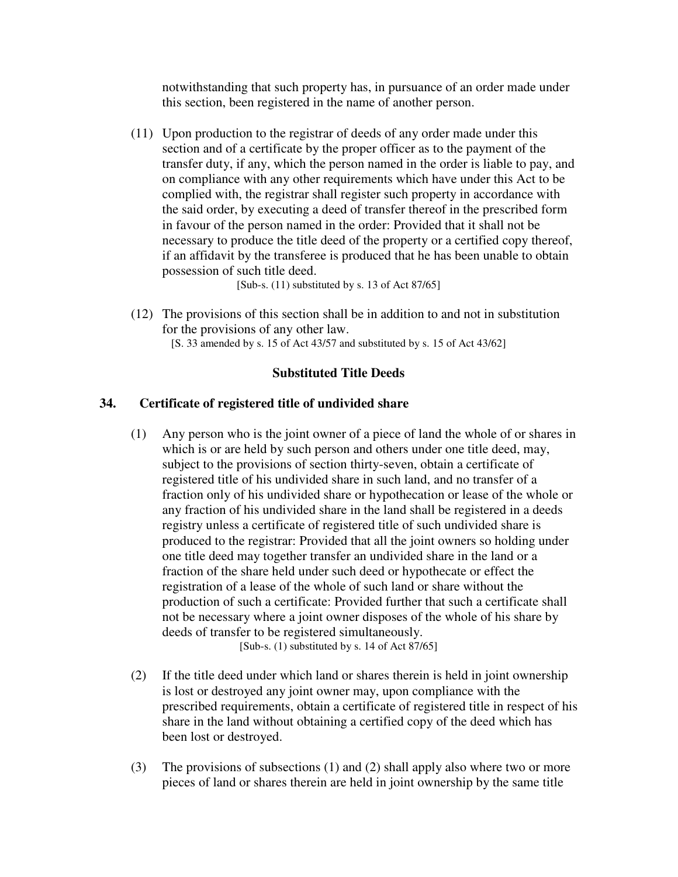notwithstanding that such property has, in pursuance of an order made under this section, been registered in the name of another person.

(11) Upon production to the registrar of deeds of any order made under this section and of a certificate by the proper officer as to the payment of the transfer duty, if any, which the person named in the order is liable to pay, and on compliance with any other requirements which have under this Act to be complied with, the registrar shall register such property in accordance with the said order, by executing a deed of transfer thereof in the prescribed form in favour of the person named in the order: Provided that it shall not be necessary to produce the title deed of the property or a certified copy thereof, if an affidavit by the transferee is produced that he has been unable to obtain possession of such title deed.

 $[Sub-s. (11)$  substituted by s. 13 of Act 87/65]

(12) The provisions of this section shall be in addition to and not in substitution for the provisions of any other law.

[S. 33 amended by s. 15 of Act 43/57 and substituted by s. 15 of Act 43/62]

# **Substituted Title Deeds**

# **34. Certificate of registered title of undivided share**

- (1) Any person who is the joint owner of a piece of land the whole of or shares in which is or are held by such person and others under one title deed, may, subject to the provisions of section thirty-seven, obtain a certificate of registered title of his undivided share in such land, and no transfer of a fraction only of his undivided share or hypothecation or lease of the whole or any fraction of his undivided share in the land shall be registered in a deeds registry unless a certificate of registered title of such undivided share is produced to the registrar: Provided that all the joint owners so holding under one title deed may together transfer an undivided share in the land or a fraction of the share held under such deed or hypothecate or effect the registration of a lease of the whole of such land or share without the production of such a certificate: Provided further that such a certificate shall not be necessary where a joint owner disposes of the whole of his share by deeds of transfer to be registered simultaneously. [Sub-s. (1) substituted by s. 14 of Act 87/65]
- (2) If the title deed under which land or shares therein is held in joint ownership is lost or destroyed any joint owner may, upon compliance with the prescribed requirements, obtain a certificate of registered title in respect of his share in the land without obtaining a certified copy of the deed which has been lost or destroyed.
- (3) The provisions of subsections (1) and (2) shall apply also where two or more pieces of land or shares therein are held in joint ownership by the same title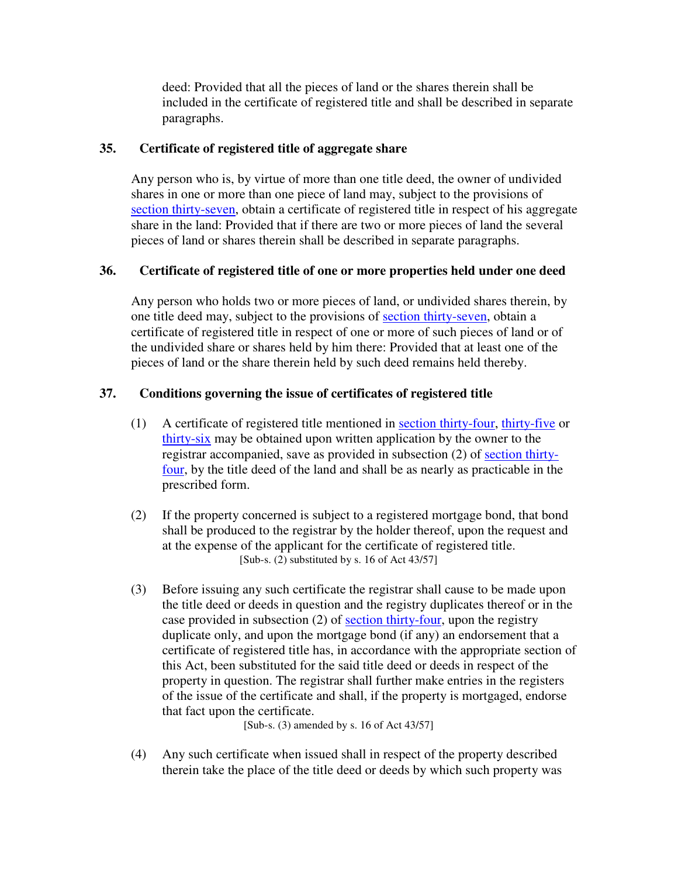deed: Provided that all the pieces of land or the shares therein shall be included in the certificate of registered title and shall be described in separate paragraphs.

# **35. Certificate of registered title of aggregate share**

Any person who is, by virtue of more than one title deed, the owner of undivided shares in one or more than one piece of land may, subject to the provisions of section thirty-seven, obtain a certificate of registered title in respect of his aggregate share in the land: Provided that if there are two or more pieces of land the several pieces of land or shares therein shall be described in separate paragraphs.

# **36. Certificate of registered title of one or more properties held under one deed**

Any person who holds two or more pieces of land, or undivided shares therein, by one title deed may, subject to the provisions of section thirty-seven, obtain a certificate of registered title in respect of one or more of such pieces of land or of the undivided share or shares held by him there: Provided that at least one of the pieces of land or the share therein held by such deed remains held thereby.

## **37. Conditions governing the issue of certificates of registered title**

- (1) A certificate of registered title mentioned in section thirty-four, thirty-five or thirty-six may be obtained upon written application by the owner to the registrar accompanied, save as provided in subsection (2) of section thirtyfour, by the title deed of the land and shall be as nearly as practicable in the prescribed form.
- (2) If the property concerned is subject to a registered mortgage bond, that bond shall be produced to the registrar by the holder thereof, upon the request and at the expense of the applicant for the certificate of registered title. [Sub-s.  $(2)$  substituted by s. 16 of Act 43/57]
- (3) Before issuing any such certificate the registrar shall cause to be made upon the title deed or deeds in question and the registry duplicates thereof or in the case provided in subsection (2) of section thirty-four, upon the registry duplicate only, and upon the mortgage bond (if any) an endorsement that a certificate of registered title has, in accordance with the appropriate section of this Act, been substituted for the said title deed or deeds in respect of the property in question. The registrar shall further make entries in the registers of the issue of the certificate and shall, if the property is mortgaged, endorse that fact upon the certificate.

[Sub-s. (3) amended by s. 16 of Act 43/57]

(4) Any such certificate when issued shall in respect of the property described therein take the place of the title deed or deeds by which such property was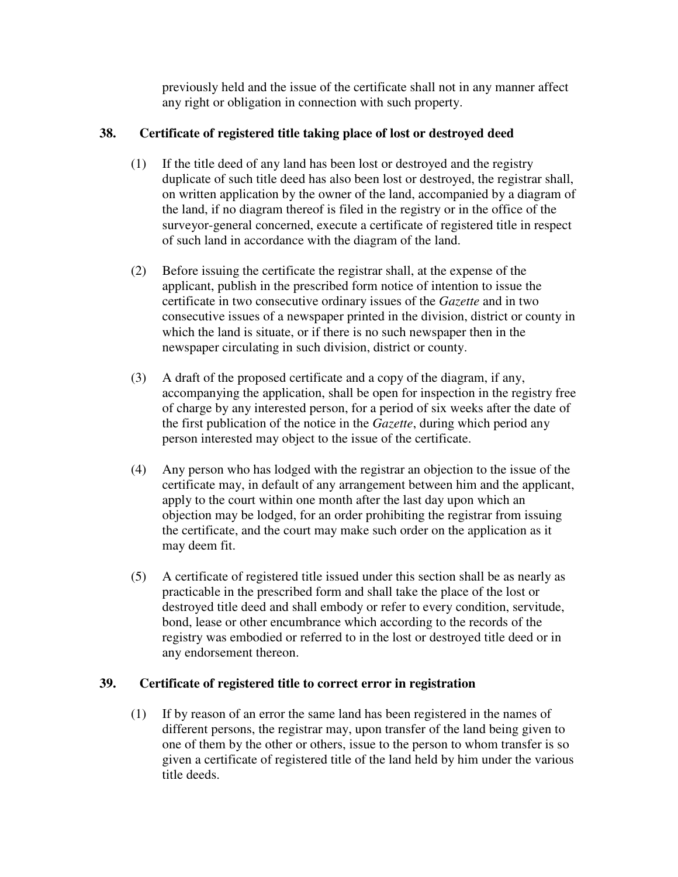previously held and the issue of the certificate shall not in any manner affect any right or obligation in connection with such property.

# **38. Certificate of registered title taking place of lost or destroyed deed**

- (1) If the title deed of any land has been lost or destroyed and the registry duplicate of such title deed has also been lost or destroyed, the registrar shall, on written application by the owner of the land, accompanied by a diagram of the land, if no diagram thereof is filed in the registry or in the office of the surveyor-general concerned, execute a certificate of registered title in respect of such land in accordance with the diagram of the land.
- (2) Before issuing the certificate the registrar shall, at the expense of the applicant, publish in the prescribed form notice of intention to issue the certificate in two consecutive ordinary issues of the *Gazette* and in two consecutive issues of a newspaper printed in the division, district or county in which the land is situate, or if there is no such newspaper then in the newspaper circulating in such division, district or county.
- (3) A draft of the proposed certificate and a copy of the diagram, if any, accompanying the application, shall be open for inspection in the registry free of charge by any interested person, for a period of six weeks after the date of the first publication of the notice in the *Gazette*, during which period any person interested may object to the issue of the certificate.
- (4) Any person who has lodged with the registrar an objection to the issue of the certificate may, in default of any arrangement between him and the applicant, apply to the court within one month after the last day upon which an objection may be lodged, for an order prohibiting the registrar from issuing the certificate, and the court may make such order on the application as it may deem fit.
- (5) A certificate of registered title issued under this section shall be as nearly as practicable in the prescribed form and shall take the place of the lost or destroyed title deed and shall embody or refer to every condition, servitude, bond, lease or other encumbrance which according to the records of the registry was embodied or referred to in the lost or destroyed title deed or in any endorsement thereon.

# **39. Certificate of registered title to correct error in registration**

(1) If by reason of an error the same land has been registered in the names of different persons, the registrar may, upon transfer of the land being given to one of them by the other or others, issue to the person to whom transfer is so given a certificate of registered title of the land held by him under the various title deeds.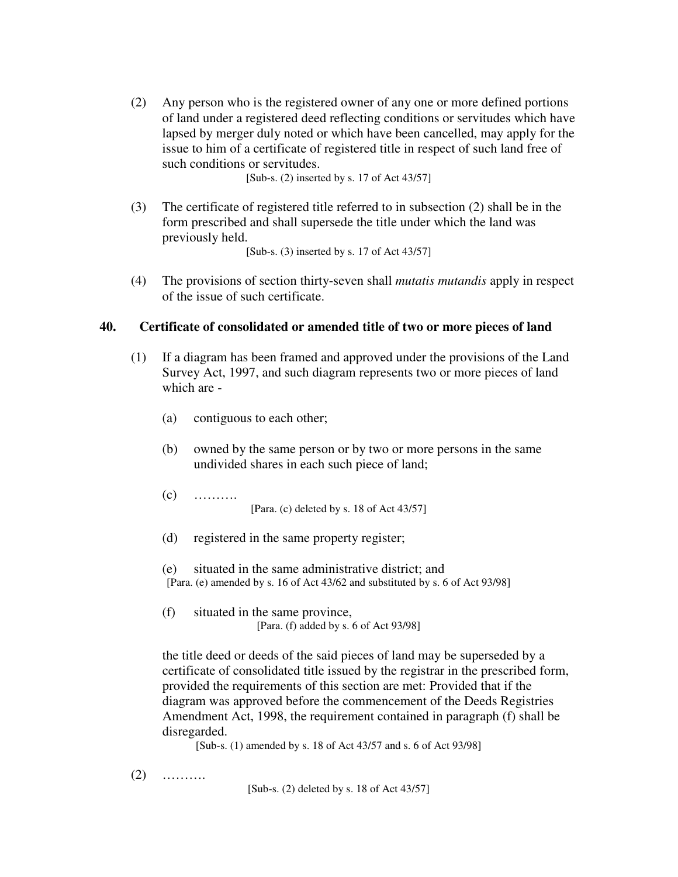(2) Any person who is the registered owner of any one or more defined portions of land under a registered deed reflecting conditions or servitudes which have lapsed by merger duly noted or which have been cancelled, may apply for the issue to him of a certificate of registered title in respect of such land free of such conditions or servitudes.

[Sub-s. (2) inserted by s. 17 of Act 43/57]

(3) The certificate of registered title referred to in subsection (2) shall be in the form prescribed and shall supersede the title under which the land was previously held.

[Sub-s. (3) inserted by s. 17 of Act 43/57]

(4) The provisions of section thirty-seven shall *mutatis mutandis* apply in respect of the issue of such certificate.

### **40. Certificate of consolidated or amended title of two or more pieces of land**

- (1) If a diagram has been framed and approved under the provisions of the Land Survey Act, 1997, and such diagram represents two or more pieces of land which are -
	- (a) contiguous to each other;
	- (b) owned by the same person or by two or more persons in the same undivided shares in each such piece of land;
	- $(c)$  ……… [Para. (c) deleted by s. 18 of Act 43/57]
	- (d) registered in the same property register;
	- (e) situated in the same administrative district; and [Para. (e) amended by s. 16 of Act 43/62 and substituted by s. 6 of Act 93/98]
	- (f) situated in the same province, [Para. (f) added by s. 6 of Act 93/98]

the title deed or deeds of the said pieces of land may be superseded by a certificate of consolidated title issued by the registrar in the prescribed form, provided the requirements of this section are met: Provided that if the diagram was approved before the commencement of the Deeds Registries Amendment Act, 1998, the requirement contained in paragraph (f) shall be disregarded.

[Sub-s. (1) amended by s. 18 of Act 43/57 and s. 6 of Act 93/98]

 $(2)$  ………

[Sub-s. (2) deleted by s. 18 of Act 43/57]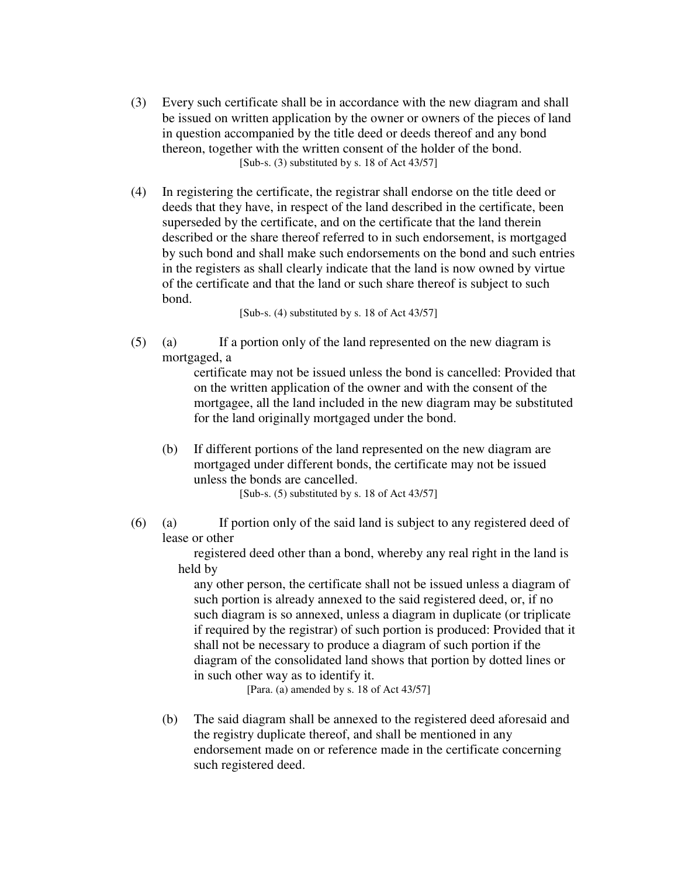- (3) Every such certificate shall be in accordance with the new diagram and shall be issued on written application by the owner or owners of the pieces of land in question accompanied by the title deed or deeds thereof and any bond thereon, together with the written consent of the holder of the bond. [Sub-s. (3) substituted by s. 18 of Act 43/57]
- (4) In registering the certificate, the registrar shall endorse on the title deed or deeds that they have, in respect of the land described in the certificate, been superseded by the certificate, and on the certificate that the land therein described or the share thereof referred to in such endorsement, is mortgaged by such bond and shall make such endorsements on the bond and such entries in the registers as shall clearly indicate that the land is now owned by virtue of the certificate and that the land or such share thereof is subject to such bond.

[Sub-s.  $(4)$  substituted by s. 18 of Act 43/57]

(5) (a) If a portion only of the land represented on the new diagram is mortgaged, a

> certificate may not be issued unless the bond is cancelled: Provided that on the written application of the owner and with the consent of the mortgagee, all the land included in the new diagram may be substituted for the land originally mortgaged under the bond.

(b) If different portions of the land represented on the new diagram are mortgaged under different bonds, the certificate may not be issued unless the bonds are cancelled.

[Sub-s. (5) substituted by s. 18 of Act 43/57]

(6) (a) If portion only of the said land is subject to any registered deed of lease or other

> registered deed other than a bond, whereby any real right in the land is held by

any other person, the certificate shall not be issued unless a diagram of such portion is already annexed to the said registered deed, or, if no such diagram is so annexed, unless a diagram in duplicate (or triplicate if required by the registrar) of such portion is produced: Provided that it shall not be necessary to produce a diagram of such portion if the diagram of the consolidated land shows that portion by dotted lines or in such other way as to identify it.

[Para. (a) amended by s. 18 of Act 43/57]

(b) The said diagram shall be annexed to the registered deed aforesaid and the registry duplicate thereof, and shall be mentioned in any endorsement made on or reference made in the certificate concerning such registered deed.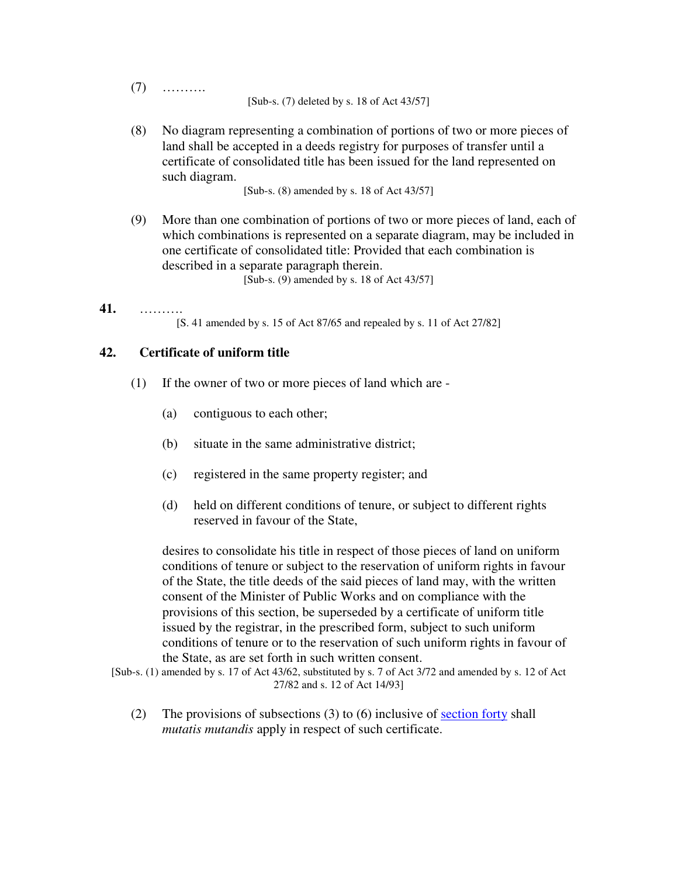(7) ……….

[Sub-s. (7) deleted by s. 18 of Act 43/57]

(8) No diagram representing a combination of portions of two or more pieces of land shall be accepted in a deeds registry for purposes of transfer until a certificate of consolidated title has been issued for the land represented on such diagram.

[Sub-s. (8) amended by s. 18 of Act 43/57]

(9) More than one combination of portions of two or more pieces of land, each of which combinations is represented on a separate diagram, may be included in one certificate of consolidated title: Provided that each combination is described in a separate paragraph therein.

[Sub-s. (9) amended by s. 18 of Act 43/57]

# **41.** ……….

[S. 41 amended by s. 15 of Act 87/65 and repealed by s. 11 of Act 27/82]

## **42. Certificate of uniform title**

- (1) If the owner of two or more pieces of land which are
	- (a) contiguous to each other;
	- (b) situate in the same administrative district;
	- (c) registered in the same property register; and
	- (d) held on different conditions of tenure, or subject to different rights reserved in favour of the State,

desires to consolidate his title in respect of those pieces of land on uniform conditions of tenure or subject to the reservation of uniform rights in favour of the State, the title deeds of the said pieces of land may, with the written consent of the Minister of Public Works and on compliance with the provisions of this section, be superseded by a certificate of uniform title issued by the registrar, in the prescribed form, subject to such uniform conditions of tenure or to the reservation of such uniform rights in favour of the State, as are set forth in such written consent.

- [Sub-s. (1) amended by s. 17 of Act 43/62, substituted by s. 7 of Act 3/72 and amended by s. 12 of Act 27/82 and s. 12 of Act 14/93]
	- (2) The provisions of subsections (3) to (6) inclusive of section forty shall *mutatis mutandis* apply in respect of such certificate.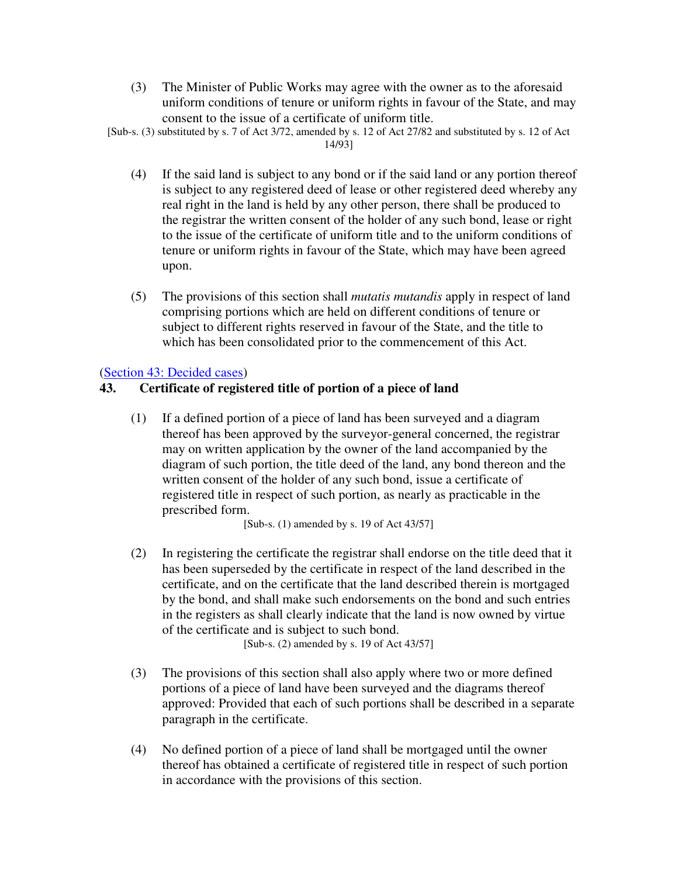(3) The Minister of Public Works may agree with the owner as to the aforesaid uniform conditions of tenure or uniform rights in favour of the State, and may consent to the issue of a certificate of uniform title.

```
[Sub-s. (3) substituted by s. 7 of Act 3/72, amended by s. 12 of Act 27/82 and substituted by s. 12 of Act 
                                      14/93]
```
- (4) If the said land is subject to any bond or if the said land or any portion thereof is subject to any registered deed of lease or other registered deed whereby any real right in the land is held by any other person, there shall be produced to the registrar the written consent of the holder of any such bond, lease or right to the issue of the certificate of uniform title and to the uniform conditions of tenure or uniform rights in favour of the State, which may have been agreed upon.
- (5) The provisions of this section shall *mutatis mutandis* apply in respect of land comprising portions which are held on different conditions of tenure or subject to different rights reserved in favour of the State, and the title to which has been consolidated prior to the commencement of this Act.

## (Section 43: Decided cases)

# **43. Certificate of registered title of portion of a piece of land**

(1) If a defined portion of a piece of land has been surveyed and a diagram thereof has been approved by the surveyor-general concerned, the registrar may on written application by the owner of the land accompanied by the diagram of such portion, the title deed of the land, any bond thereon and the written consent of the holder of any such bond, issue a certificate of registered title in respect of such portion, as nearly as practicable in the prescribed form.

[Sub-s. (1) amended by s. 19 of Act 43/57]

(2) In registering the certificate the registrar shall endorse on the title deed that it has been superseded by the certificate in respect of the land described in the certificate, and on the certificate that the land described therein is mortgaged by the bond, and shall make such endorsements on the bond and such entries in the registers as shall clearly indicate that the land is now owned by virtue of the certificate and is subject to such bond.

[Sub-s. (2) amended by s. 19 of Act 43/57]

- (3) The provisions of this section shall also apply where two or more defined portions of a piece of land have been surveyed and the diagrams thereof approved: Provided that each of such portions shall be described in a separate paragraph in the certificate.
- (4) No defined portion of a piece of land shall be mortgaged until the owner thereof has obtained a certificate of registered title in respect of such portion in accordance with the provisions of this section.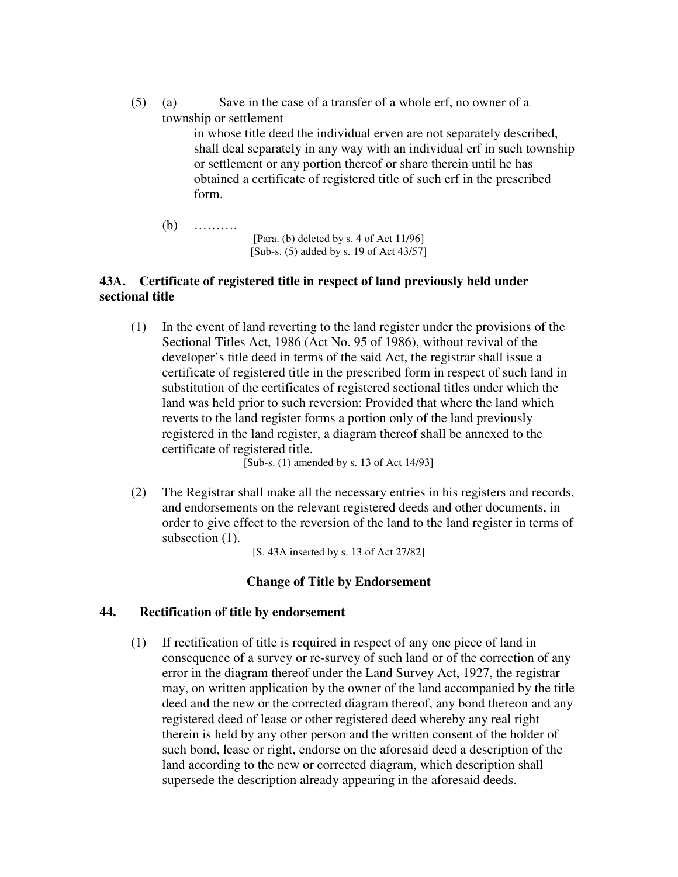(5) (a) Save in the case of a transfer of a whole erf, no owner of a township or settlement

in whose title deed the individual erven are not separately described, shall deal separately in any way with an individual erf in such township or settlement or any portion thereof or share therein until he has obtained a certificate of registered title of such erf in the prescribed form.

(b) ………. [Para. (b) deleted by s. 4 of Act 11/96] [Sub-s. (5) added by s. 19 of Act 43/57]

### **43A. Certificate of registered title in respect of land previously held under sectional title**

(1) In the event of land reverting to the land register under the provisions of the Sectional Titles Act, 1986 (Act No. 95 of 1986), without revival of the developer's title deed in terms of the said Act, the registrar shall issue a certificate of registered title in the prescribed form in respect of such land in substitution of the certificates of registered sectional titles under which the land was held prior to such reversion: Provided that where the land which reverts to the land register forms a portion only of the land previously registered in the land register, a diagram thereof shall be annexed to the certificate of registered title.

[Sub-s. (1) amended by s. 13 of Act 14/93]

(2) The Registrar shall make all the necessary entries in his registers and records, and endorsements on the relevant registered deeds and other documents, in order to give effect to the reversion of the land to the land register in terms of subsection  $(1)$ .

[S. 43A inserted by s. 13 of Act 27/82]

### **Change of Title by Endorsement**

### **44. Rectification of title by endorsement**

(1) If rectification of title is required in respect of any one piece of land in consequence of a survey or re-survey of such land or of the correction of any error in the diagram thereof under the Land Survey Act, 1927, the registrar may, on written application by the owner of the land accompanied by the title deed and the new or the corrected diagram thereof, any bond thereon and any registered deed of lease or other registered deed whereby any real right therein is held by any other person and the written consent of the holder of such bond, lease or right, endorse on the aforesaid deed a description of the land according to the new or corrected diagram, which description shall supersede the description already appearing in the aforesaid deeds.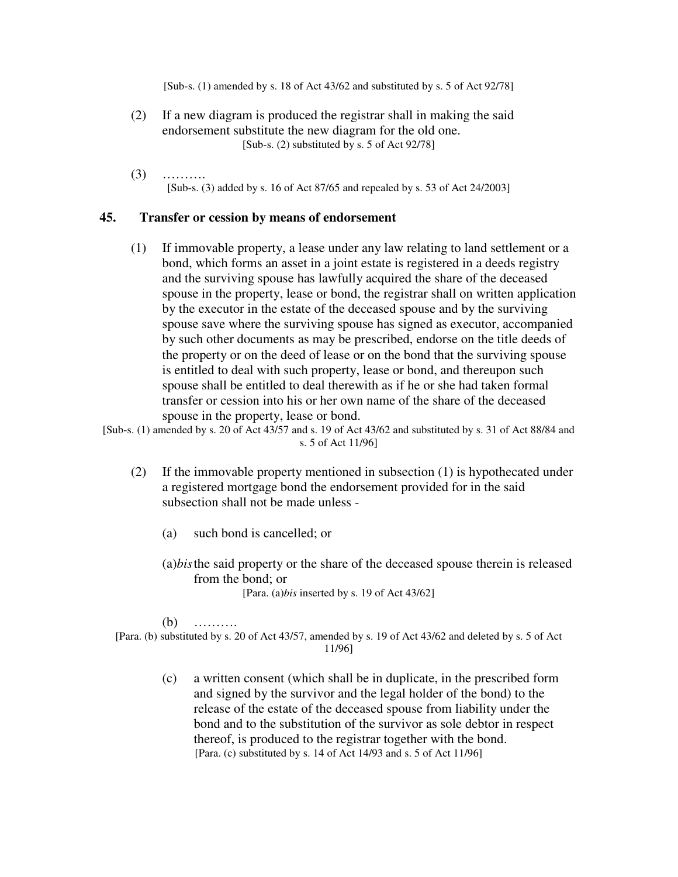[Sub-s. (1) amended by s. 18 of Act 43/62 and substituted by s. 5 of Act 92/78]

- (2) If a new diagram is produced the registrar shall in making the said endorsement substitute the new diagram for the old one. [Sub-s. (2) substituted by s. 5 of Act 92/78]
- (3) ………. [Sub-s. (3) added by s. 16 of Act 87/65 and repealed by s. 53 of Act 24/2003]

#### **45. Transfer or cession by means of endorsement**

(1) If immovable property, a lease under any law relating to land settlement or a bond, which forms an asset in a joint estate is registered in a deeds registry and the surviving spouse has lawfully acquired the share of the deceased spouse in the property, lease or bond, the registrar shall on written application by the executor in the estate of the deceased spouse and by the surviving spouse save where the surviving spouse has signed as executor, accompanied by such other documents as may be prescribed, endorse on the title deeds of the property or on the deed of lease or on the bond that the surviving spouse is entitled to deal with such property, lease or bond, and thereupon such spouse shall be entitled to deal therewith as if he or she had taken formal transfer or cession into his or her own name of the share of the deceased spouse in the property, lease or bond.

[Sub-s. (1) amended by s. 20 of Act 43/57 and s. 19 of Act 43/62 and substituted by s. 31 of Act 88/84 and s. 5 of Act 11/96]

- (2) If the immovable property mentioned in subsection (1) is hypothecated under a registered mortgage bond the endorsement provided for in the said subsection shall not be made unless -
	- (a) such bond is cancelled; or
	- (a)*bis* the said property or the share of the deceased spouse therein is released from the bond; or [Para. (a)*bis* inserted by s. 19 of Act 43/62]

(b) ……….

[Para. (b) substituted by s. 20 of Act 43/57, amended by s. 19 of Act 43/62 and deleted by s. 5 of Act 11/96]

(c) a written consent (which shall be in duplicate, in the prescribed form and signed by the survivor and the legal holder of the bond) to the release of the estate of the deceased spouse from liability under the bond and to the substitution of the survivor as sole debtor in respect thereof, is produced to the registrar together with the bond. [Para. (c) substituted by s. 14 of Act 14/93 and s. 5 of Act 11/96]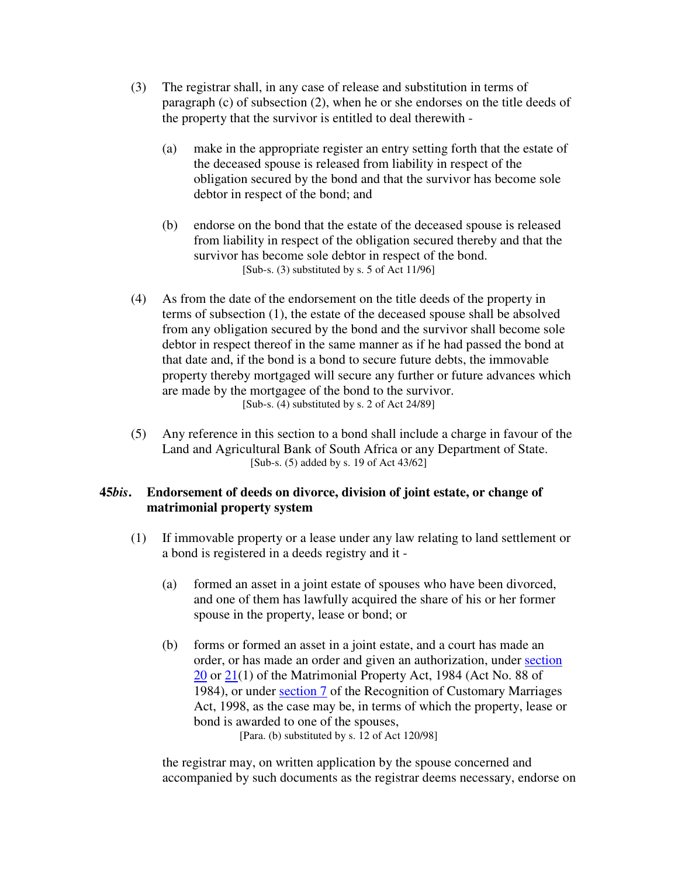- (3) The registrar shall, in any case of release and substitution in terms of paragraph (c) of subsection (2), when he or she endorses on the title deeds of the property that the survivor is entitled to deal therewith -
	- (a) make in the appropriate register an entry setting forth that the estate of the deceased spouse is released from liability in respect of the obligation secured by the bond and that the survivor has become sole debtor in respect of the bond; and
	- (b) endorse on the bond that the estate of the deceased spouse is released from liability in respect of the obligation secured thereby and that the survivor has become sole debtor in respect of the bond. [Sub-s. (3) substituted by s. 5 of Act 11/96]
- (4) As from the date of the endorsement on the title deeds of the property in terms of subsection (1), the estate of the deceased spouse shall be absolved from any obligation secured by the bond and the survivor shall become sole debtor in respect thereof in the same manner as if he had passed the bond at that date and, if the bond is a bond to secure future debts, the immovable property thereby mortgaged will secure any further or future advances which are made by the mortgagee of the bond to the survivor. [Sub-s. (4) substituted by s. 2 of Act 24/89]
- (5) Any reference in this section to a bond shall include a charge in favour of the Land and Agricultural Bank of South Africa or any Department of State. [Sub-s. (5) added by s. 19 of Act 43/62]

## **45***bis***. Endorsement of deeds on divorce, division of joint estate, or change of matrimonial property system**

- (1) If immovable property or a lease under any law relating to land settlement or a bond is registered in a deeds registry and it -
	- (a) formed an asset in a joint estate of spouses who have been divorced, and one of them has lawfully acquired the share of his or her former spouse in the property, lease or bond; or
	- (b) forms or formed an asset in a joint estate, and a court has made an order, or has made an order and given an authorization, under section 20 or 21(1) of the Matrimonial Property Act, 1984 (Act No. 88 of 1984), or under section 7 of the Recognition of Customary Marriages Act, 1998, as the case may be, in terms of which the property, lease or bond is awarded to one of the spouses, [Para. (b) substituted by s. 12 of Act 120/98]

the registrar may, on written application by the spouse concerned and accompanied by such documents as the registrar deems necessary, endorse on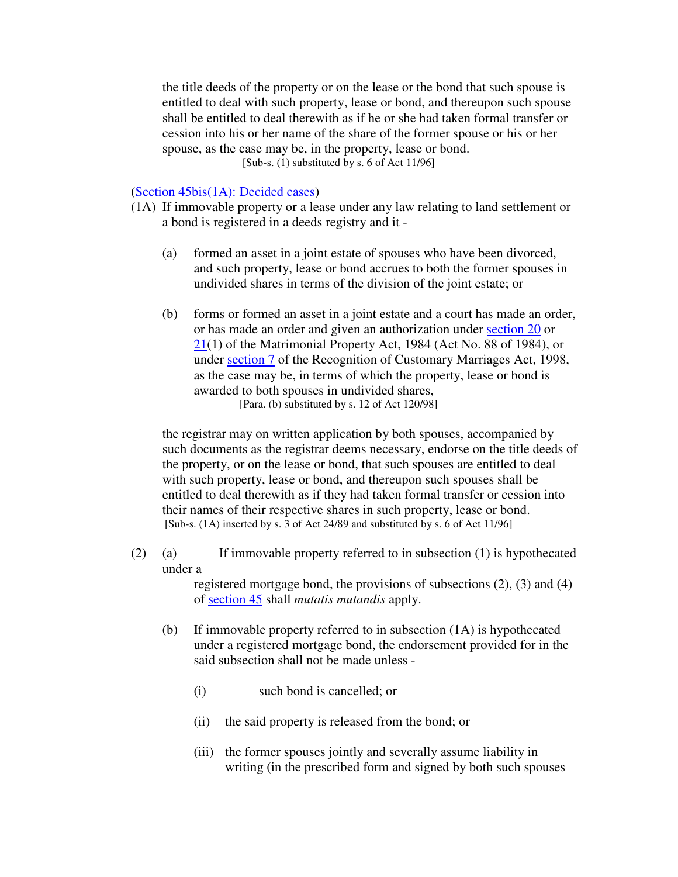the title deeds of the property or on the lease or the bond that such spouse is entitled to deal with such property, lease or bond, and thereupon such spouse shall be entitled to deal therewith as if he or she had taken formal transfer or cession into his or her name of the share of the former spouse or his or her spouse, as the case may be, in the property, lease or bond. [Sub-s.  $(1)$  substituted by s. 6 of Act 11/96]

#### (Section 45bis(1A): Decided cases)

- (1A) If immovable property or a lease under any law relating to land settlement or a bond is registered in a deeds registry and it -
	- (a) formed an asset in a joint estate of spouses who have been divorced, and such property, lease or bond accrues to both the former spouses in undivided shares in terms of the division of the joint estate; or
	- (b) forms or formed an asset in a joint estate and a court has made an order, or has made an order and given an authorization under section 20 or 21(1) of the Matrimonial Property Act, 1984 (Act No. 88 of 1984), or under section 7 of the Recognition of Customary Marriages Act, 1998, as the case may be, in terms of which the property, lease or bond is awarded to both spouses in undivided shares,

[Para. (b) substituted by s. 12 of Act 120/98]

the registrar may on written application by both spouses, accompanied by such documents as the registrar deems necessary, endorse on the title deeds of the property, or on the lease or bond, that such spouses are entitled to deal with such property, lease or bond, and thereupon such spouses shall be entitled to deal therewith as if they had taken formal transfer or cession into their names of their respective shares in such property, lease or bond. [Sub-s. (1A) inserted by s. 3 of Act 24/89 and substituted by s. 6 of Act 11/96]

(2) (a) If immovable property referred to in subsection (1) is hypothecated under a

> registered mortgage bond, the provisions of subsections (2), (3) and (4) of section 45 shall *mutatis mutandis* apply.

- (b) If immovable property referred to in subsection (1A) is hypothecated under a registered mortgage bond, the endorsement provided for in the said subsection shall not be made unless -
	- (i) such bond is cancelled; or
	- (ii) the said property is released from the bond; or
	- (iii) the former spouses jointly and severally assume liability in writing (in the prescribed form and signed by both such spouses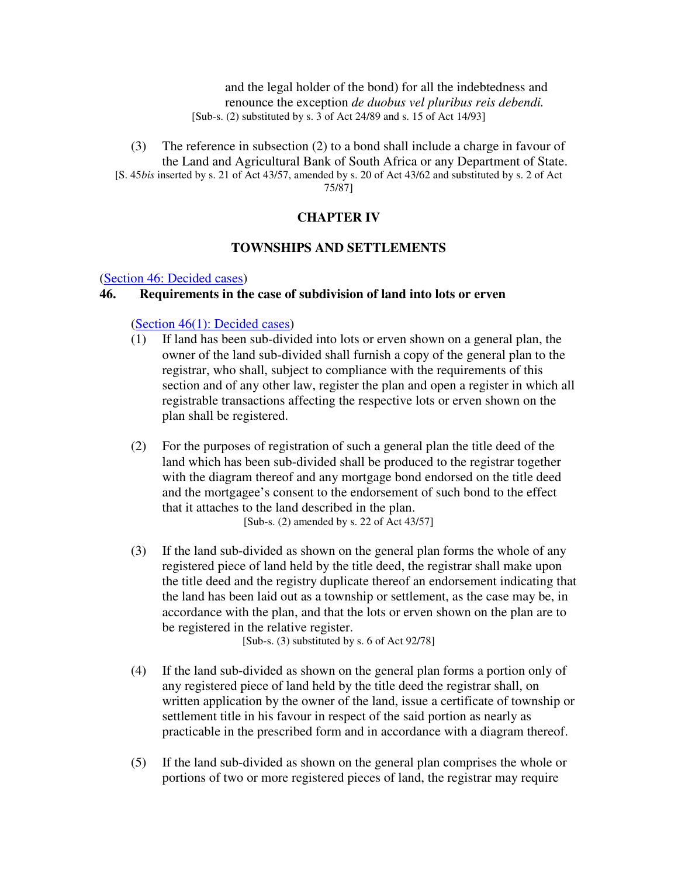and the legal holder of the bond) for all the indebtedness and renounce the exception *de duobus vel pluribus reis debendi.*  [Sub-s. (2) substituted by s. 3 of Act 24/89 and s. 15 of Act 14/93]

(3) The reference in subsection (2) to a bond shall include a charge in favour of the Land and Agricultural Bank of South Africa or any Department of State. [S. 45*bis* inserted by s. 21 of Act 43/57, amended by s. 20 of Act 43/62 and substituted by s. 2 of Act 75/87]

**CHAPTER IV** 

#### **TOWNSHIPS AND SETTLEMENTS**

(Section 46: Decided cases)

#### **46. Requirements in the case of subdivision of land into lots or erven**

(Section 46(1): Decided cases)

- (1) If land has been sub-divided into lots or erven shown on a general plan, the owner of the land sub-divided shall furnish a copy of the general plan to the registrar, who shall, subject to compliance with the requirements of this section and of any other law, register the plan and open a register in which all registrable transactions affecting the respective lots or erven shown on the plan shall be registered.
- (2) For the purposes of registration of such a general plan the title deed of the land which has been sub-divided shall be produced to the registrar together with the diagram thereof and any mortgage bond endorsed on the title deed and the mortgagee's consent to the endorsement of such bond to the effect that it attaches to the land described in the plan. [Sub-s. (2) amended by s. 22 of Act 43/57]
- (3) If the land sub-divided as shown on the general plan forms the whole of any registered piece of land held by the title deed, the registrar shall make upon the title deed and the registry duplicate thereof an endorsement indicating that the land has been laid out as a township or settlement, as the case may be, in accordance with the plan, and that the lots or erven shown on the plan are to be registered in the relative register.

[Sub-s.  $(3)$  substituted by s. 6 of Act 92/78]

- (4) If the land sub-divided as shown on the general plan forms a portion only of any registered piece of land held by the title deed the registrar shall, on written application by the owner of the land, issue a certificate of township or settlement title in his favour in respect of the said portion as nearly as practicable in the prescribed form and in accordance with a diagram thereof.
- (5) If the land sub-divided as shown on the general plan comprises the whole or portions of two or more registered pieces of land, the registrar may require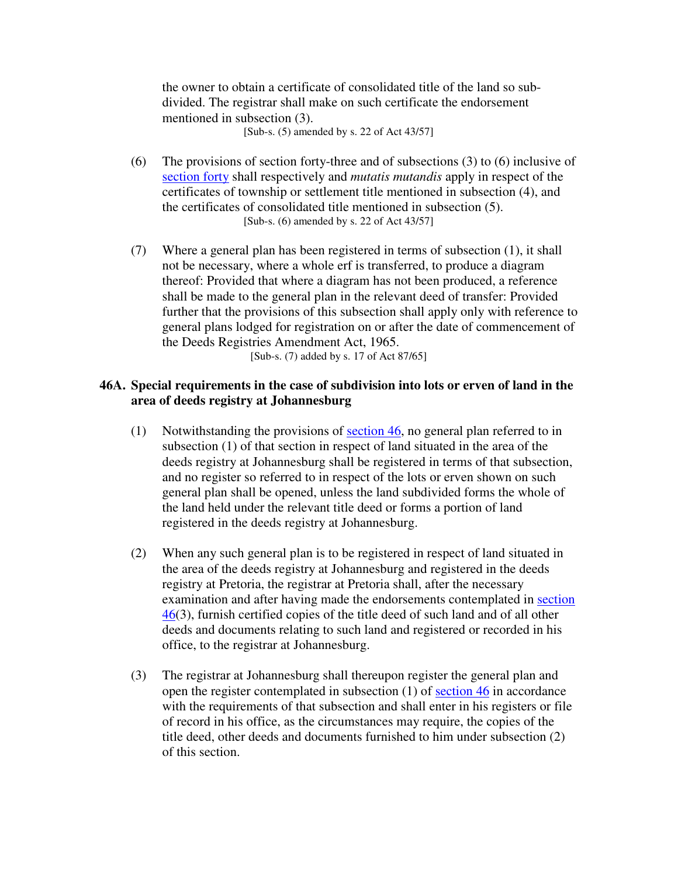the owner to obtain a certificate of consolidated title of the land so subdivided. The registrar shall make on such certificate the endorsement mentioned in subsection (3).

[Sub-s. (5) amended by s. 22 of Act 43/57]

- (6) The provisions of section forty-three and of subsections (3) to (6) inclusive of section forty shall respectively and *mutatis mutandis* apply in respect of the certificates of township or settlement title mentioned in subsection (4), and the certificates of consolidated title mentioned in subsection (5). [Sub-s. (6) amended by s. 22 of Act 43/57]
- (7) Where a general plan has been registered in terms of subsection (1), it shall not be necessary, where a whole erf is transferred, to produce a diagram thereof: Provided that where a diagram has not been produced, a reference shall be made to the general plan in the relevant deed of transfer: Provided further that the provisions of this subsection shall apply only with reference to general plans lodged for registration on or after the date of commencement of the Deeds Registries Amendment Act, 1965.

[Sub-s. (7) added by s. 17 of Act 87/65]

## **46A. Special requirements in the case of subdivision into lots or erven of land in the area of deeds registry at Johannesburg**

- (1) Notwithstanding the provisions of section 46, no general plan referred to in subsection (1) of that section in respect of land situated in the area of the deeds registry at Johannesburg shall be registered in terms of that subsection, and no register so referred to in respect of the lots or erven shown on such general plan shall be opened, unless the land subdivided forms the whole of the land held under the relevant title deed or forms a portion of land registered in the deeds registry at Johannesburg.
- (2) When any such general plan is to be registered in respect of land situated in the area of the deeds registry at Johannesburg and registered in the deeds registry at Pretoria, the registrar at Pretoria shall, after the necessary examination and after having made the endorsements contemplated in section 46(3), furnish certified copies of the title deed of such land and of all other deeds and documents relating to such land and registered or recorded in his office, to the registrar at Johannesburg.
- (3) The registrar at Johannesburg shall thereupon register the general plan and open the register contemplated in subsection (1) of section 46 in accordance with the requirements of that subsection and shall enter in his registers or file of record in his office, as the circumstances may require, the copies of the title deed, other deeds and documents furnished to him under subsection (2) of this section.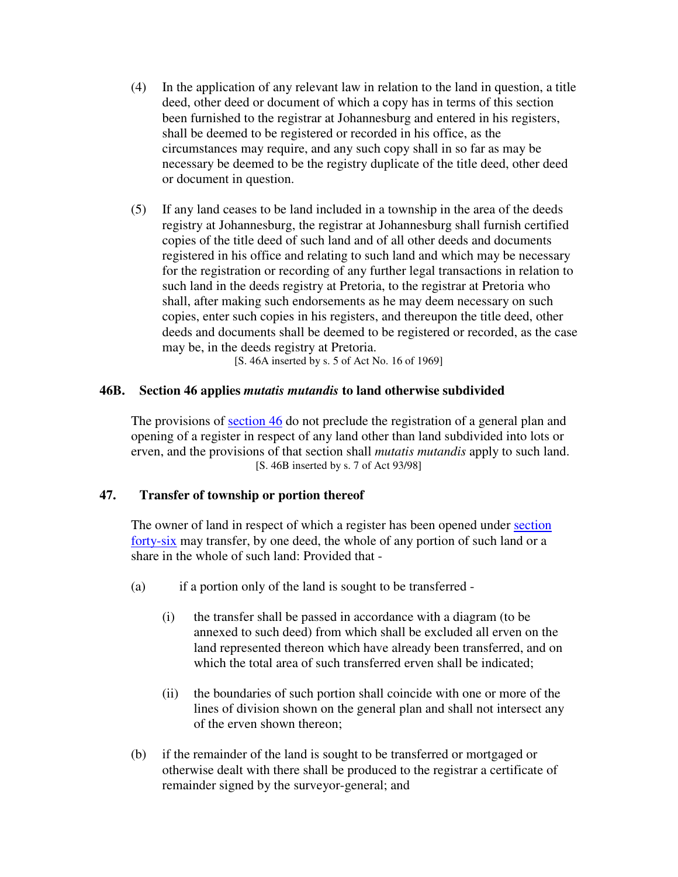- (4) In the application of any relevant law in relation to the land in question, a title deed, other deed or document of which a copy has in terms of this section been furnished to the registrar at Johannesburg and entered in his registers, shall be deemed to be registered or recorded in his office, as the circumstances may require, and any such copy shall in so far as may be necessary be deemed to be the registry duplicate of the title deed, other deed or document in question.
- (5) If any land ceases to be land included in a township in the area of the deeds registry at Johannesburg, the registrar at Johannesburg shall furnish certified copies of the title deed of such land and of all other deeds and documents registered in his office and relating to such land and which may be necessary for the registration or recording of any further legal transactions in relation to such land in the deeds registry at Pretoria, to the registrar at Pretoria who shall, after making such endorsements as he may deem necessary on such copies, enter such copies in his registers, and thereupon the title deed, other deeds and documents shall be deemed to be registered or recorded, as the case may be, in the deeds registry at Pretoria.

[S. 46A inserted by s. 5 of Act No. 16 of 1969]

## **46B. Section 46 applies** *mutatis mutandis* **to land otherwise subdivided**

The provisions of section 46 do not preclude the registration of a general plan and opening of a register in respect of any land other than land subdivided into lots or erven, and the provisions of that section shall *mutatis mutandis* apply to such land. [S. 46B inserted by s. 7 of Act 93/98]

# **47. Transfer of township or portion thereof**

The owner of land in respect of which a register has been opened under section forty-six may transfer, by one deed, the whole of any portion of such land or a share in the whole of such land: Provided that -

- (a) if a portion only of the land is sought to be transferred
	- (i) the transfer shall be passed in accordance with a diagram (to be annexed to such deed) from which shall be excluded all erven on the land represented thereon which have already been transferred, and on which the total area of such transferred erven shall be indicated;
	- (ii) the boundaries of such portion shall coincide with one or more of the lines of division shown on the general plan and shall not intersect any of the erven shown thereon;
- (b) if the remainder of the land is sought to be transferred or mortgaged or otherwise dealt with there shall be produced to the registrar a certificate of remainder signed by the surveyor-general; and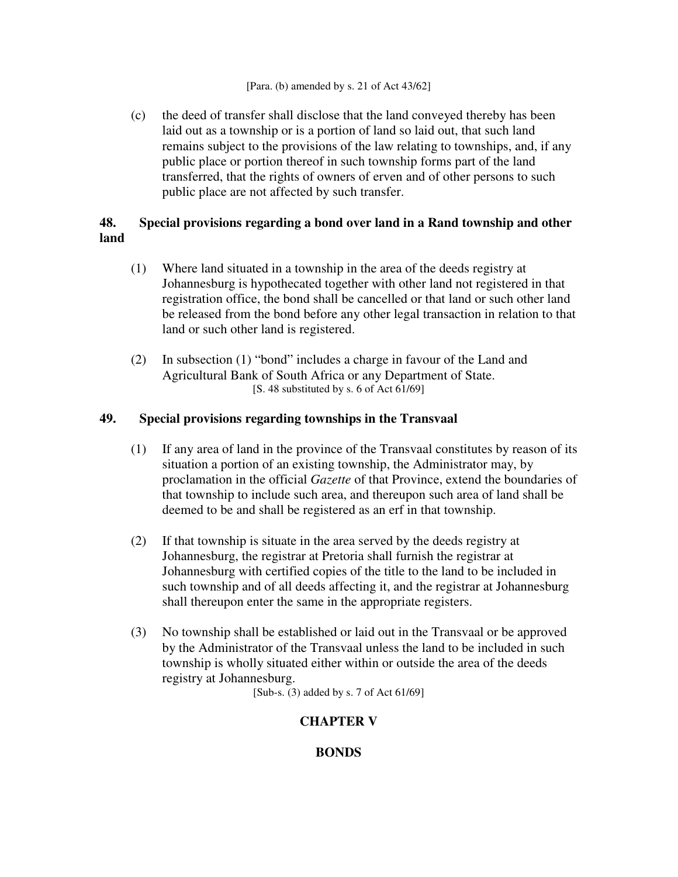(c) the deed of transfer shall disclose that the land conveyed thereby has been laid out as a township or is a portion of land so laid out, that such land remains subject to the provisions of the law relating to townships, and, if any public place or portion thereof in such township forms part of the land transferred, that the rights of owners of erven and of other persons to such public place are not affected by such transfer.

# **48. Special provisions regarding a bond over land in a Rand township and other land**

- (1) Where land situated in a township in the area of the deeds registry at Johannesburg is hypothecated together with other land not registered in that registration office, the bond shall be cancelled or that land or such other land be released from the bond before any other legal transaction in relation to that land or such other land is registered.
- (2) In subsection (1) "bond" includes a charge in favour of the Land and Agricultural Bank of South Africa or any Department of State. [S. 48 substituted by s. 6 of Act 61/69]

## **49. Special provisions regarding townships in the Transvaal**

- (1) If any area of land in the province of the Transvaal constitutes by reason of its situation a portion of an existing township, the Administrator may, by proclamation in the official *Gazette* of that Province, extend the boundaries of that township to include such area, and thereupon such area of land shall be deemed to be and shall be registered as an erf in that township.
- (2) If that township is situate in the area served by the deeds registry at Johannesburg, the registrar at Pretoria shall furnish the registrar at Johannesburg with certified copies of the title to the land to be included in such township and of all deeds affecting it, and the registrar at Johannesburg shall thereupon enter the same in the appropriate registers.
- (3) No township shall be established or laid out in the Transvaal or be approved by the Administrator of the Transvaal unless the land to be included in such township is wholly situated either within or outside the area of the deeds registry at Johannesburg.

[Sub-s. (3) added by s. 7 of Act 61/69]

# **CHAPTER V**

# **BONDS**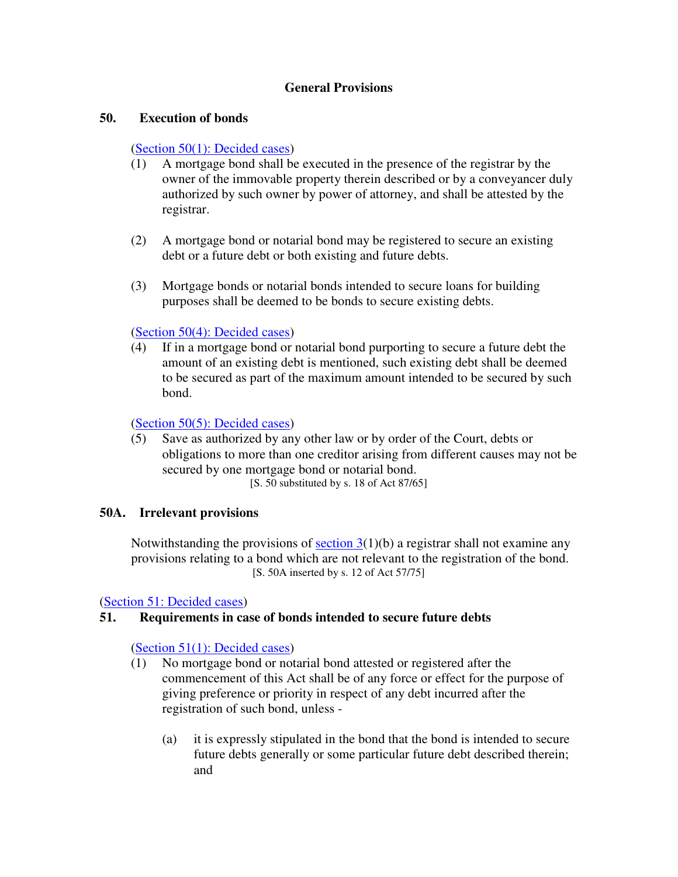# **General Provisions**

### **50. Execution of bonds**

# (Section 50(1): Decided cases)

- (1) A mortgage bond shall be executed in the presence of the registrar by the owner of the immovable property therein described or by a conveyancer duly authorized by such owner by power of attorney, and shall be attested by the registrar.
- (2) A mortgage bond or notarial bond may be registered to secure an existing debt or a future debt or both existing and future debts.
- (3) Mortgage bonds or notarial bonds intended to secure loans for building purposes shall be deemed to be bonds to secure existing debts.

## (Section 50(4): Decided cases)

(4) If in a mortgage bond or notarial bond purporting to secure a future debt the amount of an existing debt is mentioned, such existing debt shall be deemed to be secured as part of the maximum amount intended to be secured by such bond.

## (Section 50(5): Decided cases)

(5) Save as authorized by any other law or by order of the Court, debts or obligations to more than one creditor arising from different causes may not be secured by one mortgage bond or notarial bond.  $[S. 50$  substituted by s. 18 of Act 87/65]

### **50A. Irrelevant provisions**

Notwithstanding the provisions of section  $3(1)(b)$  a registrar shall not examine any provisions relating to a bond which are not relevant to the registration of the bond. [S. 50A inserted by s. 12 of Act 57/75]

(Section 51: Decided cases)

### **51. Requirements in case of bonds intended to secure future debts**

(Section 51(1): Decided cases)

- (1) No mortgage bond or notarial bond attested or registered after the commencement of this Act shall be of any force or effect for the purpose of giving preference or priority in respect of any debt incurred after the registration of such bond, unless -
	- (a) it is expressly stipulated in the bond that the bond is intended to secure future debts generally or some particular future debt described therein; and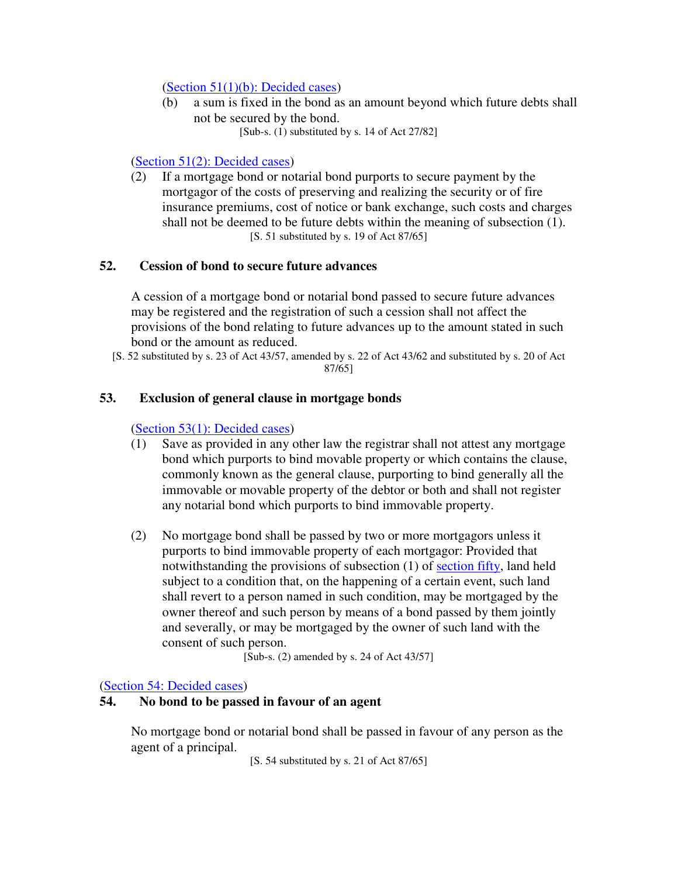### (Section 51(1)(b): Decided cases)

(b) a sum is fixed in the bond as an amount beyond which future debts shall not be secured by the bond. [Sub-s. (1) substituted by s. 14 of Act 27/82]

## (Section 51(2): Decided cases)

(2) If a mortgage bond or notarial bond purports to secure payment by the mortgagor of the costs of preserving and realizing the security or of fire insurance premiums, cost of notice or bank exchange, such costs and charges shall not be deemed to be future debts within the meaning of subsection (1). [S. 51 substituted by s. 19 of Act 87/65]

## **52. Cession of bond to secure future advances**

A cession of a mortgage bond or notarial bond passed to secure future advances may be registered and the registration of such a cession shall not affect the provisions of the bond relating to future advances up to the amount stated in such bond or the amount as reduced.

[S. 52 substituted by s. 23 of Act 43/57, amended by s. 22 of Act 43/62 and substituted by s. 20 of Act 87/65]

### **53. Exclusion of general clause in mortgage bonds**

### (Section 53(1): Decided cases)

- (1) Save as provided in any other law the registrar shall not attest any mortgage bond which purports to bind movable property or which contains the clause, commonly known as the general clause, purporting to bind generally all the immovable or movable property of the debtor or both and shall not register any notarial bond which purports to bind immovable property.
- (2) No mortgage bond shall be passed by two or more mortgagors unless it purports to bind immovable property of each mortgagor: Provided that notwithstanding the provisions of subsection (1) of section fifty, land held subject to a condition that, on the happening of a certain event, such land shall revert to a person named in such condition, may be mortgaged by the owner thereof and such person by means of a bond passed by them jointly and severally, or may be mortgaged by the owner of such land with the consent of such person.

[Sub-s. (2) amended by s. 24 of Act 43/57]

### (Section 54: Decided cases)

## **54. No bond to be passed in favour of an agent**

No mortgage bond or notarial bond shall be passed in favour of any person as the agent of a principal.

[S. 54 substituted by s. 21 of Act 87/65]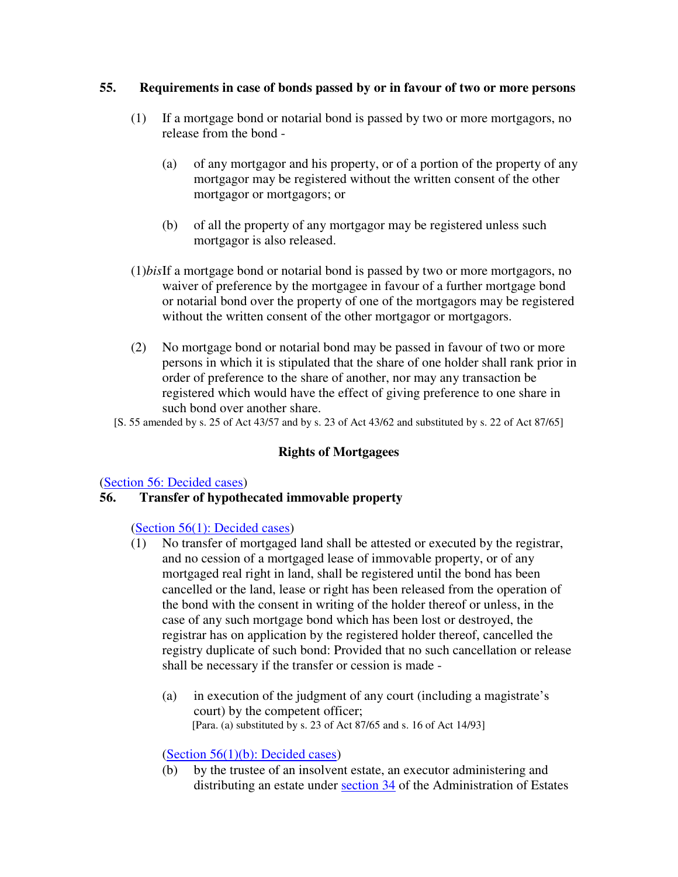## **55. Requirements in case of bonds passed by or in favour of two or more persons**

- (1) If a mortgage bond or notarial bond is passed by two or more mortgagors, no release from the bond -
	- (a) of any mortgagor and his property, or of a portion of the property of any mortgagor may be registered without the written consent of the other mortgagor or mortgagors; or
	- (b) of all the property of any mortgagor may be registered unless such mortgagor is also released.
- (1)*bis* If a mortgage bond or notarial bond is passed by two or more mortgagors, no waiver of preference by the mortgagee in favour of a further mortgage bond or notarial bond over the property of one of the mortgagors may be registered without the written consent of the other mortgagor or mortgagors.
- (2) No mortgage bond or notarial bond may be passed in favour of two or more persons in which it is stipulated that the share of one holder shall rank prior in order of preference to the share of another, nor may any transaction be registered which would have the effect of giving preference to one share in such bond over another share.
- [S. 55 amended by s. 25 of Act 43/57 and by s. 23 of Act 43/62 and substituted by s. 22 of Act 87/65]

# **Rights of Mortgagees**

### (Section 56: Decided cases)

# **56. Transfer of hypothecated immovable property**

### (Section 56(1): Decided cases)

- (1) No transfer of mortgaged land shall be attested or executed by the registrar, and no cession of a mortgaged lease of immovable property, or of any mortgaged real right in land, shall be registered until the bond has been cancelled or the land, lease or right has been released from the operation of the bond with the consent in writing of the holder thereof or unless, in the case of any such mortgage bond which has been lost or destroyed, the registrar has on application by the registered holder thereof, cancelled the registry duplicate of such bond: Provided that no such cancellation or release shall be necessary if the transfer or cession is made -
	- (a) in execution of the judgment of any court (including a magistrate's court) by the competent officer; [Para. (a) substituted by s. 23 of Act 87/65 and s. 16 of Act 14/93]

### (Section 56(1)(b): Decided cases)

(b) by the trustee of an insolvent estate, an executor administering and distributing an estate under section 34 of the Administration of Estates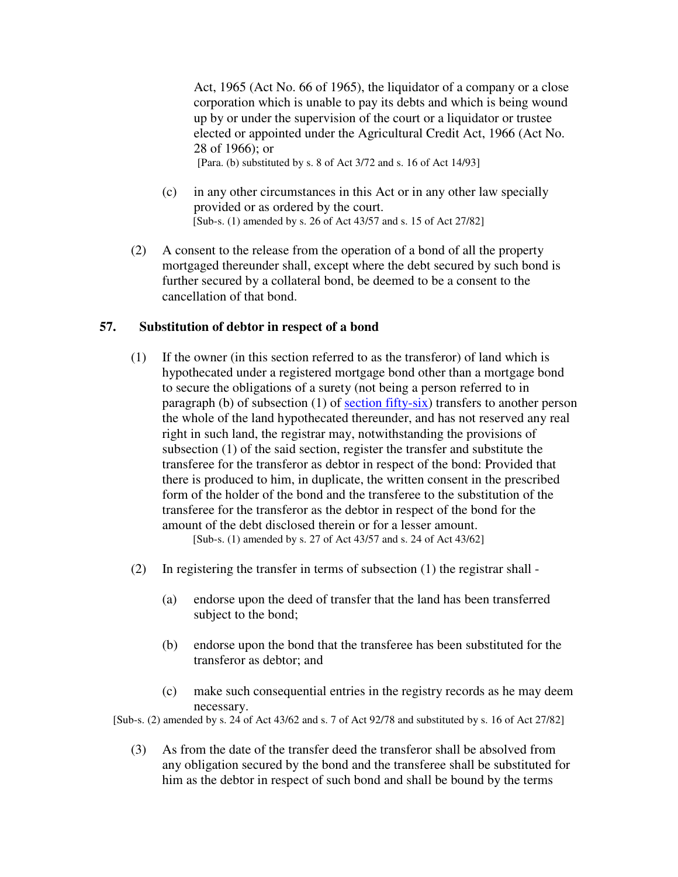Act, 1965 (Act No. 66 of 1965), the liquidator of a company or a close corporation which is unable to pay its debts and which is being wound up by or under the supervision of the court or a liquidator or trustee elected or appointed under the Agricultural Credit Act, 1966 (Act No. 28 of 1966); or [Para. (b) substituted by s. 8 of Act 3/72 and s. 16 of Act 14/93]

(c) in any other circumstances in this Act or in any other law specially provided or as ordered by the court. [Sub-s. (1) amended by s. 26 of Act 43/57 and s. 15 of Act 27/82]

(2) A consent to the release from the operation of a bond of all the property mortgaged thereunder shall, except where the debt secured by such bond is further secured by a collateral bond, be deemed to be a consent to the cancellation of that bond.

### **57. Substitution of debtor in respect of a bond**

(1) If the owner (in this section referred to as the transferor) of land which is hypothecated under a registered mortgage bond other than a mortgage bond to secure the obligations of a surety (not being a person referred to in paragraph (b) of subsection (1) of section fifty-six) transfers to another person the whole of the land hypothecated thereunder, and has not reserved any real right in such land, the registrar may, notwithstanding the provisions of subsection (1) of the said section, register the transfer and substitute the transferee for the transferor as debtor in respect of the bond: Provided that there is produced to him, in duplicate, the written consent in the prescribed form of the holder of the bond and the transferee to the substitution of the transferee for the transferor as the debtor in respect of the bond for the amount of the debt disclosed therein or for a lesser amount.

[Sub-s. (1) amended by s. 27 of Act 43/57 and s. 24 of Act 43/62]

- (2) In registering the transfer in terms of subsection (1) the registrar shall
	- (a) endorse upon the deed of transfer that the land has been transferred subject to the bond;
	- (b) endorse upon the bond that the transferee has been substituted for the transferor as debtor; and
	- (c) make such consequential entries in the registry records as he may deem necessary.

[Sub-s. (2) amended by s. 24 of Act 43/62 and s. 7 of Act 92/78 and substituted by s. 16 of Act 27/82]

(3) As from the date of the transfer deed the transferor shall be absolved from any obligation secured by the bond and the transferee shall be substituted for him as the debtor in respect of such bond and shall be bound by the terms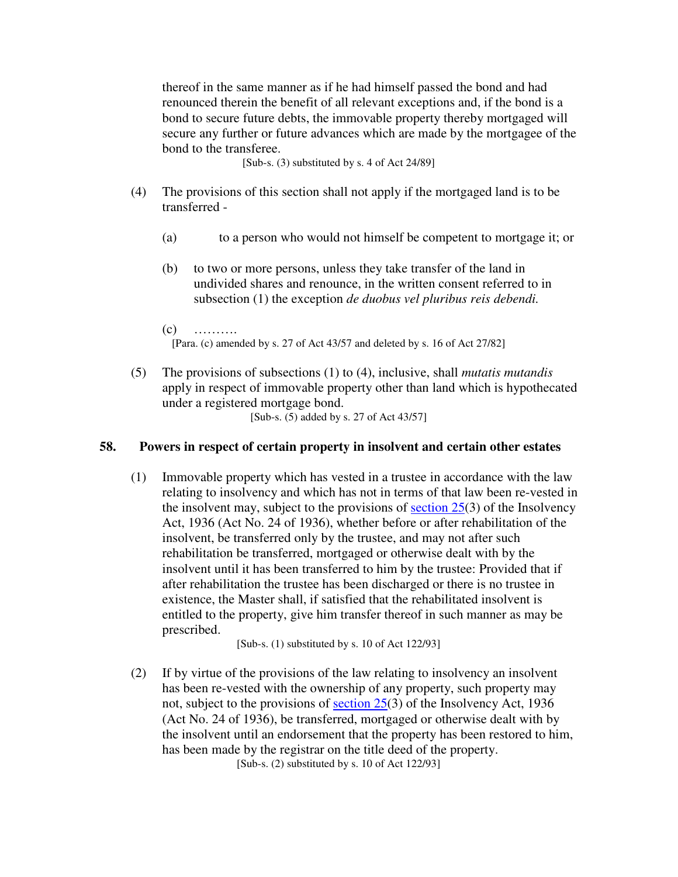thereof in the same manner as if he had himself passed the bond and had renounced therein the benefit of all relevant exceptions and, if the bond is a bond to secure future debts, the immovable property thereby mortgaged will secure any further or future advances which are made by the mortgagee of the bond to the transferee.

[Sub-s. (3) substituted by s. 4 of Act 24/89]

- (4) The provisions of this section shall not apply if the mortgaged land is to be transferred -
	- (a) to a person who would not himself be competent to mortgage it; or
	- (b) to two or more persons, unless they take transfer of the land in undivided shares and renounce, in the written consent referred to in subsection (1) the exception *de duobus vel pluribus reis debendi.*
	- $(c)$  ……… [Para. (c) amended by s. 27 of Act 43/57 and deleted by s. 16 of Act 27/82]
- (5) The provisions of subsections (1) to (4), inclusive, shall *mutatis mutandis* apply in respect of immovable property other than land which is hypothecated under a registered mortgage bond. [Sub-s. (5) added by s. 27 of Act 43/57]

### **58. Powers in respect of certain property in insolvent and certain other estates**

(1) Immovable property which has vested in a trustee in accordance with the law relating to insolvency and which has not in terms of that law been re-vested in the insolvent may, subject to the provisions of section  $25(3)$  of the Insolvency Act, 1936 (Act No. 24 of 1936), whether before or after rehabilitation of the insolvent, be transferred only by the trustee, and may not after such rehabilitation be transferred, mortgaged or otherwise dealt with by the insolvent until it has been transferred to him by the trustee: Provided that if after rehabilitation the trustee has been discharged or there is no trustee in existence, the Master shall, if satisfied that the rehabilitated insolvent is entitled to the property, give him transfer thereof in such manner as may be prescribed.

[Sub-s. (1) substituted by s. 10 of Act 122/93]

(2) If by virtue of the provisions of the law relating to insolvency an insolvent has been re-vested with the ownership of any property, such property may not, subject to the provisions of  $\frac{\text{section } 25(3)}{25(3)}$  of the Insolvency Act, 1936 (Act No. 24 of 1936), be transferred, mortgaged or otherwise dealt with by the insolvent until an endorsement that the property has been restored to him, has been made by the registrar on the title deed of the property. [Sub-s. (2) substituted by s. 10 of Act 122/93]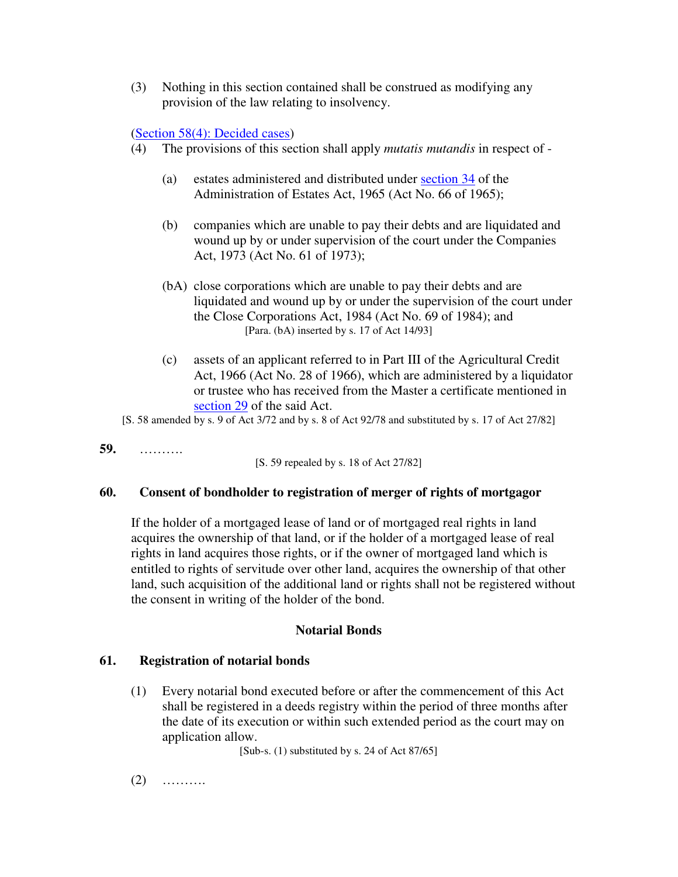(3) Nothing in this section contained shall be construed as modifying any provision of the law relating to insolvency.

# (Section 58(4): Decided cases)

- (4) The provisions of this section shall apply *mutatis mutandis* in respect of
	- (a) estates administered and distributed under section 34 of the Administration of Estates Act, 1965 (Act No. 66 of 1965);
	- (b) companies which are unable to pay their debts and are liquidated and wound up by or under supervision of the court under the Companies Act, 1973 (Act No. 61 of 1973);
	- (bA) close corporations which are unable to pay their debts and are liquidated and wound up by or under the supervision of the court under the Close Corporations Act, 1984 (Act No. 69 of 1984); and [Para. (bA) inserted by s. 17 of Act 14/93]
	- (c) assets of an applicant referred to in Part III of the Agricultural Credit Act, 1966 (Act No. 28 of 1966), which are administered by a liquidator or trustee who has received from the Master a certificate mentioned in section 29 of the said Act.

[S. 58 amended by s. 9 of Act 3/72 and by s. 8 of Act 92/78 and substituted by s. 17 of Act 27/82]

**59.** ……….

[S. 59 repealed by s. 18 of Act 27/82]

### **60. Consent of bondholder to registration of merger of rights of mortgagor**

If the holder of a mortgaged lease of land or of mortgaged real rights in land acquires the ownership of that land, or if the holder of a mortgaged lease of real rights in land acquires those rights, or if the owner of mortgaged land which is entitled to rights of servitude over other land, acquires the ownership of that other land, such acquisition of the additional land or rights shall not be registered without the consent in writing of the holder of the bond.

# **Notarial Bonds**

# **61. Registration of notarial bonds**

(1) Every notarial bond executed before or after the commencement of this Act shall be registered in a deeds registry within the period of three months after the date of its execution or within such extended period as the court may on application allow.

[Sub-s.  $(1)$  substituted by s. 24 of Act 87/65]

(2) ……….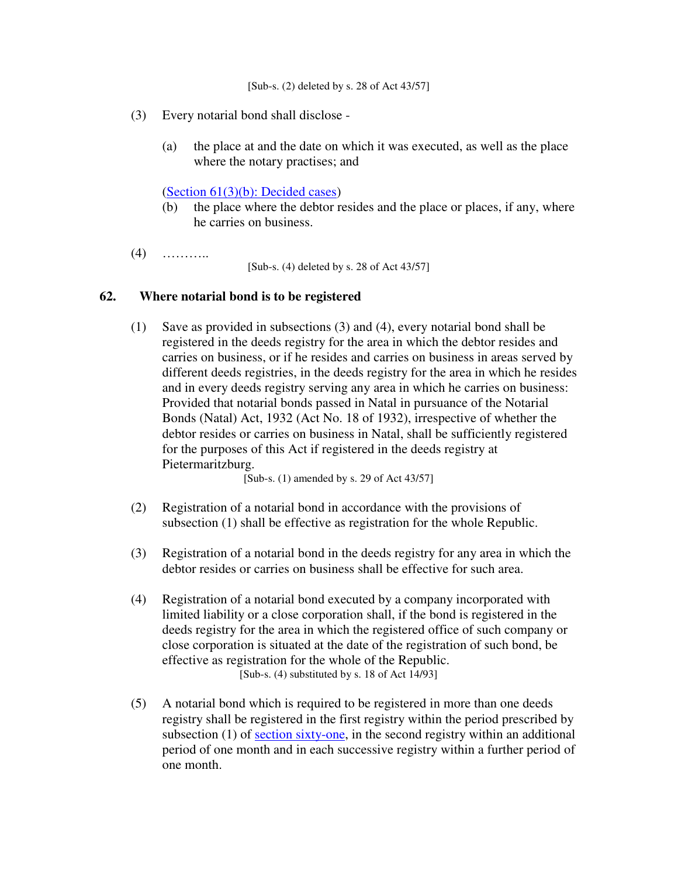- (3) Every notarial bond shall disclose
	- (a) the place at and the date on which it was executed, as well as the place where the notary practises; and

(Section 61(3)(b): Decided cases)

- (b) the place where the debtor resides and the place or places, if any, where he carries on business.
- (4) ………..

[Sub-s. (4) deleted by s. 28 of Act 43/57]

#### **62. Where notarial bond is to be registered**

(1) Save as provided in subsections (3) and (4), every notarial bond shall be registered in the deeds registry for the area in which the debtor resides and carries on business, or if he resides and carries on business in areas served by different deeds registries, in the deeds registry for the area in which he resides and in every deeds registry serving any area in which he carries on business: Provided that notarial bonds passed in Natal in pursuance of the Notarial Bonds (Natal) Act, 1932 (Act No. 18 of 1932), irrespective of whether the debtor resides or carries on business in Natal, shall be sufficiently registered for the purposes of this Act if registered in the deeds registry at Pietermaritzburg.

[Sub-s. (1) amended by s. 29 of Act 43/57]

- (2) Registration of a notarial bond in accordance with the provisions of subsection (1) shall be effective as registration for the whole Republic.
- (3) Registration of a notarial bond in the deeds registry for any area in which the debtor resides or carries on business shall be effective for such area.
- (4) Registration of a notarial bond executed by a company incorporated with limited liability or a close corporation shall, if the bond is registered in the deeds registry for the area in which the registered office of such company or close corporation is situated at the date of the registration of such bond, be effective as registration for the whole of the Republic. [Sub-s. (4) substituted by s. 18 of Act 14/93]
- (5) A notarial bond which is required to be registered in more than one deeds registry shall be registered in the first registry within the period prescribed by subsection (1) of section sixty-one, in the second registry within an additional period of one month and in each successive registry within a further period of one month.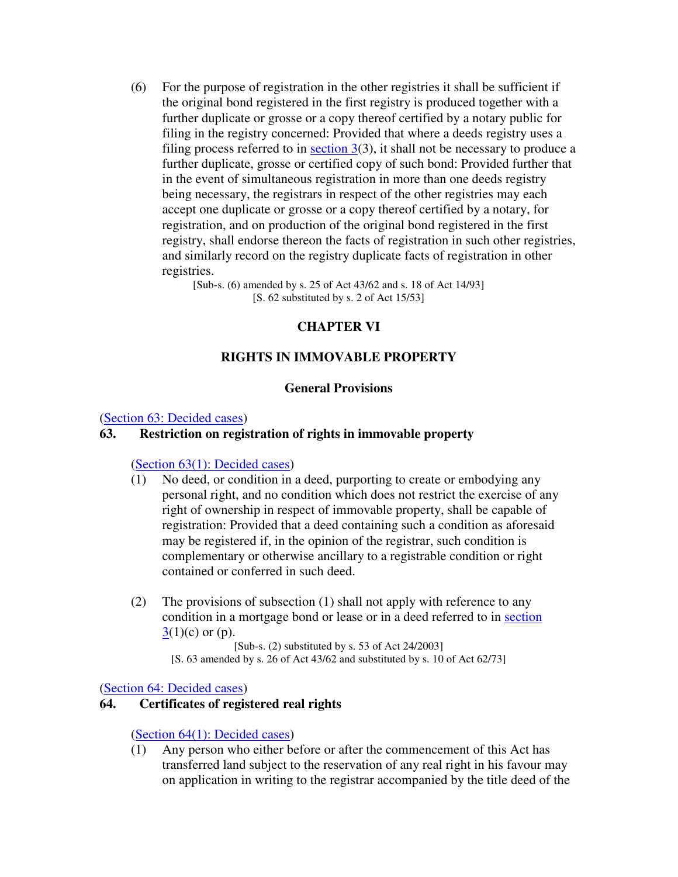(6) For the purpose of registration in the other registries it shall be sufficient if the original bond registered in the first registry is produced together with a further duplicate or grosse or a copy thereof certified by a notary public for filing in the registry concerned: Provided that where a deeds registry uses a filing process referred to in section  $3(3)$ , it shall not be necessary to produce a further duplicate, grosse or certified copy of such bond: Provided further that in the event of simultaneous registration in more than one deeds registry being necessary, the registrars in respect of the other registries may each accept one duplicate or grosse or a copy thereof certified by a notary, for registration, and on production of the original bond registered in the first registry, shall endorse thereon the facts of registration in such other registries, and similarly record on the registry duplicate facts of registration in other registries.

[Sub-s. (6) amended by s. 25 of Act 43/62 and s. 18 of Act 14/93] [S. 62 substituted by s. 2 of Act 15/53]

### **CHAPTER VI**

## **RIGHTS IN IMMOVABLE PROPERTY**

#### **General Provisions**

#### (Section 63: Decided cases)

# **63. Restriction on registration of rights in immovable property**

#### (Section 63(1): Decided cases)

- (1) No deed, or condition in a deed, purporting to create or embodying any personal right, and no condition which does not restrict the exercise of any right of ownership in respect of immovable property, shall be capable of registration: Provided that a deed containing such a condition as aforesaid may be registered if, in the opinion of the registrar, such condition is complementary or otherwise ancillary to a registrable condition or right contained or conferred in such deed.
- (2) The provisions of subsection (1) shall not apply with reference to any condition in a mortgage bond or lease or in a deed referred to in section  $\frac{3}{1}(c)$  or (p).

[Sub-s. (2) substituted by s. 53 of Act 24/2003] [S. 63 amended by s. 26 of Act 43/62 and substituted by s. 10 of Act 62/73]

(Section 64: Decided cases)

#### **64. Certificates of registered real rights**

(Section 64(1): Decided cases)

(1) Any person who either before or after the commencement of this Act has transferred land subject to the reservation of any real right in his favour may on application in writing to the registrar accompanied by the title deed of the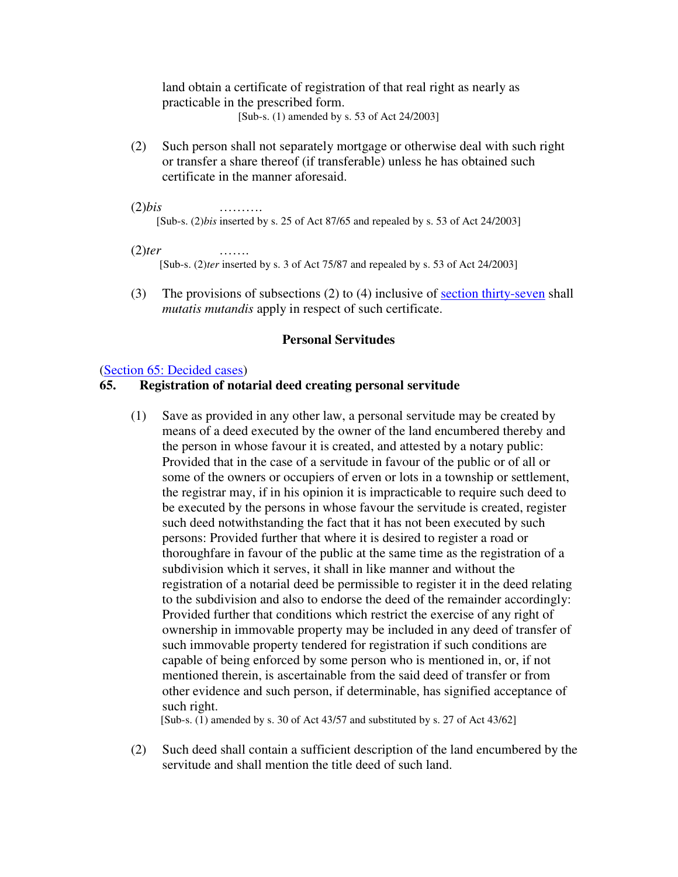land obtain a certificate of registration of that real right as nearly as practicable in the prescribed form. [Sub-s. (1) amended by s. 53 of Act 24/2003]

- (2) Such person shall not separately mortgage or otherwise deal with such right or transfer a share thereof (if transferable) unless he has obtained such certificate in the manner aforesaid.
- (2)*bis* ………. [Sub-s. (2)*bis* inserted by s. 25 of Act 87/65 and repealed by s. 53 of Act 24/2003]
- $(2)$ *ter* [Sub-s. (2)*ter* inserted by s. 3 of Act 75/87 and repealed by s. 53 of Act 24/2003]
- (3) The provisions of subsections (2) to (4) inclusive of section thirty-seven shall *mutatis mutandis* apply in respect of such certificate.

### **Personal Servitudes**

#### (Section 65: Decided cases)

### **65. Registration of notarial deed creating personal servitude**

(1) Save as provided in any other law, a personal servitude may be created by means of a deed executed by the owner of the land encumbered thereby and the person in whose favour it is created, and attested by a notary public: Provided that in the case of a servitude in favour of the public or of all or some of the owners or occupiers of erven or lots in a township or settlement, the registrar may, if in his opinion it is impracticable to require such deed to be executed by the persons in whose favour the servitude is created, register such deed notwithstanding the fact that it has not been executed by such persons: Provided further that where it is desired to register a road or thoroughfare in favour of the public at the same time as the registration of a subdivision which it serves, it shall in like manner and without the registration of a notarial deed be permissible to register it in the deed relating to the subdivision and also to endorse the deed of the remainder accordingly: Provided further that conditions which restrict the exercise of any right of ownership in immovable property may be included in any deed of transfer of such immovable property tendered for registration if such conditions are capable of being enforced by some person who is mentioned in, or, if not mentioned therein, is ascertainable from the said deed of transfer or from other evidence and such person, if determinable, has signified acceptance of such right.

[Sub-s. (1) amended by s. 30 of Act 43/57 and substituted by s. 27 of Act 43/62]

(2) Such deed shall contain a sufficient description of the land encumbered by the servitude and shall mention the title deed of such land.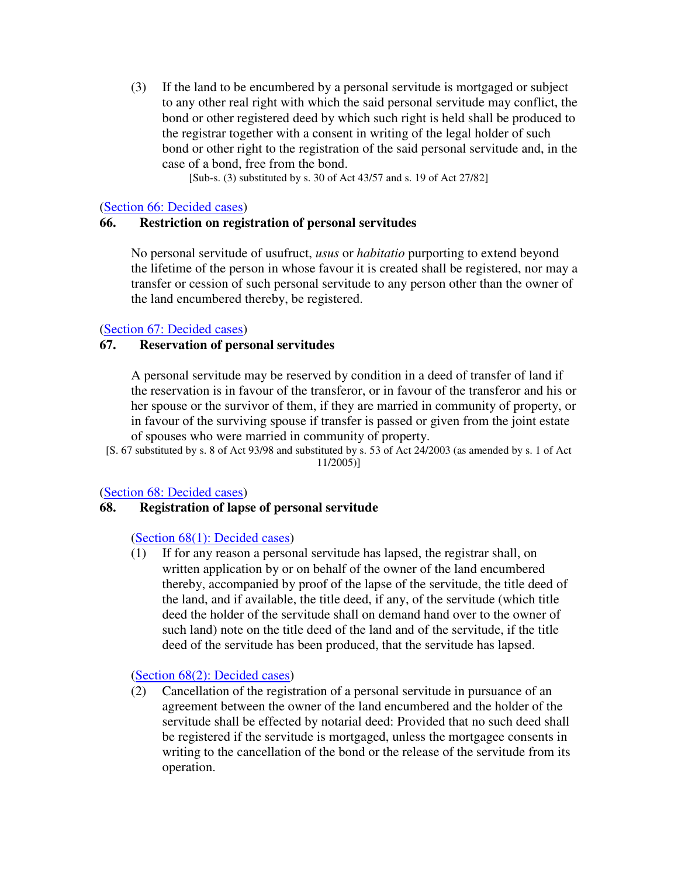(3) If the land to be encumbered by a personal servitude is mortgaged or subject to any other real right with which the said personal servitude may conflict, the bond or other registered deed by which such right is held shall be produced to the registrar together with a consent in writing of the legal holder of such bond or other right to the registration of the said personal servitude and, in the case of a bond, free from the bond.

[Sub-s. (3) substituted by s. 30 of Act 43/57 and s. 19 of Act 27/82]

#### (Section 66: Decided cases)

### **66. Restriction on registration of personal servitudes**

No personal servitude of usufruct, *usus* or *habitatio* purporting to extend beyond the lifetime of the person in whose favour it is created shall be registered, nor may a transfer or cession of such personal servitude to any person other than the owner of the land encumbered thereby, be registered.

#### (Section 67: Decided cases)

### **67. Reservation of personal servitudes**

A personal servitude may be reserved by condition in a deed of transfer of land if the reservation is in favour of the transferor, or in favour of the transferor and his or her spouse or the survivor of them, if they are married in community of property, or in favour of the surviving spouse if transfer is passed or given from the joint estate of spouses who were married in community of property.

[S. 67 substituted by s. 8 of Act 93/98 and substituted by s. 53 of Act 24/2003 (as amended by s. 1 of Act 11/2005)]

#### (Section 68: Decided cases)

#### **68. Registration of lapse of personal servitude**

#### (Section 68(1): Decided cases)

(1) If for any reason a personal servitude has lapsed, the registrar shall, on written application by or on behalf of the owner of the land encumbered thereby, accompanied by proof of the lapse of the servitude, the title deed of the land, and if available, the title deed, if any, of the servitude (which title deed the holder of the servitude shall on demand hand over to the owner of such land) note on the title deed of the land and of the servitude, if the title deed of the servitude has been produced, that the servitude has lapsed.

### (Section 68(2): Decided cases)

(2) Cancellation of the registration of a personal servitude in pursuance of an agreement between the owner of the land encumbered and the holder of the servitude shall be effected by notarial deed: Provided that no such deed shall be registered if the servitude is mortgaged, unless the mortgagee consents in writing to the cancellation of the bond or the release of the servitude from its operation.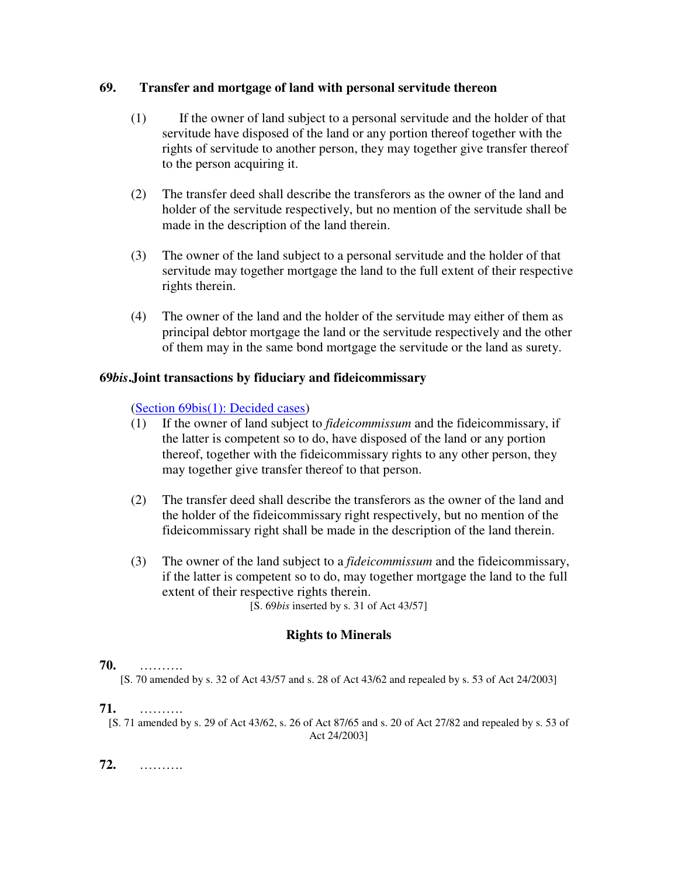## **69. Transfer and mortgage of land with personal servitude thereon**

- (1) If the owner of land subject to a personal servitude and the holder of that servitude have disposed of the land or any portion thereof together with the rights of servitude to another person, they may together give transfer thereof to the person acquiring it.
- (2) The transfer deed shall describe the transferors as the owner of the land and holder of the servitude respectively, but no mention of the servitude shall be made in the description of the land therein.
- (3) The owner of the land subject to a personal servitude and the holder of that servitude may together mortgage the land to the full extent of their respective rights therein.
- (4) The owner of the land and the holder of the servitude may either of them as principal debtor mortgage the land or the servitude respectively and the other of them may in the same bond mortgage the servitude or the land as surety.

## **69***bis***.Joint transactions by fiduciary and fideicommissary**

(Section 69bis(1): Decided cases)

- (1) If the owner of land subject to *fideicommissum* and the fideicommissary, if the latter is competent so to do, have disposed of the land or any portion thereof, together with the fideicommissary rights to any other person, they may together give transfer thereof to that person.
- (2) The transfer deed shall describe the transferors as the owner of the land and the holder of the fideicommissary right respectively, but no mention of the fideicommissary right shall be made in the description of the land therein.
- (3) The owner of the land subject to a *fideicommissum* and the fideicommissary, if the latter is competent so to do, may together mortgage the land to the full extent of their respective rights therein.

[S. 69*bis* inserted by s. 31 of Act 43/57]

# **Rights to Minerals**

**70.** ……….

[S. 70 amended by s. 32 of Act 43/57 and s. 28 of Act 43/62 and repealed by s. 53 of Act 24/2003]

#### **71.** ……….

[S. 71 amended by s. 29 of Act 43/62, s. 26 of Act 87/65 and s. 20 of Act 27/82 and repealed by s. 53 of Act 24/2003]

**72.** ……….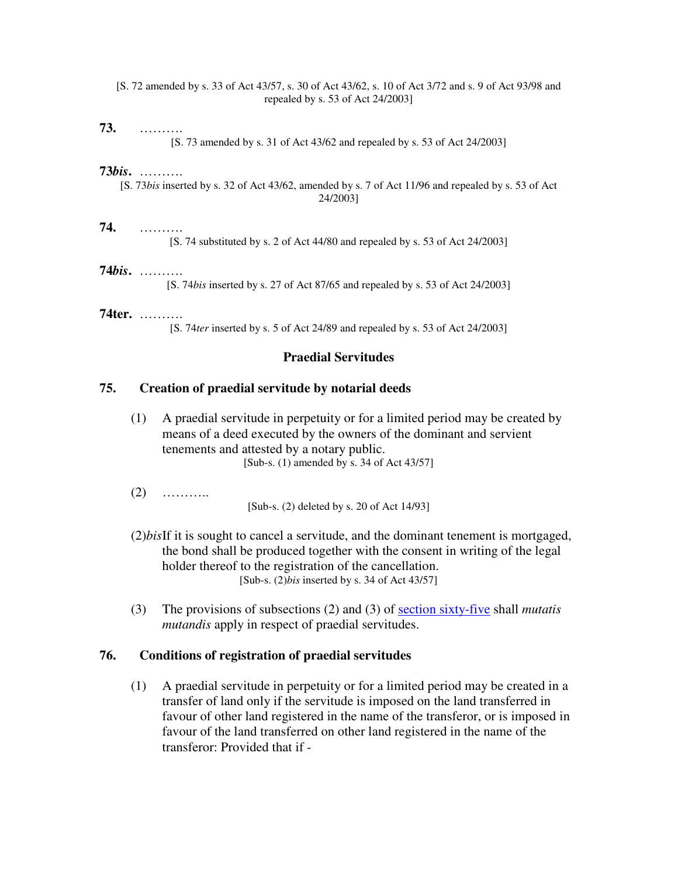[S. 72 amended by s. 33 of Act 43/57, s. 30 of Act 43/62, s. 10 of Act 3/72 and s. 9 of Act 93/98 and repealed by s. 53 of Act 24/2003]

## **73.** ……….

[S. 73 amended by s. 31 of Act 43/62 and repealed by s. 53 of Act 24/2003]

#### **73***bis***.** ……….

[S. 73*bis* inserted by s. 32 of Act 43/62, amended by s. 7 of Act 11/96 and repealed by s. 53 of Act 24/2003]

# **74.** ……….

[S. 74 substituted by s. 2 of Act 44/80 and repealed by s. 53 of Act 24/2003]

#### **74***bis***.** ……….

[S. 74*bis* inserted by s. 27 of Act 87/65 and repealed by s. 53 of Act 24/2003]

#### **74ter.** ………. [S. 74*ter* inserted by s. 5 of Act 24/89 and repealed by s. 53 of Act 24/2003]

#### **Praedial Servitudes**

#### **75. Creation of praedial servitude by notarial deeds**

- (1) A praedial servitude in perpetuity or for a limited period may be created by means of a deed executed by the owners of the dominant and servient tenements and attested by a notary public. [Sub-s. (1) amended by s. 34 of Act 43/57]
- $(2)$  ………… [Sub-s. (2) deleted by s. 20 of Act 14/93]

(2)*bis* If it is sought to cancel a servitude, and the dominant tenement is mortgaged, the bond shall be produced together with the consent in writing of the legal holder thereof to the registration of the cancellation. [Sub-s. (2)*bis* inserted by s. 34 of Act 43/57]

(3) The provisions of subsections (2) and (3) of section sixty-five shall *mutatis mutandis* apply in respect of praedial servitudes.

#### **76. Conditions of registration of praedial servitudes**

(1) A praedial servitude in perpetuity or for a limited period may be created in a transfer of land only if the servitude is imposed on the land transferred in favour of other land registered in the name of the transferor, or is imposed in favour of the land transferred on other land registered in the name of the transferor: Provided that if -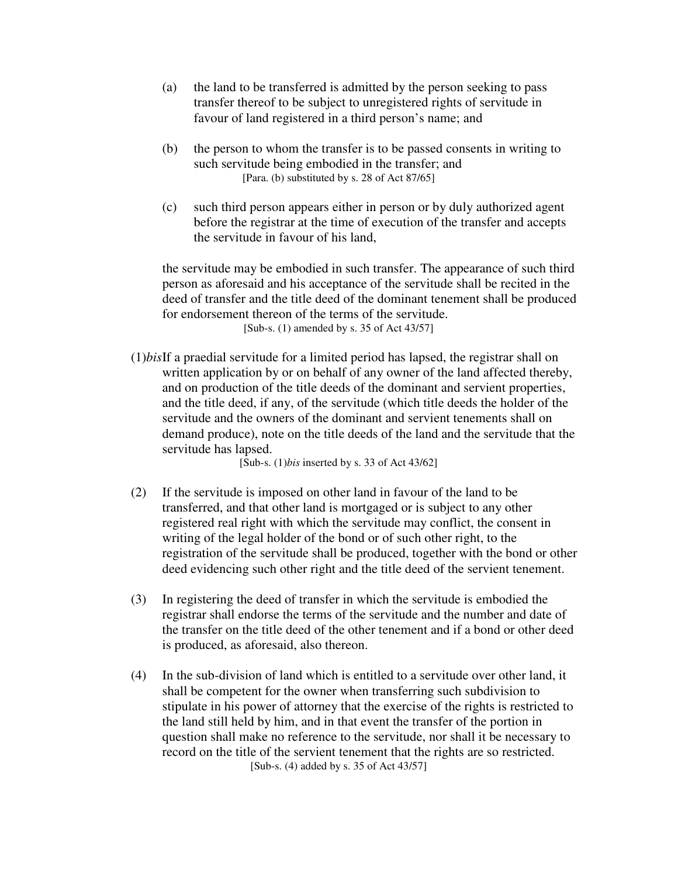- (a) the land to be transferred is admitted by the person seeking to pass transfer thereof to be subject to unregistered rights of servitude in favour of land registered in a third person's name; and
- (b) the person to whom the transfer is to be passed consents in writing to such servitude being embodied in the transfer; and [Para. (b) substituted by s. 28 of Act 87/65]
- (c) such third person appears either in person or by duly authorized agent before the registrar at the time of execution of the transfer and accepts the servitude in favour of his land,

the servitude may be embodied in such transfer. The appearance of such third person as aforesaid and his acceptance of the servitude shall be recited in the deed of transfer and the title deed of the dominant tenement shall be produced for endorsement thereon of the terms of the servitude. [Sub-s. (1) amended by s. 35 of Act 43/57]

(1)*bis* If a praedial servitude for a limited period has lapsed, the registrar shall on written application by or on behalf of any owner of the land affected thereby, and on production of the title deeds of the dominant and servient properties, and the title deed, if any, of the servitude (which title deeds the holder of the servitude and the owners of the dominant and servient tenements shall on demand produce), note on the title deeds of the land and the servitude that the servitude has lapsed.

[Sub-s. (1)*bis* inserted by s. 33 of Act 43/62]

- (2) If the servitude is imposed on other land in favour of the land to be transferred, and that other land is mortgaged or is subject to any other registered real right with which the servitude may conflict, the consent in writing of the legal holder of the bond or of such other right, to the registration of the servitude shall be produced, together with the bond or other deed evidencing such other right and the title deed of the servient tenement.
- (3) In registering the deed of transfer in which the servitude is embodied the registrar shall endorse the terms of the servitude and the number and date of the transfer on the title deed of the other tenement and if a bond or other deed is produced, as aforesaid, also thereon.
- (4) In the sub-division of land which is entitled to a servitude over other land, it shall be competent for the owner when transferring such subdivision to stipulate in his power of attorney that the exercise of the rights is restricted to the land still held by him, and in that event the transfer of the portion in question shall make no reference to the servitude, nor shall it be necessary to record on the title of the servient tenement that the rights are so restricted. [Sub-s. (4) added by s. 35 of Act 43/57]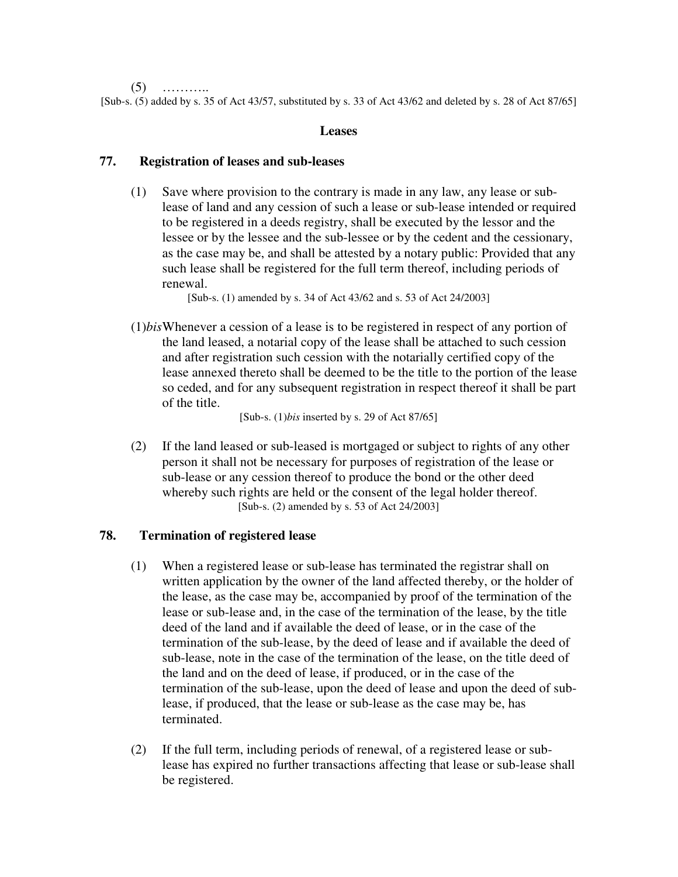$(5)$  ………

[Sub-s. (5) added by s. 35 of Act 43/57, substituted by s. 33 of Act 43/62 and deleted by s. 28 of Act 87/65]

#### **Leases**

### **77. Registration of leases and sub-leases**

(1) Save where provision to the contrary is made in any law, any lease or sublease of land and any cession of such a lease or sub-lease intended or required to be registered in a deeds registry, shall be executed by the lessor and the lessee or by the lessee and the sub-lessee or by the cedent and the cessionary, as the case may be, and shall be attested by a notary public: Provided that any such lease shall be registered for the full term thereof, including periods of renewal.

[Sub-s. (1) amended by s. 34 of Act 43/62 and s. 53 of Act 24/2003]

(1)*bis* Whenever a cession of a lease is to be registered in respect of any portion of the land leased, a notarial copy of the lease shall be attached to such cession and after registration such cession with the notarially certified copy of the lease annexed thereto shall be deemed to be the title to the portion of the lease so ceded, and for any subsequent registration in respect thereof it shall be part of the title.

[Sub-s. (1)*bis* inserted by s. 29 of Act 87/65]

(2) If the land leased or sub-leased is mortgaged or subject to rights of any other person it shall not be necessary for purposes of registration of the lease or sub-lease or any cession thereof to produce the bond or the other deed whereby such rights are held or the consent of the legal holder thereof. [Sub-s. (2) amended by s. 53 of Act 24/2003]

### **78. Termination of registered lease**

- (1) When a registered lease or sub-lease has terminated the registrar shall on written application by the owner of the land affected thereby, or the holder of the lease, as the case may be, accompanied by proof of the termination of the lease or sub-lease and, in the case of the termination of the lease, by the title deed of the land and if available the deed of lease, or in the case of the termination of the sub-lease, by the deed of lease and if available the deed of sub-lease, note in the case of the termination of the lease, on the title deed of the land and on the deed of lease, if produced, or in the case of the termination of the sub-lease, upon the deed of lease and upon the deed of sublease, if produced, that the lease or sub-lease as the case may be, has terminated.
- (2) If the full term, including periods of renewal, of a registered lease or sublease has expired no further transactions affecting that lease or sub-lease shall be registered.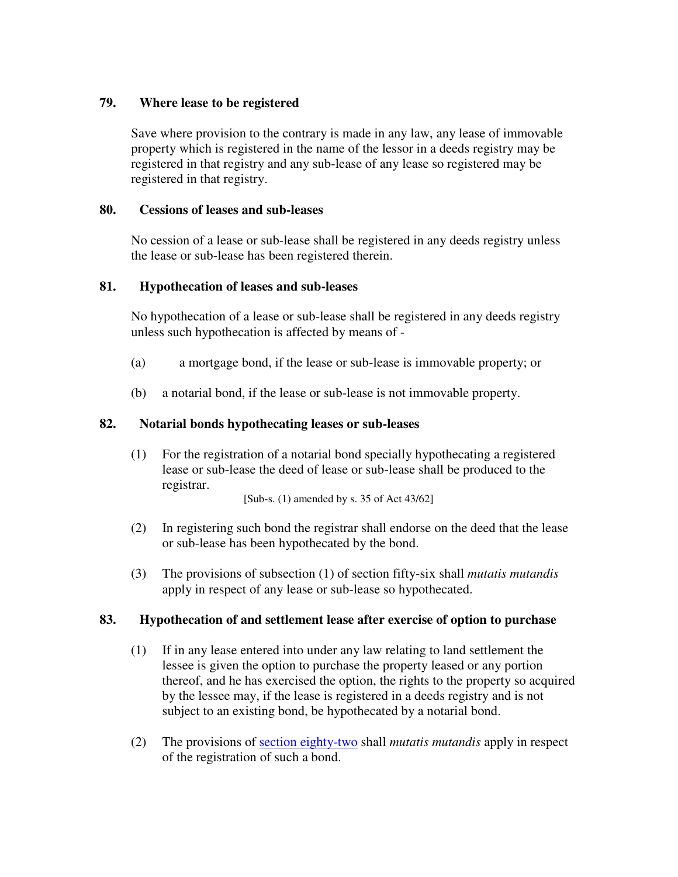## **79. Where lease to be registered**

Save where provision to the contrary is made in any law, any lease of immovable property which is registered in the name of the lessor in a deeds registry may be registered in that registry and any sub-lease of any lease so registered may be registered in that registry.

## **80. Cessions of leases and sub-leases**

No cession of a lease or sub-lease shall be registered in any deeds registry unless the lease or sub-lease has been registered therein.

## **81. Hypothecation of leases and sub-leases**

No hypothecation of a lease or sub-lease shall be registered in any deeds registry unless such hypothecation is affected by means of -

- (a) a mortgage bond, if the lease or sub-lease is immovable property; or
- (b) a notarial bond, if the lease or sub-lease is not immovable property.

# **82. Notarial bonds hypothecating leases or sub-leases**

(1) For the registration of a notarial bond specially hypothecating a registered lease or sub-lease the deed of lease or sub-lease shall be produced to the registrar.

[Sub-s. (1) amended by s. 35 of Act 43/62]

- (2) In registering such bond the registrar shall endorse on the deed that the lease or sub-lease has been hypothecated by the bond.
- (3) The provisions of subsection (1) of section fifty-six shall *mutatis mutandis* apply in respect of any lease or sub-lease so hypothecated.

# **83. Hypothecation of and settlement lease after exercise of option to purchase**

- (1) If in any lease entered into under any law relating to land settlement the lessee is given the option to purchase the property leased or any portion thereof, and he has exercised the option, the rights to the property so acquired by the lessee may, if the lease is registered in a deeds registry and is not subject to an existing bond, be hypothecated by a notarial bond.
- (2) The provisions of section eighty-two shall *mutatis mutandis* apply in respect of the registration of such a bond.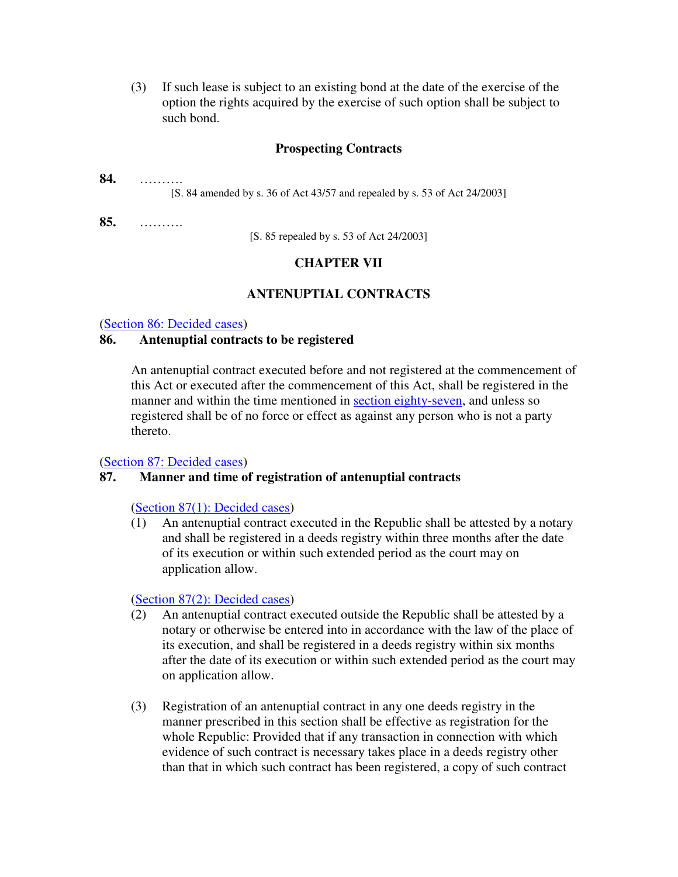(3) If such lease is subject to an existing bond at the date of the exercise of the option the rights acquired by the exercise of such option shall be subject to such bond.

## **Prospecting Contracts**

| 84. | [S. 84 amended by s. 36 of Act 43/57 and repealed by s. 53 of Act 24/2003] |
|-----|----------------------------------------------------------------------------|
| 85. | [S. 85 repealed by s. 53 of Act $24/2003$ ]                                |

# **CHAPTER VII**

# **ANTENUPTIAL CONTRACTS**

(Section 86: Decided cases)

## **86. Antenuptial contracts to be registered**

An antenuptial contract executed before and not registered at the commencement of this Act or executed after the commencement of this Act, shall be registered in the manner and within the time mentioned in section eighty-seven, and unless so registered shall be of no force or effect as against any person who is not a party thereto.

## (Section 87: Decided cases)

# **87. Manner and time of registration of antenuptial contracts**

## (Section 87(1): Decided cases)

(1) An antenuptial contract executed in the Republic shall be attested by a notary and shall be registered in a deeds registry within three months after the date of its execution or within such extended period as the court may on application allow.

## (Section 87(2): Decided cases)

- (2) An antenuptial contract executed outside the Republic shall be attested by a notary or otherwise be entered into in accordance with the law of the place of its execution, and shall be registered in a deeds registry within six months after the date of its execution or within such extended period as the court may on application allow.
- (3) Registration of an antenuptial contract in any one deeds registry in the manner prescribed in this section shall be effective as registration for the whole Republic: Provided that if any transaction in connection with which evidence of such contract is necessary takes place in a deeds registry other than that in which such contract has been registered, a copy of such contract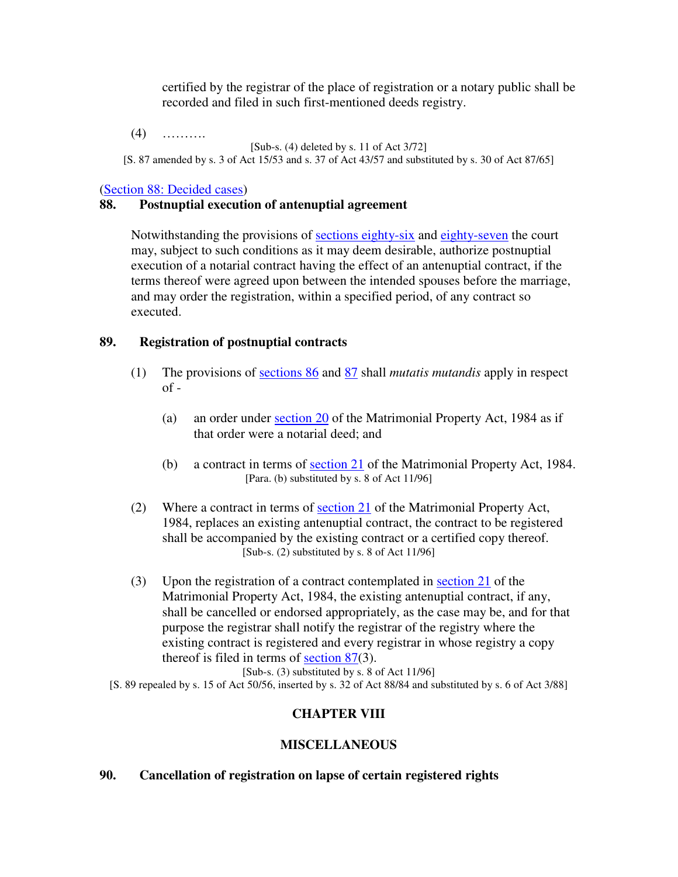certified by the registrar of the place of registration or a notary public shall be recorded and filed in such first-mentioned deeds registry.

(4) ……….

[Sub-s. (4) deleted by s. 11 of Act 3/72]

[S. 87 amended by s. 3 of Act 15/53 and s. 37 of Act 43/57 and substituted by s. 30 of Act 87/65]

(Section 88: Decided cases)

## **88. Postnuptial execution of antenuptial agreement**

Notwithstanding the provisions of sections eighty-six and eighty-seven the court may, subject to such conditions as it may deem desirable, authorize postnuptial execution of a notarial contract having the effect of an antenuptial contract, if the terms thereof were agreed upon between the intended spouses before the marriage, and may order the registration, within a specified period, of any contract so executed.

## **89. Registration of postnuptial contracts**

- (1) The provisions of sections 86 and 87 shall *mutatis mutandis* apply in respect  $of -$ 
	- (a) an order under section 20 of the Matrimonial Property Act, 1984 as if that order were a notarial deed; and
	- (b) a contract in terms of section 21 of the Matrimonial Property Act, 1984. [Para. (b) substituted by s. 8 of Act 11/96]
- (2) Where a contract in terms of section 21 of the Matrimonial Property Act, 1984, replaces an existing antenuptial contract, the contract to be registered shall be accompanied by the existing contract or a certified copy thereof. [Sub-s. (2) substituted by s. 8 of Act 11/96]
- (3) Upon the registration of a contract contemplated in section 21 of the Matrimonial Property Act, 1984, the existing antenuptial contract, if any, shall be cancelled or endorsed appropriately, as the case may be, and for that purpose the registrar shall notify the registrar of the registry where the existing contract is registered and every registrar in whose registry a copy thereof is filed in terms of section 87(3).

[Sub-s.  $(3)$  substituted by s. 8 of Act 11/96] [S. 89 repealed by s. 15 of Act 50/56, inserted by s. 32 of Act 88/84 and substituted by s. 6 of Act 3/88]

# **CHAPTER VIII**

## **MISCELLANEOUS**

## **90. Cancellation of registration on lapse of certain registered rights**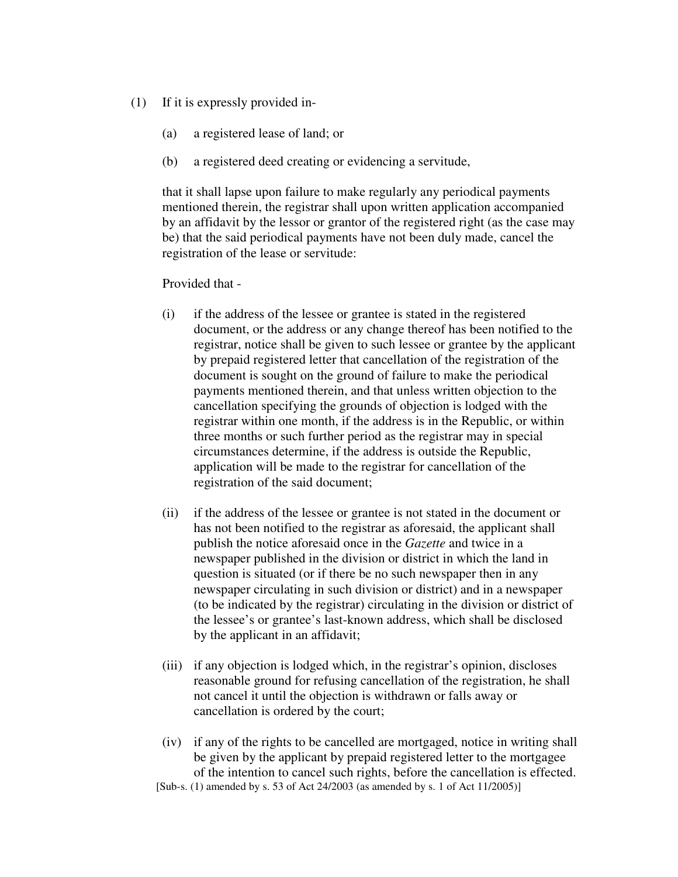- (1) If it is expressly provided in-
	- (a) a registered lease of land; or
	- (b) a registered deed creating or evidencing a servitude,

that it shall lapse upon failure to make regularly any periodical payments mentioned therein, the registrar shall upon written application accompanied by an affidavit by the lessor or grantor of the registered right (as the case may be) that the said periodical payments have not been duly made, cancel the registration of the lease or servitude:

Provided that -

- (i) if the address of the lessee or grantee is stated in the registered document, or the address or any change thereof has been notified to the registrar, notice shall be given to such lessee or grantee by the applicant by prepaid registered letter that cancellation of the registration of the document is sought on the ground of failure to make the periodical payments mentioned therein, and that unless written objection to the cancellation specifying the grounds of objection is lodged with the registrar within one month, if the address is in the Republic, or within three months or such further period as the registrar may in special circumstances determine, if the address is outside the Republic, application will be made to the registrar for cancellation of the registration of the said document;
- (ii) if the address of the lessee or grantee is not stated in the document or has not been notified to the registrar as aforesaid, the applicant shall publish the notice aforesaid once in the *Gazette* and twice in a newspaper published in the division or district in which the land in question is situated (or if there be no such newspaper then in any newspaper circulating in such division or district) and in a newspaper (to be indicated by the registrar) circulating in the division or district of the lessee's or grantee's last-known address, which shall be disclosed by the applicant in an affidavit;
- (iii) if any objection is lodged which, in the registrar's opinion, discloses reasonable ground for refusing cancellation of the registration, he shall not cancel it until the objection is withdrawn or falls away or cancellation is ordered by the court;
- (iv) if any of the rights to be cancelled are mortgaged, notice in writing shall be given by the applicant by prepaid registered letter to the mortgagee of the intention to cancel such rights, before the cancellation is effected. [Sub-s. (1) amended by s. 53 of Act 24/2003 (as amended by s. 1 of Act 11/2005)]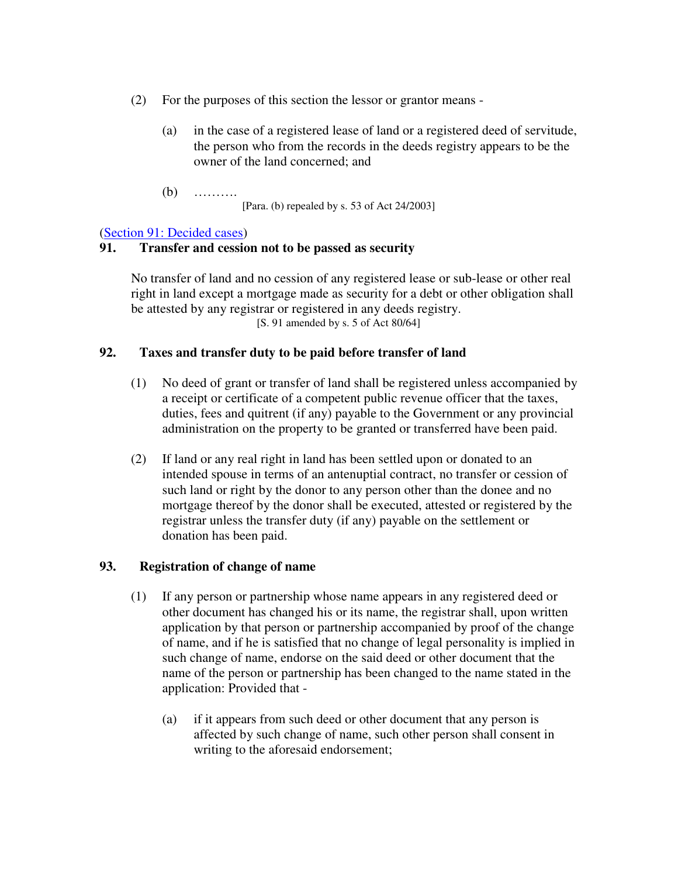- (2) For the purposes of this section the lessor or grantor means
	- (a) in the case of a registered lease of land or a registered deed of servitude, the person who from the records in the deeds registry appears to be the owner of the land concerned; and
	- (b) ……….

[Para. (b) repealed by s. 53 of Act 24/2003]

(Section 91: Decided cases)

## **91. Transfer and cession not to be passed as security**

No transfer of land and no cession of any registered lease or sub-lease or other real right in land except a mortgage made as security for a debt or other obligation shall be attested by any registrar or registered in any deeds registry. [S. 91 amended by s. 5 of Act 80/64]

## **92. Taxes and transfer duty to be paid before transfer of land**

- (1) No deed of grant or transfer of land shall be registered unless accompanied by a receipt or certificate of a competent public revenue officer that the taxes, duties, fees and quitrent (if any) payable to the Government or any provincial administration on the property to be granted or transferred have been paid.
- (2) If land or any real right in land has been settled upon or donated to an intended spouse in terms of an antenuptial contract, no transfer or cession of such land or right by the donor to any person other than the donee and no mortgage thereof by the donor shall be executed, attested or registered by the registrar unless the transfer duty (if any) payable on the settlement or donation has been paid.

# **93. Registration of change of name**

- (1) If any person or partnership whose name appears in any registered deed or other document has changed his or its name, the registrar shall, upon written application by that person or partnership accompanied by proof of the change of name, and if he is satisfied that no change of legal personality is implied in such change of name, endorse on the said deed or other document that the name of the person or partnership has been changed to the name stated in the application: Provided that -
	- (a) if it appears from such deed or other document that any person is affected by such change of name, such other person shall consent in writing to the aforesaid endorsement;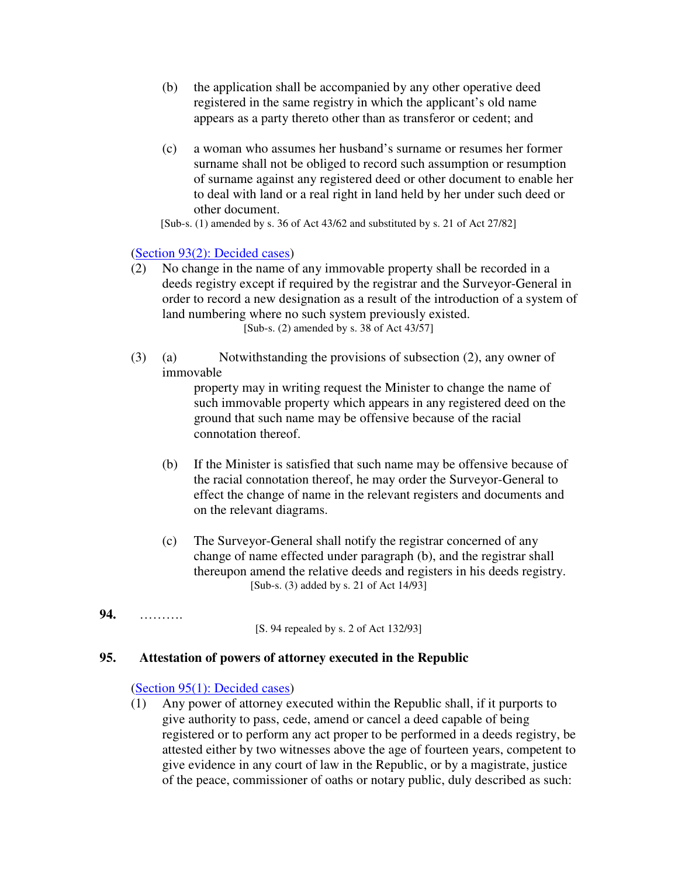- (b) the application shall be accompanied by any other operative deed registered in the same registry in which the applicant's old name appears as a party thereto other than as transferor or cedent; and
- (c) a woman who assumes her husband's surname or resumes her former surname shall not be obliged to record such assumption or resumption of surname against any registered deed or other document to enable her to deal with land or a real right in land held by her under such deed or other document.

[Sub-s. (1) amended by s. 36 of Act 43/62 and substituted by s. 21 of Act 27/82]

(Section 93(2): Decided cases)

- (2) No change in the name of any immovable property shall be recorded in a deeds registry except if required by the registrar and the Surveyor-General in order to record a new designation as a result of the introduction of a system of land numbering where no such system previously existed. [Sub-s. (2) amended by s. 38 of Act 43/57]
- (3) (a) Notwithstanding the provisions of subsection (2), any owner of immovable

property may in writing request the Minister to change the name of such immovable property which appears in any registered deed on the ground that such name may be offensive because of the racial connotation thereof.

- (b) If the Minister is satisfied that such name may be offensive because of the racial connotation thereof, he may order the Surveyor-General to effect the change of name in the relevant registers and documents and on the relevant diagrams.
- (c) The Surveyor-General shall notify the registrar concerned of any change of name effected under paragraph (b), and the registrar shall thereupon amend the relative deeds and registers in his deeds registry. [Sub-s. (3) added by s. 21 of Act 14/93]
- **94.** ……….

[S. 94 repealed by s. 2 of Act 132/93]

## **95. Attestation of powers of attorney executed in the Republic**

#### (Section 95(1): Decided cases)

(1) Any power of attorney executed within the Republic shall, if it purports to give authority to pass, cede, amend or cancel a deed capable of being registered or to perform any act proper to be performed in a deeds registry, be attested either by two witnesses above the age of fourteen years, competent to give evidence in any court of law in the Republic, or by a magistrate, justice of the peace, commissioner of oaths or notary public, duly described as such: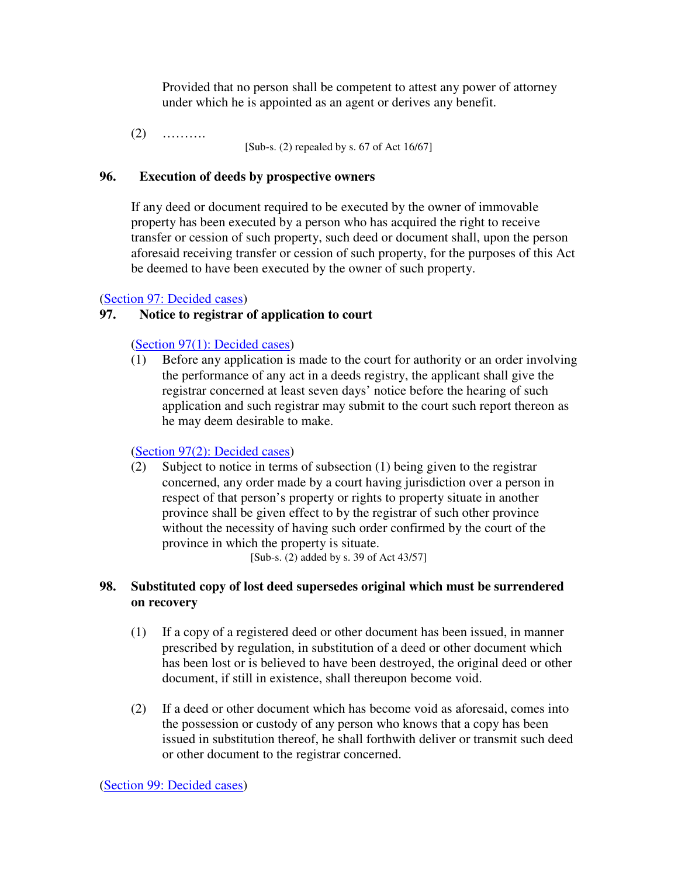Provided that no person shall be competent to attest any power of attorney under which he is appointed as an agent or derives any benefit.

 $(2)$  ……… [Sub-s.  $(2)$  repealed by s. 67 of Act 16/67]

# **96. Execution of deeds by prospective owners**

If any deed or document required to be executed by the owner of immovable property has been executed by a person who has acquired the right to receive transfer or cession of such property, such deed or document shall, upon the person aforesaid receiving transfer or cession of such property, for the purposes of this Act be deemed to have been executed by the owner of such property.

## (Section 97: Decided cases)

# **97. Notice to registrar of application to court**

(Section 97(1): Decided cases)

(1) Before any application is made to the court for authority or an order involving the performance of any act in a deeds registry, the applicant shall give the registrar concerned at least seven days' notice before the hearing of such application and such registrar may submit to the court such report thereon as he may deem desirable to make.

# (Section 97(2): Decided cases)

(2) Subject to notice in terms of subsection (1) being given to the registrar concerned, any order made by a court having jurisdiction over a person in respect of that person's property or rights to property situate in another province shall be given effect to by the registrar of such other province without the necessity of having such order confirmed by the court of the province in which the property is situate.

[Sub-s. (2) added by s. 39 of Act 43/57]

## **98. Substituted copy of lost deed supersedes original which must be surrendered on recovery**

- (1) If a copy of a registered deed or other document has been issued, in manner prescribed by regulation, in substitution of a deed or other document which has been lost or is believed to have been destroyed, the original deed or other document, if still in existence, shall thereupon become void.
- (2) If a deed or other document which has become void as aforesaid, comes into the possession or custody of any person who knows that a copy has been issued in substitution thereof, he shall forthwith deliver or transmit such deed or other document to the registrar concerned.

(Section 99: Decided cases)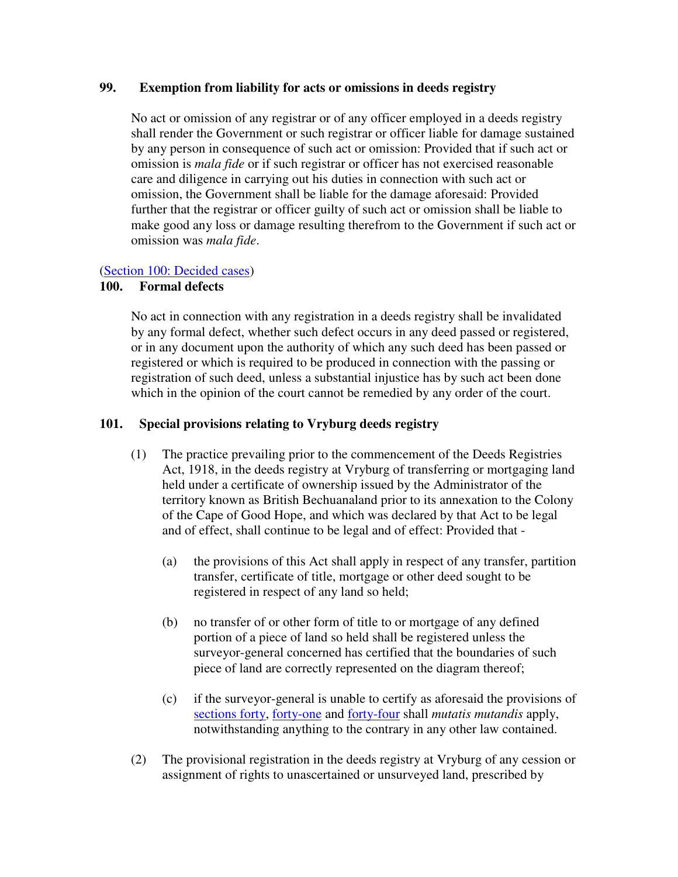### **99. Exemption from liability for acts or omissions in deeds registry**

No act or omission of any registrar or of any officer employed in a deeds registry shall render the Government or such registrar or officer liable for damage sustained by any person in consequence of such act or omission: Provided that if such act or omission is *mala fide* or if such registrar or officer has not exercised reasonable care and diligence in carrying out his duties in connection with such act or omission, the Government shall be liable for the damage aforesaid: Provided further that the registrar or officer guilty of such act or omission shall be liable to make good any loss or damage resulting therefrom to the Government if such act or omission was *mala fide*.

#### (Section 100: Decided cases)

## **100. Formal defects**

No act in connection with any registration in a deeds registry shall be invalidated by any formal defect, whether such defect occurs in any deed passed or registered, or in any document upon the authority of which any such deed has been passed or registered or which is required to be produced in connection with the passing or registration of such deed, unless a substantial injustice has by such act been done which in the opinion of the court cannot be remedied by any order of the court.

## **101. Special provisions relating to Vryburg deeds registry**

- (1) The practice prevailing prior to the commencement of the Deeds Registries Act, 1918, in the deeds registry at Vryburg of transferring or mortgaging land held under a certificate of ownership issued by the Administrator of the territory known as British Bechuanaland prior to its annexation to the Colony of the Cape of Good Hope, and which was declared by that Act to be legal and of effect, shall continue to be legal and of effect: Provided that -
	- (a) the provisions of this Act shall apply in respect of any transfer, partition transfer, certificate of title, mortgage or other deed sought to be registered in respect of any land so held;
	- (b) no transfer of or other form of title to or mortgage of any defined portion of a piece of land so held shall be registered unless the surveyor-general concerned has certified that the boundaries of such piece of land are correctly represented on the diagram thereof;
	- (c) if the surveyor-general is unable to certify as aforesaid the provisions of sections forty, forty-one and forty-four shall *mutatis mutandis* apply, notwithstanding anything to the contrary in any other law contained.
- (2) The provisional registration in the deeds registry at Vryburg of any cession or assignment of rights to unascertained or unsurveyed land, prescribed by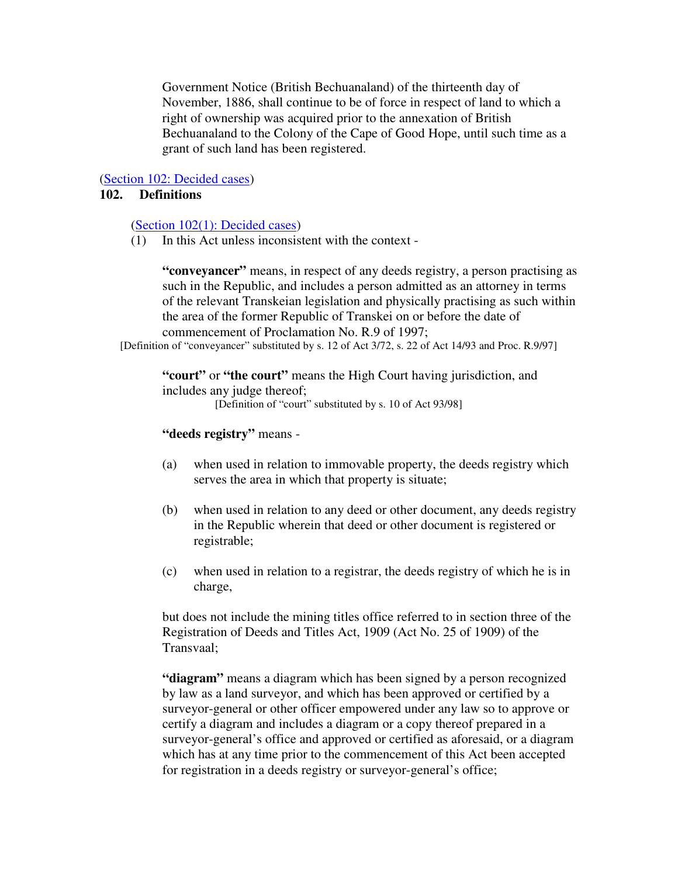Government Notice (British Bechuanaland) of the thirteenth day of November, 1886, shall continue to be of force in respect of land to which a right of ownership was acquired prior to the annexation of British Bechuanaland to the Colony of the Cape of Good Hope, until such time as a grant of such land has been registered.

## (Section 102: Decided cases)

## **102. Definitions**

(Section 102(1): Decided cases)

(1) In this Act unless inconsistent with the context -

**"conveyancer"** means, in respect of any deeds registry, a person practising as such in the Republic, and includes a person admitted as an attorney in terms of the relevant Transkeian legislation and physically practising as such within the area of the former Republic of Transkei on or before the date of commencement of Proclamation No. R.9 of 1997;

[Definition of "conveyancer" substituted by s. 12 of Act 3/72, s. 22 of Act 14/93 and Proc. R.9/97]

**"court"** or **"the court"** means the High Court having jurisdiction, and includes any judge thereof;

[Definition of "court" substituted by s. 10 of Act 93/98]

## **"deeds registry"** means -

- (a) when used in relation to immovable property, the deeds registry which serves the area in which that property is situate;
- (b) when used in relation to any deed or other document, any deeds registry in the Republic wherein that deed or other document is registered or registrable;
- (c) when used in relation to a registrar, the deeds registry of which he is in charge,

but does not include the mining titles office referred to in section three of the Registration of Deeds and Titles Act, 1909 (Act No. 25 of 1909) of the Transvaal;

**"diagram"** means a diagram which has been signed by a person recognized by law as a land surveyor, and which has been approved or certified by a surveyor-general or other officer empowered under any law so to approve or certify a diagram and includes a diagram or a copy thereof prepared in a surveyor-general's office and approved or certified as aforesaid, or a diagram which has at any time prior to the commencement of this Act been accepted for registration in a deeds registry or surveyor-general's office;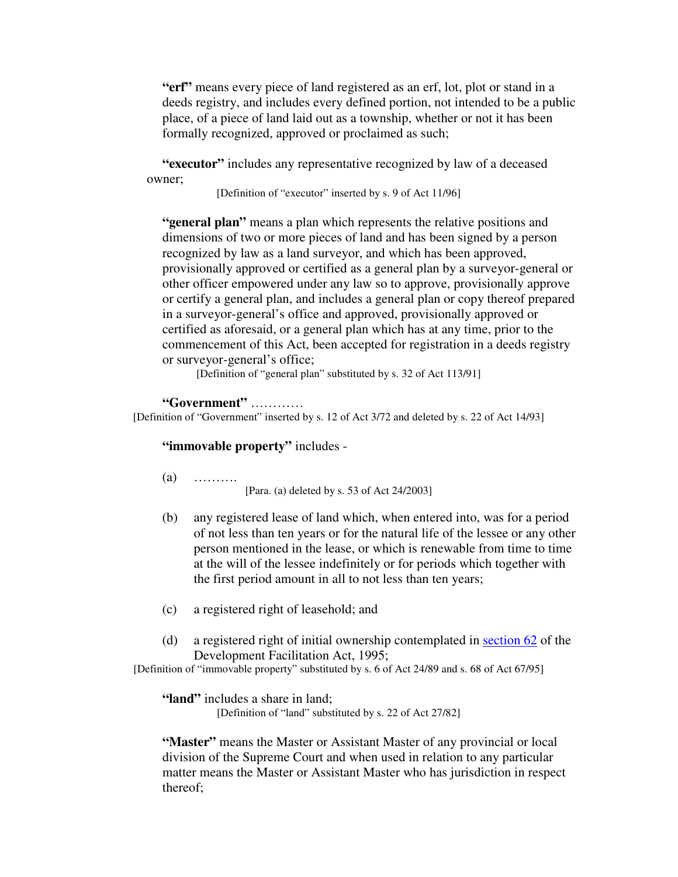**"erf"** means every piece of land registered as an erf, lot, plot or stand in a deeds registry, and includes every defined portion, not intended to be a public place, of a piece of land laid out as a township, whether or not it has been formally recognized, approved or proclaimed as such;

**"executor"** includes any representative recognized by law of a deceased owner;

[Definition of "executor" inserted by s. 9 of Act 11/96]

**"general plan"** means a plan which represents the relative positions and dimensions of two or more pieces of land and has been signed by a person recognized by law as a land surveyor, and which has been approved, provisionally approved or certified as a general plan by a surveyor-general or other officer empowered under any law so to approve, provisionally approve or certify a general plan, and includes a general plan or copy thereof prepared in a surveyor-general's office and approved, provisionally approved or certified as aforesaid, or a general plan which has at any time, prior to the commencement of this Act, been accepted for registration in a deeds registry or surveyor-general's office;

[Definition of "general plan" substituted by s. 32 of Act 113/91]

**"Government"** ………… [Definition of "Government" inserted by s. 12 of Act 3/72 and deleted by s. 22 of Act 14/93]

#### **"immovable property"** includes -

- (a) ……….
	- [Para. (a) deleted by s. 53 of Act 24/2003]
- (b) any registered lease of land which, when entered into, was for a period of not less than ten years or for the natural life of the lessee or any other person mentioned in the lease, or which is renewable from time to time at the will of the lessee indefinitely or for periods which together with the first period amount in all to not less than ten years;
- (c) a registered right of leasehold; and
- (d) a registered right of initial ownership contemplated in section 62 of the Development Facilitation Act, 1995;

[Definition of "immovable property" substituted by s. 6 of Act 24/89 and s. 68 of Act 67/95]

**"land"** includes a share in land; [Definition of "land" substituted by s. 22 of Act 27/82]

**"Master"** means the Master or Assistant Master of any provincial or local division of the Supreme Court and when used in relation to any particular matter means the Master or Assistant Master who has jurisdiction in respect thereof;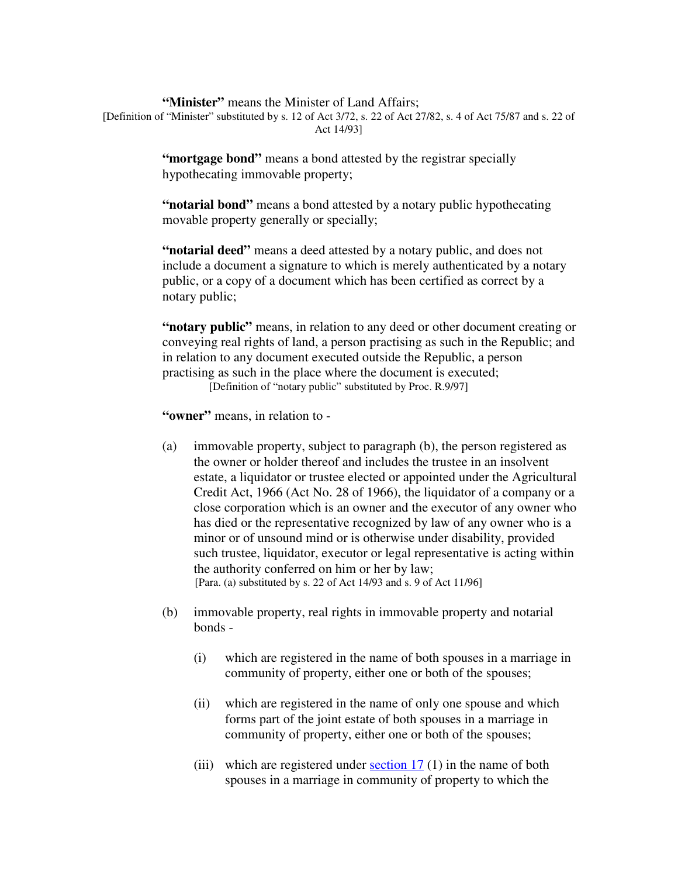**"Minister"** means the Minister of Land Affairs; [Definition of "Minister" substituted by s. 12 of Act 3/72, s. 22 of Act 27/82, s. 4 of Act 75/87 and s. 22 of Act 14/93]

> **"mortgage bond"** means a bond attested by the registrar specially hypothecating immovable property;

**"notarial bond"** means a bond attested by a notary public hypothecating movable property generally or specially;

**"notarial deed"** means a deed attested by a notary public, and does not include a document a signature to which is merely authenticated by a notary public, or a copy of a document which has been certified as correct by a notary public;

**"notary public"** means, in relation to any deed or other document creating or conveying real rights of land, a person practising as such in the Republic; and in relation to any document executed outside the Republic, a person practising as such in the place where the document is executed;

[Definition of "notary public" substituted by Proc. R.9/97]

**"owner"** means, in relation to -

- (a) immovable property, subject to paragraph (b), the person registered as the owner or holder thereof and includes the trustee in an insolvent estate, a liquidator or trustee elected or appointed under the Agricultural Credit Act, 1966 (Act No. 28 of 1966), the liquidator of a company or a close corporation which is an owner and the executor of any owner who has died or the representative recognized by law of any owner who is a minor or of unsound mind or is otherwise under disability, provided such trustee, liquidator, executor or legal representative is acting within the authority conferred on him or her by law; [Para. (a) substituted by s. 22 of Act 14/93 and s. 9 of Act 11/96]
- (b) immovable property, real rights in immovable property and notarial bonds -
	- (i) which are registered in the name of both spouses in a marriage in community of property, either one or both of the spouses;
	- (ii) which are registered in the name of only one spouse and which forms part of the joint estate of both spouses in a marriage in community of property, either one or both of the spouses;
	- (iii) which are registered under section  $17(1)$  in the name of both spouses in a marriage in community of property to which the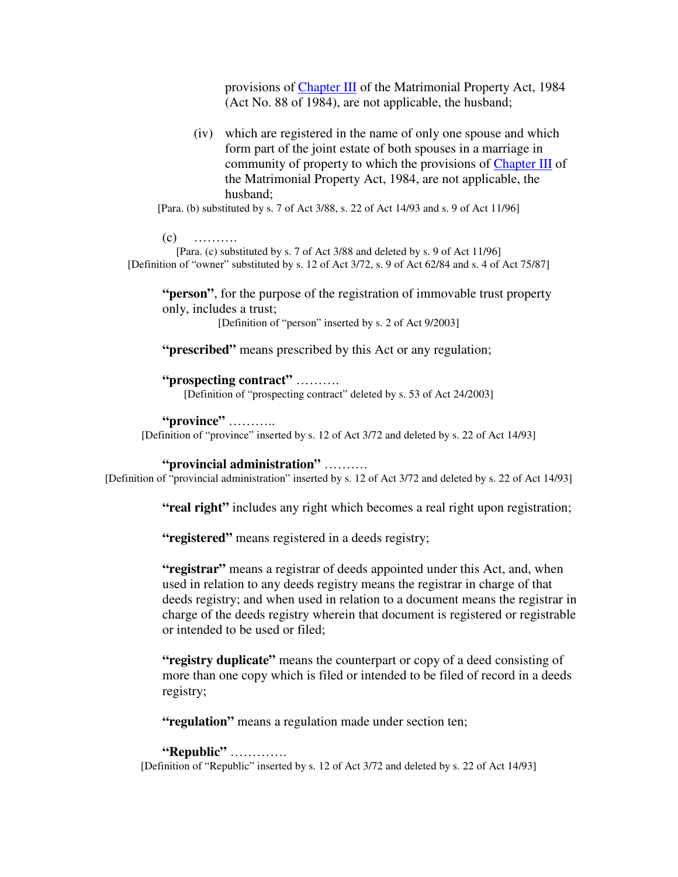provisions of Chapter III of the Matrimonial Property Act, 1984 (Act No. 88 of 1984), are not applicable, the husband;

(iv) which are registered in the name of only one spouse and which form part of the joint estate of both spouses in a marriage in community of property to which the provisions of Chapter III of the Matrimonial Property Act, 1984, are not applicable, the husband;

[Para. (b) substituted by s. 7 of Act 3/88, s. 22 of Act 14/93 and s. 9 of Act 11/96]

(c) ………. [Para. (c) substituted by s. 7 of Act 3/88 and deleted by s. 9 of Act 11/96] [Definition of "owner" substituted by s. 12 of Act 3/72, s. 9 of Act 62/84 and s. 4 of Act 75/87]

**"person"**, for the purpose of the registration of immovable trust property only, includes a trust;

[Definition of "person" inserted by s. 2 of Act 9/2003]

**"prescribed"** means prescribed by this Act or any regulation;

**"prospecting contract"** ……….

[Definition of "prospecting contract" deleted by s. 53 of Act 24/2003]

**"province"** ………..

[Definition of "province" inserted by s. 12 of Act 3/72 and deleted by s. 22 of Act 14/93]

**"provincial administration"** ……….

[Definition of "provincial administration" inserted by s. 12 of Act 3/72 and deleted by s. 22 of Act 14/93]

**"real right"** includes any right which becomes a real right upon registration;

**"registered"** means registered in a deeds registry;

**"registrar"** means a registrar of deeds appointed under this Act, and, when used in relation to any deeds registry means the registrar in charge of that deeds registry; and when used in relation to a document means the registrar in charge of the deeds registry wherein that document is registered or registrable or intended to be used or filed;

**"registry duplicate"** means the counterpart or copy of a deed consisting of more than one copy which is filed or intended to be filed of record in a deeds registry;

**"regulation"** means a regulation made under section ten;

**"Republic"** …………. [Definition of "Republic" inserted by s. 12 of Act 3/72 and deleted by s. 22 of Act 14/93]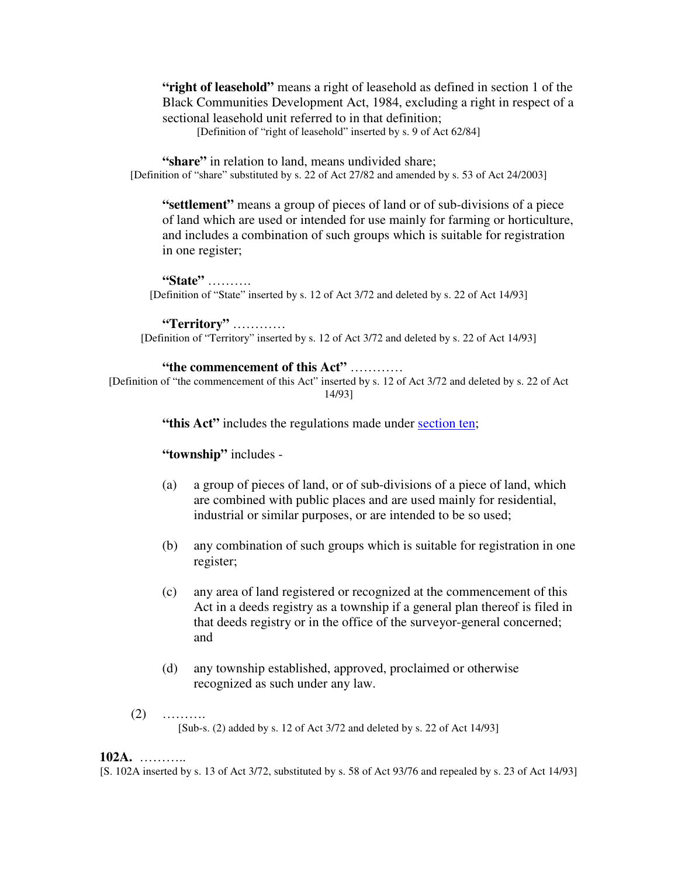**"right of leasehold"** means a right of leasehold as defined in section 1 of the Black Communities Development Act, 1984, excluding a right in respect of a sectional leasehold unit referred to in that definition;

[Definition of "right of leasehold" inserted by s. 9 of Act 62/84]

**"share"** in relation to land, means undivided share; [Definition of "share" substituted by s. 22 of Act 27/82 and amended by s. 53 of Act 24/2003]

**"settlement"** means a group of pieces of land or of sub-divisions of a piece of land which are used or intended for use mainly for farming or horticulture, and includes a combination of such groups which is suitable for registration in one register;

#### **"State"** ……….

[Definition of "State" inserted by s. 12 of Act 3/72 and deleted by s. 22 of Act 14/93]

**"Territory"** ………… [Definition of "Territory" inserted by s. 12 of Act 3/72 and deleted by s. 22 of Act 14/93]

**"the commencement of this Act"** ………… [Definition of "the commencement of this Act" inserted by s. 12 of Act 3/72 and deleted by s. 22 of Act

14/93]

**"this Act"** includes the regulations made under section ten;

**"township"** includes -

- (a) a group of pieces of land, or of sub-divisions of a piece of land, which are combined with public places and are used mainly for residential, industrial or similar purposes, or are intended to be so used;
- (b) any combination of such groups which is suitable for registration in one register;
- (c) any area of land registered or recognized at the commencement of this Act in a deeds registry as a township if a general plan thereof is filed in that deeds registry or in the office of the surveyor-general concerned; and
- (d) any township established, approved, proclaimed or otherwise recognized as such under any law.
- (2) ………. [Sub-s. (2) added by s. 12 of Act 3/72 and deleted by s. 22 of Act 14/93]

#### **102A.** ………..

[S. 102A inserted by s. 13 of Act 3/72, substituted by s. 58 of Act 93/76 and repealed by s. 23 of Act 14/93]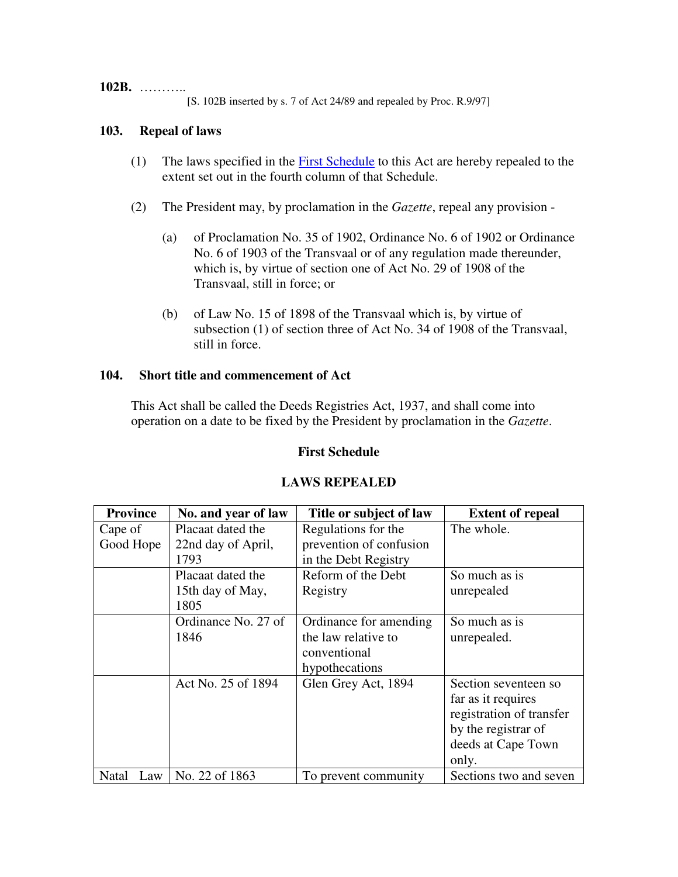## **102B.** ………..

[S. 102B inserted by s. 7 of Act 24/89 and repealed by Proc. R.9/97]

## **103. Repeal of laws**

- (1) The laws specified in the First Schedule to this Act are hereby repealed to the extent set out in the fourth column of that Schedule.
- (2) The President may, by proclamation in the *Gazette*, repeal any provision
	- (a) of Proclamation No. 35 of 1902, Ordinance No. 6 of 1902 or Ordinance No. 6 of 1903 of the Transvaal or of any regulation made thereunder, which is, by virtue of section one of Act No. 29 of 1908 of the Transvaal, still in force; or
	- (b) of Law No. 15 of 1898 of the Transvaal which is, by virtue of subsection (1) of section three of Act No. 34 of 1908 of the Transvaal, still in force.

### **104. Short title and commencement of Act**

This Act shall be called the Deeds Registries Act, 1937, and shall come into operation on a date to be fixed by the President by proclamation in the *Gazette*.

#### **First Schedule**

| <b>Province</b> | No. and year of law | Title or subject of law | <b>Extent of repeal</b>  |
|-----------------|---------------------|-------------------------|--------------------------|
| Cape of         | Placaat dated the   | Regulations for the     | The whole.               |
| Good Hope       | 22nd day of April,  | prevention of confusion |                          |
|                 | 1793                | in the Debt Registry    |                          |
|                 | Placaat dated the   | Reform of the Debt      | So much as is            |
|                 | 15th day of May,    | Registry                | unrepealed               |
|                 | 1805                |                         |                          |
|                 | Ordinance No. 27 of | Ordinance for amending  | So much as is            |
|                 | 1846                | the law relative to     | unrepealed.              |
|                 |                     | conventional            |                          |
|                 |                     | hypothecations          |                          |
|                 | Act No. 25 of 1894  | Glen Grey Act, 1894     | Section seventeen so     |
|                 |                     |                         | far as it requires       |
|                 |                     |                         | registration of transfer |
|                 |                     |                         | by the registrar of      |
|                 |                     |                         | deeds at Cape Town       |
|                 |                     |                         | only.                    |
| Natal<br>Law    | No. 22 of 1863      | To prevent community    | Sections two and seven   |

### **LAWS REPEALED**